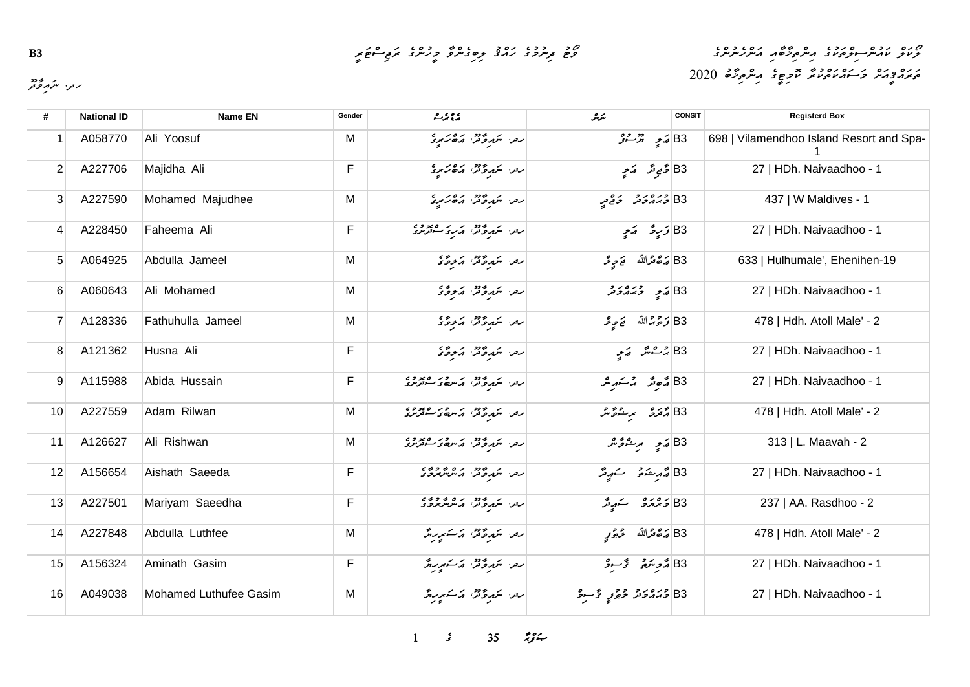*sCw7q7s5w7m< o<n9nOoAw7o< sCq;mAwBoEw7q<m; wBm;vB* م من المرة المرة المرة المرة المرة المرة العربية 2020<br>مجم*د المريض المريض المربع المربع المربع المراجع المراجع ال* 

| 229<br>بردر سرمرودر |  |
|---------------------|--|
|---------------------|--|

| #               | <b>National ID</b> | Name EN                | Gender      | ړ دیکر ک                                                    | ىترىش                                      | <b>CONSIT</b> | <b>Registerd Box</b>                     |
|-----------------|--------------------|------------------------|-------------|-------------------------------------------------------------|--------------------------------------------|---------------|------------------------------------------|
|                 | A058770            | Ali Yoosuf             | M           | رى سەرگەن مەرىپ                                             | B3 ڪپو پر شور                              |               | 698   Vilamendhoo Island Resort and Spa- |
| $\mathbf{2}$    | A227706            | Majidha Ali            | F           | رى سەرگەن مەھكىرى                                           | B3 <i>وَّحِ مَدَّجِ</i>                    |               | 27   HDh. Naivaadhoo - 1                 |
| 3               | A227590            | Mohamed Majudhee       | M           | رى سَمْدِوَّتْنْ أَرْهَ رَمِّرَ                             | B3  <i>وكەۋەقى ۋق</i> وي <sub>ى</sub>      |               | 437   W Maldives - 1                     |
| 4               | A228450            | Faheema Ali            | $\mathsf F$ | ریں شمیر ہوتی کے رکھنے وہ<br>ریں شمیر جاتش کے رکھنے میں مرد | B3 ت <i>ورِیَّة م</i> َتم <i>ح</i> ٍ       |               | 27   HDh. Naivaadhoo - 1                 |
| 5               | A064925            | Abdulla Jameel         | M           | رىن سَمَدِوَّتْنَ آرَمْرِوَّى                               | B3 مَەھتراللە   ق <i>ج تى</i>              |               | 633   Hulhumale', Ehenihen-19            |
| 6               | A060643            | Ali Mohamed            | M           | رىن شمەھ ئىش مەمرەتى                                        | B3 <i>جَمْعِي حِيدُو</i> تر                |               | 27   HDh. Naivaadhoo - 1                 |
|                 | A128336            | Fathuhulla Jameel      | M           | رىن شمەھ ئىڭ مەمرەتى                                        | B3 ترتوجر الله ۔ تح تر تح                  |               | 478   Hdh. Atoll Male' - 2               |
| 8               | A121362            | Husna Ali              | F           | رىر. سَمَدِ وَّتَرْ، مَرْحِرَّى                             | B3  پر شعر کا کام                          |               | 27   HDh. Naivaadhoo - 1                 |
| 9               | A115988            | Abida Hussain          | $\mathsf F$ | رور شهروگو، بر دور ۲۵ وره<br>روز شهروگو، برسهای سوترس       | B3 مُتَّصِعَرُ بِمُ سَنَّهُرِ مِثْرِ       |               | 27   HDh. Naivaadhoo - 1                 |
| 10 <sup>1</sup> | A227559            | Adam Rilwan            | M           | رور شهروگو، بر دور ۲۵ وره<br>روز شهروگو، برسهای سوترس       | B3 أَدَّتَرَدُّ مِنْ مُرْشَوَّسَ           |               | 478   Hdh. Atoll Male' - 2               |
| 11              | A126627            | Ali Rishwan            | M           | رد. سگرگردد .<br>دلار سگرگرد، برسهای سوترس                  | B3  رَمِ بِرِڪْوَنْدُ                      |               | 313   L. Maavah - 2                      |
| 12              | A156654            | Aishath Saeeda         | F           | رىر. سەر ئەترى بەر ئەرەب                                    | B3 مُرمِشَعْرِ سَمَرِمَّر                  |               | 27   HDh. Naivaadhoo - 1                 |
| 13              | A227501            | Mariyam Saeedha        | $\mathsf F$ | رى شھەھ ئەس ئەھمەدە                                         | B3 <i>وَ بُرْدَرْ کَهِ مُ</i> رَ           |               | 237   AA. Rasdhoo - 2                    |
| 14              | A227848            | Abdulla Luthfee        | M           | رىر. سَرەڭ قَرْ، مَ سَنَبِرِ مِرَّ                          | B3 كەھەراللە م <i>ۇجۇم</i>                 |               | 478   Hdh. Atoll Male' - 2               |
| 15              | A156324            | Aminath Gasim          | $\mathsf F$ | رىر. سَرِمَوْتْرْ، مَرْسَىرِرْمَّ                           | B3 مُجِسَمَةٌ تَخْسِبُرُ                   |               | 27   HDh. Naivaadhoo - 1                 |
| 16              | A049038            | Mohamed Luthufee Gasim | M           | رىر. سَرِمَوْتْرْ، مَرْسَىرِرْمَّ                           | B3 <i>وُيُهُوَيْرُ</i> وُفِرِيْرِ وَّسِيوْ |               | 27   HDh. Naivaadhoo - 1                 |

*1 s* 35 *i*<sub>S</sub>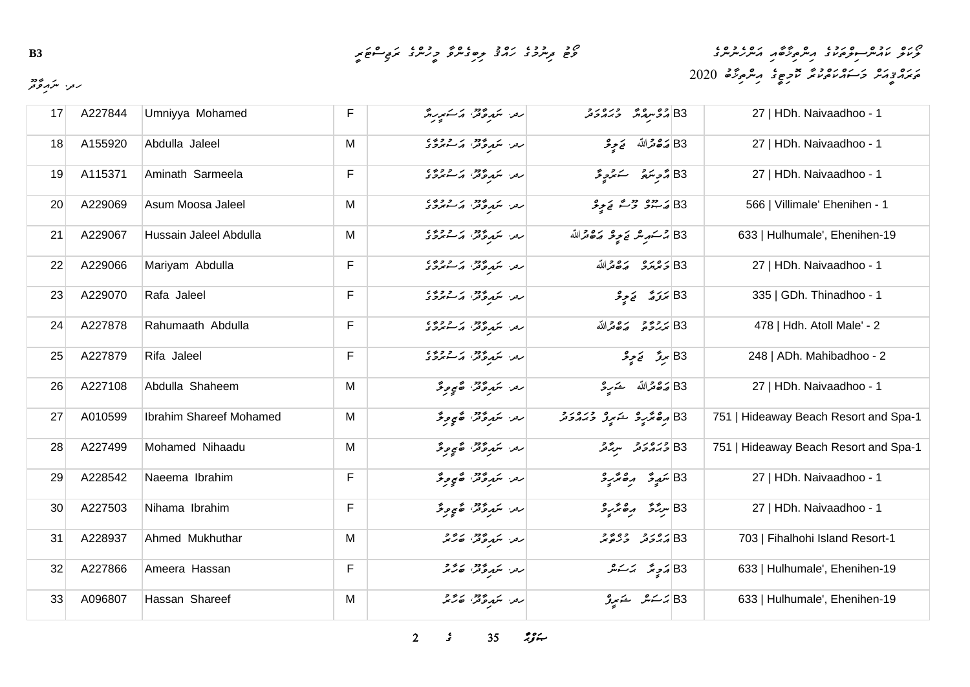*sCw7q7s5w7m< o<n9nOoAw7o< sCq;mAwBoEw7q<m; wBm;vB 2020<sup>, م</sup>وجدة المسجومة المسجومة مسترجدة والم*جمعة المسجومة والمجمعة المسجومة والمصرية والمصرية المسجومة والمصرية

| 17 | A227844 | Umniyya Mohamed         | F           | رى سەرگەن، ئەسكىرىدىگ             | B3 رُوْسِرُ کُرَ وَبَرُ وَمَدَ لَهِ حَ       | 27   HDh. Naivaadhoo - 1              |
|----|---------|-------------------------|-------------|-----------------------------------|----------------------------------------------|---------------------------------------|
| 18 | A155920 | Abdulla Jaleel          | M           | رى سەر ئەدە كەسىرى                | B3 كەھەراللە   ق موقر                        | 27   HDh. Naivaadhoo - 1              |
| 19 | A115371 | Aminath Sarmeela        | $\mathsf F$ | رى شمەنگەن كەستىمەدى              | B3 مَّحْرِسَمَةَ سَنَمْرِيْتَرَ              | 27   HDh. Naivaadhoo - 1              |
| 20 | A229069 | Asum Moosa Jaleel       | M           | رىر. سَرْمُ دۇنقى كەستىمىزدى      | B3 كەبىر <i>ە بۇ جەنگە ق</i> وچى             | 566   Villimale' Ehenihen - 1         |
| 21 | A229067 | Hussain Jaleel Abdulla  | M           | رى شمەنگەن كەستىمەدى              | B3 بُرْسَمبِ سَمْ يَوْعَرَ بَرَةٍ قَرْاللّهِ | 633   Hulhumale', Ehenihen-19         |
| 22 | A229066 | Mariyam Abdulla         | F           | رو. سکر وقتر، کار دوره            | B3 ك <i>ومرد مك</i> محمدالله                 | 27   HDh. Naivaadhoo - 1              |
| 23 | A229070 | Rafa Jaleel             | $\mathsf F$ | رو. سمدونش، پر دود،               | B3 يَرَوَّدُ گَ مِرْتَحْرِ                   | 335   GDh. Thinadhoo - 1              |
| 24 | A227878 | Rahumaath Abdulla       | F           | رو شهروش پر دوده                  | B3 يَحْدَّدُو صَدَّقَتْرَاللَّهُ             | 478   Hdh. Atoll Male' - 2            |
| 25 | A227879 | Rifa Jaleel             | $\mathsf F$ | رو. سمدۇن كەسىمدو د               | B3 مِرَدٌ ت <sub>َح</sub> َمِرُوُ            | 248   ADh. Mahibadhoo - 2             |
| 26 | A227108 | Abdulla Shaheem         | M           | رىر. سَمَدِقَتْرْ، صَّبِي وَ حَ   | B3 مَەھْمَراللە خ <i>ەرب</i> ۇ               | 27   HDh. Naivaadhoo - 1              |
| 27 | A010599 | Ibrahim Shareef Mohamed | M           | رىر. سَمَدِ وَّتَرْ، صَّى وِ وَّ  | B3 رەڭرىرى خىمبىر <i>مەمەدىر</i>             | 751   Hideaway Beach Resort and Spa-1 |
| 28 | A227499 | Mohamed Nihaadu         | M           | رىر. سَمَدِ قَدْرُ، ھَي جِرْ قَرْ | B3 <i>ويروونر سرگ</i> تر                     | 751   Hideaway Beach Resort and Spa-1 |
| 29 | A228542 | Naeema Ibrahim          | F           | رىر. سَرەڭْتْر، ھَىج ھِ تَ        | B3 سَمِيعٌ مِنْ صَمَّرِةٌ                    | 27   HDh. Naivaadhoo - 1              |
| 30 | A227503 | Nihama Ibrahim          | $\mathsf F$ | رىر. سَمَدِ قُدْرُ، صَمِي و خُرُ  | B3 س <i>ربرڈ م</i> ھ <i>مگرد</i> و           | 27   HDh. Naivaadhoo - 1              |
| 31 | A228937 | Ahmed Mukhuthar         | M           | رو، سَمَدِ وَقُرْ، صَرَّبْر       | B3  مەردە دەمىر                              | 703   Fihalhohi Island Resort-1       |
| 32 | A227866 | Ameera Hassan           | $\mathsf F$ | رىن شمەرگەن ئەمرىر                | B3  مَرِيمٌ   مَسَ <i>مَّرٌ</i>              | 633   Hulhumale', Ehenihen-19         |
| 33 | A096807 | Hassan Shareef          | M           | رى شەرەتى ئەمزىر                  | B3   يَرْسَمْسْ مَسَمَّرِيْرْ                | 633   Hulhumale', Ehenihen-19         |

**2** *s* **35** *z***<sub>***3***</sub>** *z***<sub>***3***</sub>** *z***<sub>3</sub>**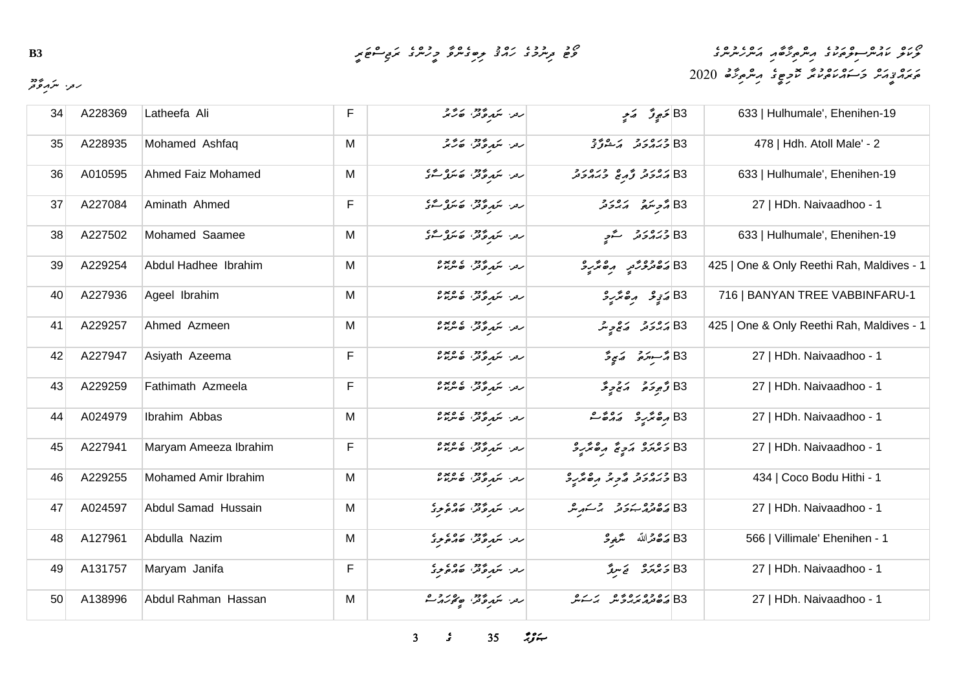*sCw7q7s5w7m< o<n9nOoAw7o< sCq;mAwBoEw7q<m; wBm;vB* م من المرة المرة المرة المرجع المرجع في المركبة 2020<br>مجم*د المريض المربوط المربع المرجع في المراجع المركبة* 

| 34 | A228369 | Latheefa Ali                | $\mathsf F$  | رىر. سەرگەن ھەرىچ                      | B3 كَي <sub>ج</sub> وگ صَمٍ                          | 633   Hulhumale', Ehenihen-19             |
|----|---------|-----------------------------|--------------|----------------------------------------|------------------------------------------------------|-------------------------------------------|
| 35 | A228935 | Mohamed Ashfaq              | M            | رى شرەپى ئەس                           | B3 <i>دېمم</i> ونر کمشو <i>ر</i> و                   | 478   Hdh. Atoll Male' - 2                |
| 36 | A010595 | Ahmed Faiz Mohamed          | M            | رىر. سَرْمُ وَتْرٌ، صَسَوْ سُنَّى      | B3 <i>גُمُدُوَنَّر وُمِ</i> عْ وَبَرَمُ وَنَ         | 633   Hulhumale', Ehenihen-19             |
| 37 | A227084 | Aminath Ahmed               | F            | رىر شەر ئەدەر ئەرەپ ئەر                | B3 مُتَّحِسَمُ مَتَّدَمَّرُ                          | 27   HDh. Naivaadhoo - 1                  |
| 38 | A227502 | Mohamed Saamee              | M            | رو. سرم وده. ځس ده وه                  | B3 <i>دېزونو</i> گو <sub>چ</sub>                     | 633   Hulhumale', Ehenihen-19             |
| 39 | A229254 | Abdul Hadhee Ibrahim        | M            | رىر. سىرەتىر، ھەرىرە                   | B3 <i>مُەقىرى ئور مەمگرى</i> ئ                       | 425   One & Only Reethi Rah, Maldives - 1 |
| 40 | A227936 | Ageel Ibrahim               | M            | رى شرەقىر، ھەرمە<br>رى شرەقىر، ھەرىرى  | B3 <i>مَ<sub>تْج</sub>ِوْ م</i> ِ صَ <i>تَّرِد</i> ُ | 716   BANYAN TREE VABBINFARU-1            |
| 41 | A229257 | Ahmed Azmeen                | M            | رى شمەنۇنى ئەمدە<br>رى شمەنۇنى ئەسرىرى | B3 <i>مَدْدَوتر مَعْ وِسْ</i>                        | 425   One & Only Reethi Rah, Maldives - 1 |
| 42 | A227947 | Asiyath Azeema              | $\mathsf{F}$ | رى شمەنۇنى ئەمدە<br>رى شمەنۇنى ئەسرىرى | B3 أَمَّ سِيرَةٌ مَسَيَّحَ                           | 27   HDh. Naivaadhoo - 1                  |
| 43 | A229259 | Fathimath Azmeela           | F            | رى شركة 20000<br>رى شركونى ھىرىرى      | B3 وَجِعَة مَتَّحْوِمَّةَ                            | 27   HDh. Naivaadhoo - 1                  |
| 44 | A024979 | Ibrahim Abbas               | M            | رى شركة 20000<br>رى شركونى ھىرىرى      | $2822$ $272$ $83$                                    | 27   HDh. Naivaadhoo - 1                  |
| 45 | A227941 | Maryam Ameeza Ibrahim       | F            | رى شرەقىر، ھەرمە<br>رى شرەقىر، ھەرىرى  | B3 كَمْهَرَدْ مَرِيَّ مِـ صَمَّرِدْ                  | 27   HDh. Naivaadhoo - 1                  |
| 46 | A229255 | <b>Mohamed Amir Ibrahim</b> | M            | رىر. سەر قىز، ھەرىرە                   | B3 در در در محمد مقدیره                              | 434   Coco Bodu Hithi - 1                 |
| 47 | A024597 | Abdul Samad Hussain         | M            | رو. سر و ده ده و د                     | B3 مەھەرمەدىر برىكىرىش                               | 27   HDh. Naivaadhoo - 1                  |
| 48 | A127961 | Abdulla Nazim               | M            | رى سەرگەن ھەمجە                        | B3 كَەش للە مَتَّتَّخَذَّى                           | 566   Villimale' Ehenihen - 1             |
| 49 | A131757 | Maryam Janifa               | F            | رىر شمېرىقى ھەج بى                     | B3 كى <i>جەنىرى ئى</i> س <sub>ىم</sub> گە            | 27   HDh. Naivaadhoo - 1                  |
| 50 | A138996 | Abdul Rahman Hassan         | M            | رو. سَهُ عَرَفْرُ، جِ مُحْرَمْهُ -     | B3 مەھ <i>وم مرەمۇرىكى بى</i> ككىر                   | 27   HDh. Naivaadhoo - 1                  |

*r@n=o<m7 .@5*

**3 35** *<i>f f s* **1**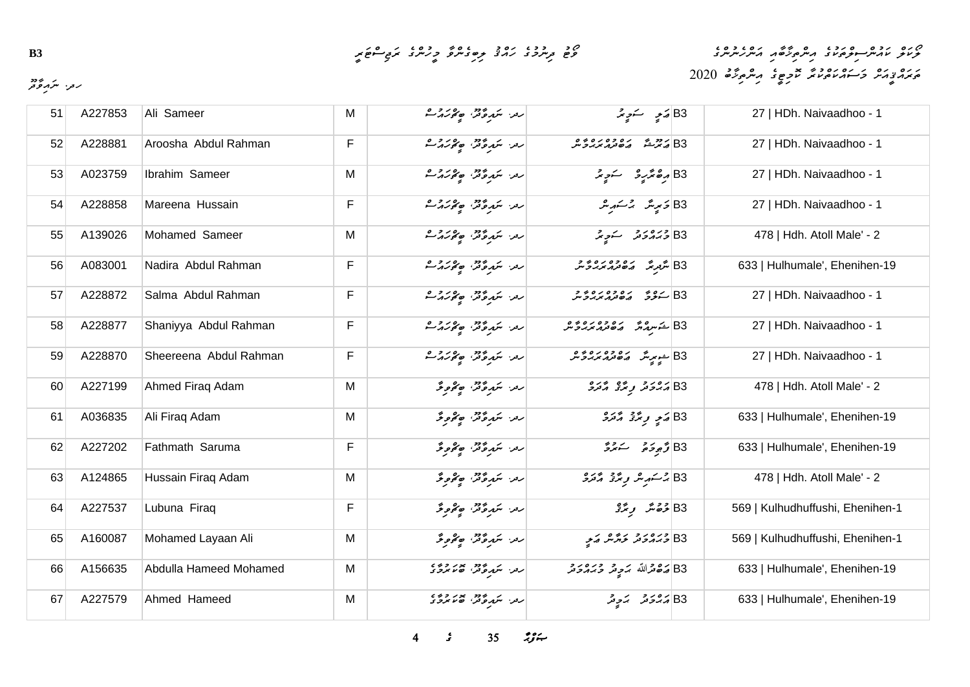*sCw7q7s5w7m< o<n9nOoAw7o< sCq;mAwBoEw7q<m; wBm;vB 2020*<br>*په پوهر وسوډيرونو لومو د موجو د مرمونه* 2020

| 51 | A227853 | Ali Sameer             | M            | رىر. سَرْمِ دَ حِمْ رَمْ _ وَ        | B3  رَمِ سَمَ <i>دٍ پُر</i> ُ                     | 27   HDh. Naivaadhoo - 1         |
|----|---------|------------------------|--------------|--------------------------------------|---------------------------------------------------|----------------------------------|
| 52 | A228881 | Aroosha Abdul Rahman   | F            | رى سَرْ وَمَنْ ھِلاَرَ مَ            | B3 يردو مي بره وه بره وه ه                        | 27   HDh. Naivaadhoo - 1         |
| 53 | A023759 | Ibrahim Sameer         | M            | رىر. سَرْمُ وَتَرَ صَحْرَ مَدْ مَسْر | B3 م <i>وڭ ئۇرۇ سىم</i> و ئىگە                    | 27   HDh. Naivaadhoo - 1         |
| 54 | A228858 | Mareena Hussain        | $\mathsf{F}$ | رىر. سَرْمُ وَتَرَ صَحْرَ مَدْ مَسْر | B3  ى ئېرىنگە    ئەسكەرلىكە                       | 27   HDh. Naivaadhoo - 1         |
| 55 | A139026 | Mohamed Sameer         | M            | رو. سَهو وَقَرْ، ھِ کُورَ ۾ ک        | B3 <i>وُبَهُ وَمَدْ</i> سَوِيْرَ                  | 478   Hdh. Atoll Male' - 2       |
| 56 | A083001 | Nadira Abdul Rahman    | $\mathsf F$  | رو. سمدونو. ھ محمد ال                | B3 سَمَعِر مَرَّ صَمَّدَ مِرْ مَرْسَر مِسْرٍ      | 633   Hulhumale', Ehenihen-19    |
| 57 | A228872 | Salma Abdul Rahman     | $\mathsf{F}$ | رو. سمدونو. ھ محمد ال                | B3 كىلىم ئۇ مەم <i>مەم بىر بىرى</i> بىر           | 27   HDh. Naivaadhoo - 1         |
| 58 | A228877 | Shaniyya Abdul Rahman  | $\mathsf{F}$ | رو. سَهُ عَرَفْرٌ، حِمْرُ مَرْ       | B3                                                | 27   HDh. Naivaadhoo - 1         |
| 59 | A228870 | Sheereena Abdul Rahman | $\mathsf F$  | رى سر ئۇ ھەر ئەس                     | B3 خومړنگر كەقىرە مەم ق                           | 27   HDh. Naivaadhoo - 1         |
| 60 | A227199 | Ahmed Firaq Adam       | M            | رىر. سَمَدِ قُرْ، ھِكْرُو قُرْ       | B3 كەير <i>و بىر بىر ئەبدۇ</i>                    | 478   Hdh. Atoll Male' - 2       |
| 61 | A036835 | Ali Firaq Adam         | M            | رىر. سَرەڭ ئەھمۇش                    | B3 <i>جَرِدٍ وِجَرَّةَ</i> مَ <i>حْمَ</i> حَ      | 633   Hulhumale', Ehenihen-19    |
| 62 | A227202 | Fathmath Saruma        | F            | رىر. سَمَدِقَرْنَ ھِكُومِرَّ         | B3 زَّەب <i>ِ دَە</i> ئەسىر ئە                    | 633   Hulhumale', Ehenihen-19    |
| 63 | A124865 | Hussain Firaq Adam     | M            | رىر. سَرِمُوَّتْرْ، ھِكُومِ تَرُّ    | B3 پرڪمبرنگر وينگ <sup>و</sup> مگفري              | 478   Hdh. Atoll Male' - 2       |
| 64 | A227537 | Lubuna Firaq           | $\mathsf F$  | رىر. سَرەڭتى ھەرەڭ                   | B3 څۇش ب <sub>و</sub> نژن <sub>ۇ</sub>            | 569   Kulhudhuffushi, Ehenihen-1 |
| 65 | A160087 | Mohamed Layaan Ali     | M            | رىر. سَرەڭ ئەھمۇم                    | B3 وُبرُمْ وَبُرُ وَبَرْسٌ <sub>مَك</sub> مْ بِهِ | 569   Kulhudhuffushi, Ehenihen-1 |
| 66 | A156635 | Abdulla Hameed Mohamed | M            | رى شرق بود دە                        | B3 كەھەراللە ئەمەمە <i>دەرەرد</i>                 | 633   Hulhumale', Ehenihen-19    |
| 67 | A227579 | Ahmed Hameed           | M            | رى شرق 25 دە                         | B3 <i>גَ بْدُوَنْڌَ</i> بَرَ <sub>مِ</sub> يْرَ   | 633   Hulhumale', Ehenihen-19    |

*r@n=o<m7 .@5*

*4 s* 35 *i*<sub>S</sub> $\rightarrow$ </sub>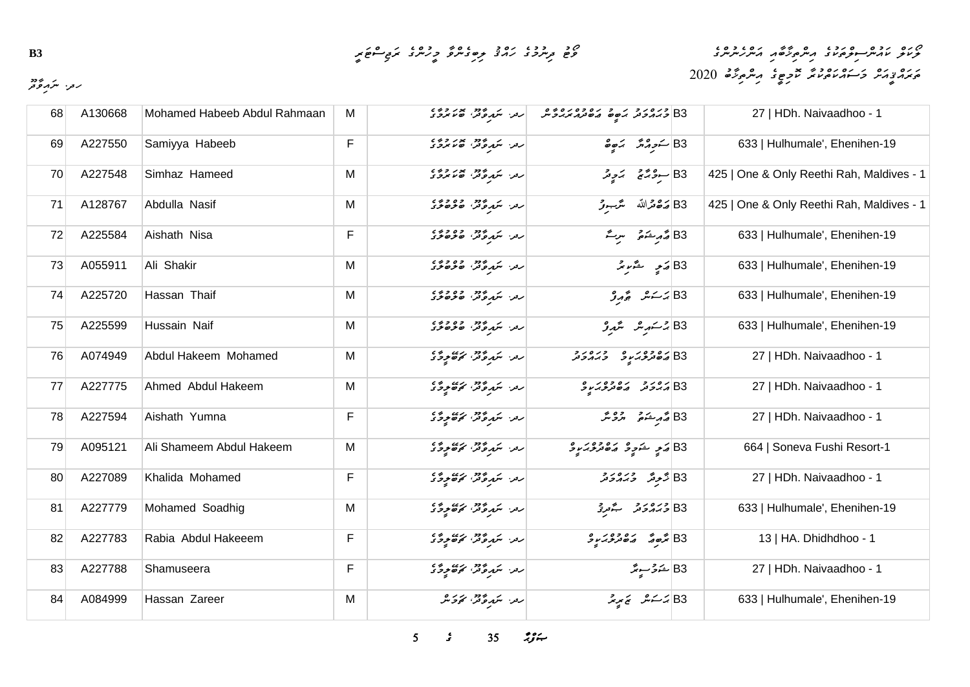*sCw7q7s5w7m< o<n9nOoAw7o< sCq;mAwBoEw7q<m; wBm;vB 2020*<br>*په ټومن د سوم پوره پورې پر سوم د سره پره و*لا

| 68 | A130668 | Mohamed Habeeb Abdul Rahmaan | M |                                                                                                                                                                                                                               | B3 כנסנכ גם כ גספסנסטים - גובר מנגלים מינכטים                                       | 27   HDh. Naivaadhoo - 1                  |
|----|---------|------------------------------|---|-------------------------------------------------------------------------------------------------------------------------------------------------------------------------------------------------------------------------------|-------------------------------------------------------------------------------------|-------------------------------------------|
| 69 | A227550 | Samiyya Habeeb               | F | رور سمد و در در دره عدد در در در حديد و در حديد و در حديد و در حديد و در حديد و در حديد و در حديد و در حديد<br>المسلم المسلم المسلم المسلم المسلم المسلم المسلم المسلم المسلم المسلم المسلم المسلم المسلم المسلم الله الله ال | $\frac{2}{3}$ $\frac{2}{3}$ $\frac{2}{3}$ $\frac{2}{3}$ $\frac{1}{3}$ $\frac{1}{3}$ | 633   Hulhumale', Ehenihen-19             |
| 70 | A227548 | Simhaz Hameed                | M | رد. سمدون سرود.<br>رد. سمدونر، ۱۵۷ دو.                                                                                                                                                                                        | B3 س <i>وڤ</i> دُّج پ <sub>َ</sub> حوِثْر                                           | 425   One & Only Reethi Rah, Maldives - 1 |
| 71 | A128767 | Abdulla Nasif                | М | رىر. سرمەتر، 2010-<br>رىر. سرمەتر، ھۈھۈى                                                                                                                                                                                      | B3 كَەڭ ئۆسىد <i>ۇ</i>                                                              | 425   One & Only Reethi Rah, Maldives - 1 |
| 72 | A225584 | Aishath Nisa                 | F | رىر. سرمۇتر، 29595                                                                                                                                                                                                            | B3 صَّمَرِ مُشَمَّدٍ سَرِتَّہُ ِ                                                    | 633   Hulhumale', Ehenihen-19             |
| 73 | A055911 | Ali Shakir                   | M | رد. سُرم وَدَ وه وه و د                                                                                                                                                                                                       | B3 كەمچە ئەممىيەتتىر                                                                | 633   Hulhumale', Ehenihen-19             |
| 74 | A225720 | Hassan Thaif                 | M | رد. سُرم وَدَ وه وه و د                                                                                                                                                                                                       | B3   پرسته عمد محمد تر                                                              | 633   Hulhumale', Ehenihen-19             |
| 75 | A225599 | Hussain Naif                 | M | رىر. سرەتىر، 29,200                                                                                                                                                                                                           | B3 يُرْسَم مِنْ سَمْدِرْ                                                            | 633   Hulhumale', Ehenihen-19             |
| 76 | A074949 | Abdul Hakeem Mohamed         | M | رو. سُروڤور مصرور                                                                                                                                                                                                             | B3 בטוברית כמתכת                                                                    | 27   HDh. Naivaadhoo - 1                  |
| 77 | A227775 | Ahmed Abdul Hakeem           | M | رو. سَرِوڤو، نَ صَوِرَّ د                                                                                                                                                                                                     | B3 גיכנג ה <i>בפגע</i> פ                                                            | 27   HDh. Naivaadhoo - 1                  |
| 78 | A227594 | Aishath Yumna                | F | رى سرە ئۆز كەھرى                                                                                                                                                                                                              | B3 مجم <i>د شخص مرونگ</i> ر                                                         | 27   HDh. Naivaadhoo - 1                  |
| 79 | A095121 | Ali Shameem Abdul Hakeem     | M | رى سەر ئەدەرى ب                                                                                                                                                                                                               | B3 كەير خەرە دەرەردىر ۋ                                                             | 664   Soneva Fushi Resort-1               |
| 80 | A227089 | Khalida Mohamed              | F | رو. سَمَدٍ وَقُرْ، کَمُ صَحِرْوَ دَ                                                                                                                                                                                           | B3 گەمەم ئەرەر ئەرىخە ئىس                                                           | 27   HDh. Naivaadhoo - 1                  |
| 81 | A227779 | Mohamed Soadhig              | M | رىر. سَرە ئەدە، كۆھۈرگ                                                                                                                                                                                                        | B3 <i>وېرو دو</i> جگورتی                                                            | 633   Hulhumale', Ehenihen-19             |
| 82 | A227783 | Rabia Abdul Hakeeem          | F | رو. سَمَدِ وَقُرْ، کَمُ صَحِرْ وَ دَ                                                                                                                                                                                          | B3 بَرْجِيمٌ مَقْعَدَ مِرْدَبِ                                                      | 13   HA. Dhidhdhoo - 1                    |
| 83 | A227788 | Shamuseera                   | F | رو. سَمَدِوَّتْرُ، کَوَصَحِرْدَ کَ                                                                                                                                                                                            | B3 ڪوڪسي <i>رنگ</i> ر                                                               | 27   HDh. Naivaadhoo - 1                  |
| 84 | A084999 | Hassan Zareer                | M | رىن شمەھ تىر، كۆتۈش                                                                                                                                                                                                           | B3  پرستانگر   تاسیر تر                                                             | 633   Hulhumale', Ehenihen-19             |

*5 5 35 <i>* $234$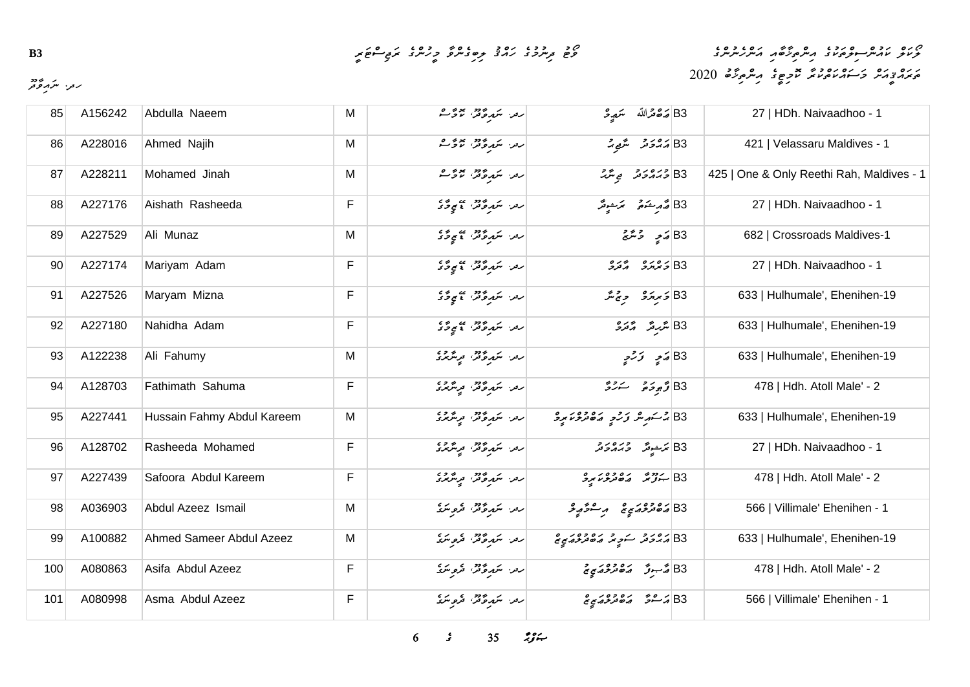*sCw7q7s5w7m< o<n9nOoAw7o< sCq;mAwBoEw7q<m; wBm;vB* م من المسجد المسجد المسجد المسجد المسجد العام 2020<br>مسجد المسجد المسجد المسجد المسجد المسجد المسجد المسجد المسجد ال

| 85  | A156242 | Abdulla Naeem              | M           | رىر. سَرِە ۋىز، سۆرگ                  | B3  رَحْمَدْالله سَمِهِ تَحْ          | 27   HDh. Naivaadhoo - 1                  |
|-----|---------|----------------------------|-------------|---------------------------------------|---------------------------------------|-------------------------------------------|
| 86  | A228016 | Ahmed Najih                | M           | رىر. سەرگەن ئاۋىس                     | B3   كەش <sup>ى</sup> كەڭگى مەڭدە بەر | 421   Velassaru Maldives - 1              |
| 87  | A228211 | Mohamed Jinah              | M           | رىر. سَمَدِ عَرَبْ لا تَرْكَبْ        | B3 دُبَرْدْدَتْرَ بِي مَّرْبُرُ       | 425   One & Only Reethi Rah, Maldives - 1 |
| 88  | A227176 | Aishath Rasheeda           | $\mathsf F$ | رىر. سَرەڭ ئەم ئەت                    | B3 مُ مِسْتَمْ مَمْ سَمِسْتِمْ        | 27   HDh. Naivaadhoo - 1                  |
| 89  | A227529 | Ali Munaz                  | M           | رى سەرگەن ، يې ئ                      | B3 <i>ڇَجِ وَسُمَّ</i> جَ             | 682   Crossroads Maldives-1               |
| 90  | A227174 | Mariyam Adam               | F           | رىر. سَمَدِ قُرْرُ، ، ، يَا قَرْرُ.   | B3 <i>ويوه وي</i> وه                  | 27   HDh. Naivaadhoo - 1                  |
| 91  | A227526 | Maryam Mizna               | F           | رى سەرگەن ، يې ئ                      | B3 ك <i>خ ميرمز ده جي مگر</i>         | 633   Hulhumale', Ehenihen-19             |
| 92  | A227180 | Nahidha Adam               | F           | رىر. سَمَدِ قُرْرُ، ، ، يَا قَرْرُ.   | B3 يُتَربقُ مُرَّتَوَرُّ              | 633   Hulhumale', Ehenihen-19             |
| 93  | A122238 | Ali Fahumy                 | M           | رىر. سَرْرِ قَرْشْ مِرْسَرْبَرْ وَ عَ | B3 كەي ت <sup>ى 2</sup> ەي            | 633   Hulhumale', Ehenihen-19             |
| 94  | A128703 | Fathimath Sahuma           | F           | رىر. سَمَدِ قُرْرُ، دېرسْرَ پر        | B3 رَّجِ دَمَ مَكْرَدٌ                | 478   Hdh. Atoll Male' - 2                |
| 95  | A227441 | Hussain Fahmy Abdul Kareem | M           | رىن سەرگەش مەسمەد ،                   | B3 ج سکور شرکت در محمد محمد میرو      | 633   Hulhumale', Ehenihen-19             |
| 96  | A128702 | Rasheeda Mohamed           | F           | رىر. سَمَدِ قَرْآءُ مِرْ سَرْ بَرْ قَ | B3 بَرَسْوِسٌ وَيَرْدُوسُ             | 27   HDh. Naivaadhoo - 1                  |
| 97  | A227439 | Safoora Abdul Kareem       | $\mathsf F$ | رىر. سَمَدِ قَرْآءُ مِرْسَرْبَرْدَ    | B3 يەزىر مەھەردىر م                   | 478   Hdh. Atoll Male' - 2                |
| 98  | A036903 | Abdul Azeez Ismail         | M           | رىر. سَمَدِ عَرْضُ. تَرْحِ سَمَدُ     | B3 رەمورىرى مەر مۇرىد                 | 566   Villimale' Ehenihen - 1             |
| 99  | A100882 | Ahmed Sameer Abdul Azeez   | M           | رىر. سَمَدِ قَرَّةٌ، فَرَهِ سَرَءٌ    | B3 ربر ديو سو پر ماه دروه بي مي       | 633   Hulhumale', Ehenihen-19             |
| 100 | A080863 | Asifa Abdul Azeez          | F           | رىر. سَمَدِ قَرَّةٌ، فَرَهِ سَمَدُ    | B3 ئەسىر ئەھەر <i> جەنبى</i> تە       | 478   Hdh. Atoll Male' - 2                |
| 101 | A080998 | Asma Abdul Azeez           | F           | رىر. سَمَدِ عَنْزٌ، تَرْحِ سَمَدٌ     | B3 كەسىر <i>ى مەھەر جەن</i> ج         | 566   Villimale' Ehenihen - 1             |

 $6$   $35$   $35$   $39$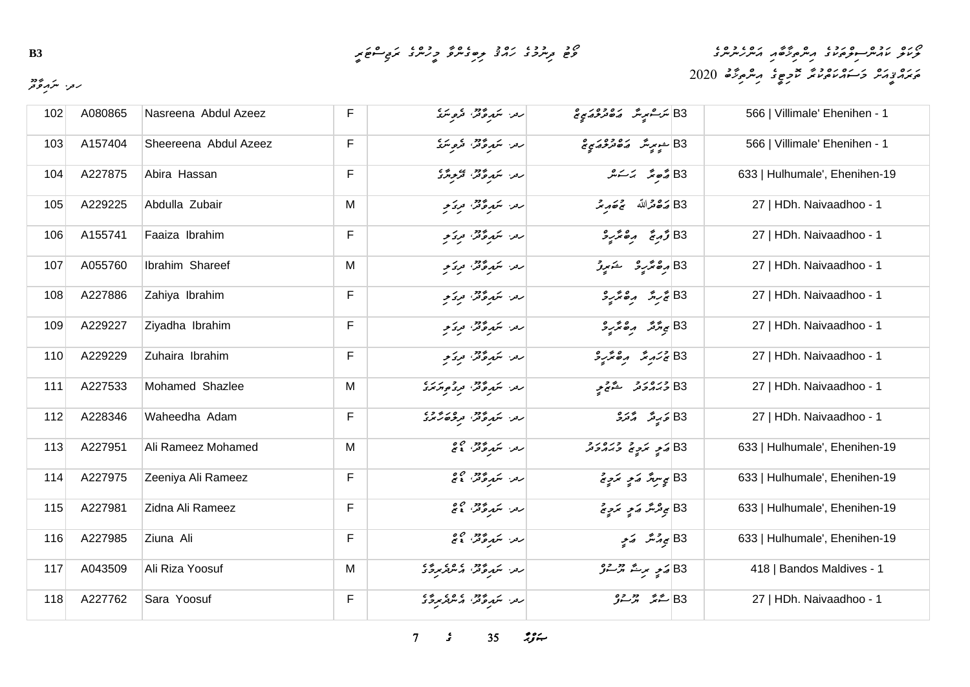*sCw7q7s5w7m< o<n9nOoAw7o< sCq;mAwBoEw7q<m; wBm;vB* م من المرة المرة المرة المرجع المرجع في المركبة 2020<br>مجم*د المريض المربوط المربع المرجع في المراجع المركبة* 

| 102 | A080865 | Nasreena Abdul Azeez  | $\mathsf F$ | رىن سەرگەش تۈرسىگە                                                                                   | B3 ىرگىرىگىر مەھ <i>ەر ۋە ئ</i> وي                                                         | 566   Villimale' Ehenihen - 1 |
|-----|---------|-----------------------|-------------|------------------------------------------------------------------------------------------------------|--------------------------------------------------------------------------------------------|-------------------------------|
| 103 | A157404 | Sheereena Abdul Azeez | $\mathsf F$ | رىر. سَمَدِ قُرْقَ، تَرْحِ سَمَدُ                                                                    | B3 خېرېگر كەھە <i>تر ۋە ئې</i> تى                                                          | 566   Villimale' Ehenihen - 1 |
| 104 | A227875 | Abira Hassan          | $\mathsf F$ | رو. سَمَدِ وَلَوْ، تَرْمُزِ پَرْ وَ                                                                  | B3 مَّەمَّدَ بَرَ يَدَ مَّر                                                                | 633   Hulhumale', Ehenihen-19 |
| 105 | A229225 | Abdulla Zubair        | M           | رىن سەرگەش ىرىكى                                                                                     | $5.62$ $\frac{2}{3}$ $\frac{2}{3}$ $\frac{2}{3}$ $\frac{2}{3}$ $\frac{2}{3}$ $\frac{2}{3}$ | 27   HDh. Naivaadhoo - 1      |
| 106 | A155741 | Faaiza Ibrahim        | F           | رىن سەرگەش ىرىكى                                                                                     | B3 زَمِيعٌ مِنْ صَمَّرِ فِي                                                                | 27   HDh. Naivaadhoo - 1      |
| 107 | A055760 | Ibrahim Shareef       | M           | رىن سَمَدِةٌ بِيْنَ مِرْيَا مِنْ الْمَدِينَ بِيَنْ الْمَدِينَ بِيَنْ الْمَدِينَ بِيَنْ الْمَدِينَ بِ | B3  مەھەرىرى شەمرى <sup>3</sup>                                                            | 27   HDh. Naivaadhoo - 1      |
| 108 | A227886 | Zahiya Ibrahim        | F           | رىن سَمَدِةٌ بِيَنْ مِرْيَا مِنْ الْمَدِينَ بِينَ الْمَرْيَا بِينَ الْمَرْيَا بِينَ الْمُرْيَا بِين  | B3 تج برمز مرھ تربر فر                                                                     | 27   HDh. Naivaadhoo - 1      |
| 109 | A229227 | Ziyadha Ibrahim       | F           | رىن سَمَدِةً فِينَ مَرِيَ مِنْ                                                                       | B3 ى <sub>ج</sub> ىرى <i>گە مەھەردى</i>                                                    | 27   HDh. Naivaadhoo - 1      |
| 110 | A229229 | Zuhaira Ibrahim       | F           | رىن سەرگەش ىرىكى                                                                                     | B3 ى <i>ج ئەبەتگە مەھەتگەپ</i> ى                                                           | 27   HDh. Naivaadhoo - 1      |
| 111 | A227533 | Mohamed Shazlee       | M           | رىر. سرمرۇش. مرد ئومرىرى                                                                             | B3 <i>وُبَرُوْدَوْ</i> حُدَّيْ مِ                                                          | 27   HDh. Naivaadhoo - 1      |
| 112 | A228346 | Waheedha Adam         | $\mathsf F$ | رىر. سەر ئەدە بەر ئەدە                                                                               | B3 ك <i>ەبەنڈ م</i> گ <i>ەن</i> گ                                                          | 27   HDh. Naivaadhoo - 1      |
| 113 | A227951 | Ali Rameez Mohamed    | M           | رى سەرگەنى ئ                                                                                         | B3 كەي ترىپ ئەرەر ئ                                                                        | 633   Hulhumale', Ehenihen-19 |
| 114 | A227975 | Zeeniya Ali Rameez    | F           | رى سەرگەنى ئ                                                                                         | B3 پ <i>ې سرگ مرکم پر کرچ</i> تح                                                           | 633   Hulhumale', Ehenihen-19 |
| 115 | A227981 | Zidna Ali Rameez      | $\mathsf F$ | رى سەر ئەرى                                                                                          | B3 پ <i>ونگر مک</i> و تکویج                                                                | 633   Hulhumale', Ehenihen-19 |
| 116 | A227985 | Ziuna Ali             | F           | رى سەرقىق ؟ ج                                                                                        | B3 يوړنگر ک <sup>ړ</sup> مو                                                                | 633   Hulhumale', Ehenihen-19 |
| 117 | A043509 | Ali Riza Yoosuf       | M           | رى شھەھ بىرە ئەسىر ئەر                                                                               | B3 کی پہ بہت پر میں تو                                                                     | 418   Bandos Maldives - 1     |
| 118 | A227762 | Sara Yoosuf           | F           | رى شھەھ بىرە ئەرەپىيە ئەرە                                                                           | B3 جيشر ت <i>ورجو</i>                                                                      | 27   HDh. Naivaadhoo - 1      |

*7 sC 35 nNw?mS*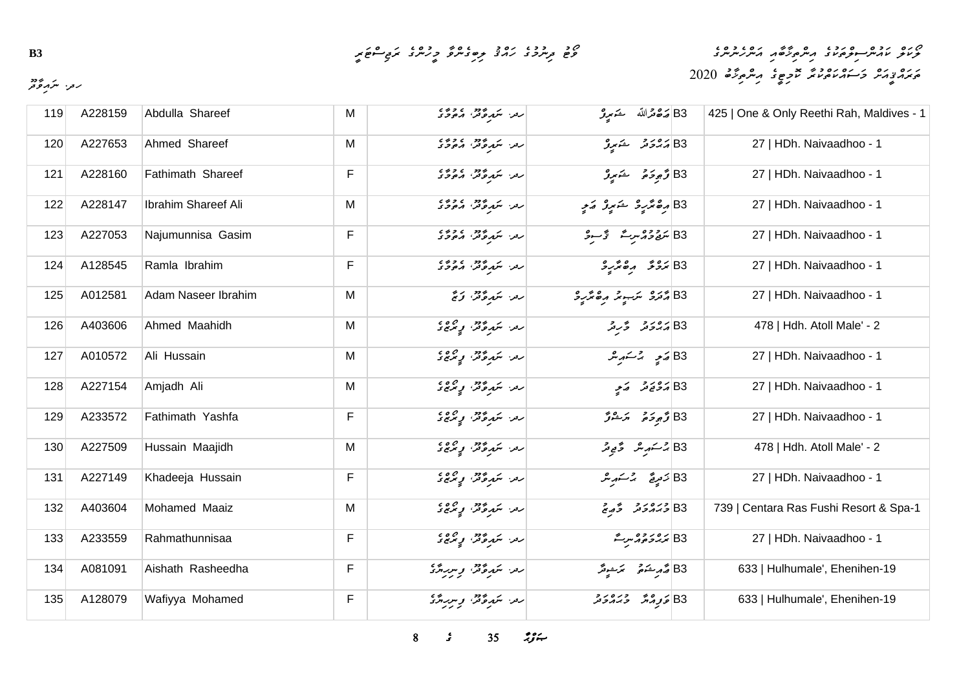*sCw7q7s5w7m< o<n9nOoAw7o< sCq;mAwBoEw7q<m; wBm;vB 2020<sup>, م</sup>وجدة المصرورة المجموعة المستورجة والم*جموعة والمجموعة والمجموعة والمجموعة والمجموعة والمجموعة والمجموعة

| ر <sub>و،</sub> سمه دود<br>رو، سمه وو |             |           |
|---------------------------------------|-------------|-----------|
|                                       | 119 A228159 | Abdulla S |
|                                       | 120 A227653 | ∣Ahmed S  |

| 119 | A228159 | Abdulla Shareef     | M            | رى شرگەنى مەدە                         | B3 كەڭ قىراللە مى <i>كەمب</i> ۇ               | 425   One & Only Reethi Rah, Maldives - 1 |
|-----|---------|---------------------|--------------|----------------------------------------|-----------------------------------------------|-------------------------------------------|
| 120 | A227653 | Ahmed Shareef       | M            | رو. سمدونو. ، دو،                      | B3   كەش <sup>ى</sup> كىرى ئىككى ئىراقى ئىراق | 27   HDh. Naivaadhoo - 1                  |
| 121 | A228160 | Fathimath Shareef   | $\mathsf F$  | رىر. شمەنۇنى مەدەر                     | B3 تَرْجِعَةً صَمَيْرَتَّ                     | 27   HDh. Naivaadhoo - 1                  |
| 122 | A228147 | Ibrahim Shareef Ali | M            | رى شمەنۇنى مەدە ،<br>رىس شمەنۇنى مەدى  | B3 پ <i>ر&amp;ټريري ڪپري چ</i> َرِ            | 27   HDh. Naivaadhoo - 1                  |
| 123 | A227053 | Najumunnisa Gasim   | $\mathsf F$  | رىر. سەرگەن ، دە ،                     | B3 سَھَ <i>25 سِرتَہ ہے ۔</i>                 | 27   HDh. Naivaadhoo - 1                  |
| 124 | A128545 | Ramla Ibrahim       | $\mathsf F$  | رىر. سەرگەن ، دە ،                     | B3 بَرْدْ دَّ مِنْ بِرْدْ                     | 27   HDh. Naivaadhoo - 1                  |
| 125 | A012581 | Adam Naseer Ibrahim | M            | رىر سَمَدِ ھَ <sup>ود</sup> ُ کَرَمَّے | B3 أَمُتَرَكَ سَرَجِيمُ مِنْ مُرْكَبِرِ \$    | 27   HDh. Naivaadhoo - 1                  |
| 126 | A403606 | Ahmed Maahidh       | M            | رىر. سَمَدِ قَرْبُ وَ مِرَى دَ         | B3 <i>جَدْدُوتْر</i> گُرِيْتْر                | 478   Hdh. Atoll Male' - 2                |
| 127 | A010572 | Ali Hussain         | M            | رى شمەنگەر دە ئ                        | B3 <i>ھَ۔ ج</i> شڪھيڪر                        | 27   HDh. Naivaadhoo - 1                  |
| 128 | A227154 | Amjadh Ali          | M            | رىر. سَمَدِ قَرْبُ وَ مِرَى دَ         | B3 كەنزىق كەم                                 | 27   HDh. Naivaadhoo - 1                  |
| 129 | A233572 | Fathimath Yashfa    | $\mathsf{F}$ | رو. سَمَدِ وَتَوْ، وِ مَرَّج وَ        | B3 رَّجِ جَمَعَ مَرْشَرَّ                     | 27   HDh. Naivaadhoo - 1                  |
| 130 | A227509 | Hussain Maajidh     | M            | رىر. سَمَدِ قَرْبُ وَ مِرَى دَ         | B3 يُرْسَمب <sup>9</sup> مُنْ وَّمِينْ مِنْ   | 478   Hdh. Atoll Male' - 2                |
| 131 | A227149 | Khadeeja Hussain    | F            | رىر. سَمَدِ قَرْبُ وَ مِرَى دَ         | B3 كَتَعِيقٌ مُ يَسْتَهْدِ مَثْرٌ             | 27   HDh. Naivaadhoo - 1                  |
| 132 | A403604 | Mohamed Maaiz       | M            | رىر. سَمَدِ قَرْآءِ وَ مِرَى وَ        | $2.3.2.2$ B3                                  | 739   Centara Ras Fushi Resort & Spa-1    |
| 133 | A233559 | Rahmathunnisaa      | $\mathsf F$  | رىر. سَمَدِ قَرْشَ، و پرېږي            | B3 ئۈيرد <i>ۋە تېرى</i> گە                    | 27   HDh. Naivaadhoo - 1                  |
| 134 | A081091 | Aishath Rasheedha   | $\mathsf F$  | رىر. سَمْدِةٌ تَمْرُ، وِسْرَسْرَةٌ وَ  | B3 مُجم <i>مِ شَهُمْ - مَرَ</i> حْمِعُرَّ     | 633   Hulhumale', Ehenihen-19             |
| 135 | A128079 | Wafiyya Mohamed     | $\mathsf F$  | رىر. سَرەڭگە ۋىبرىدەگە                 | B3 <i>قومەھ جەم</i> ەر ج                      | 633   Hulhumale', Ehenihen-19             |

**8** *s* **35** *n***<sub>y</sub> <b>***n*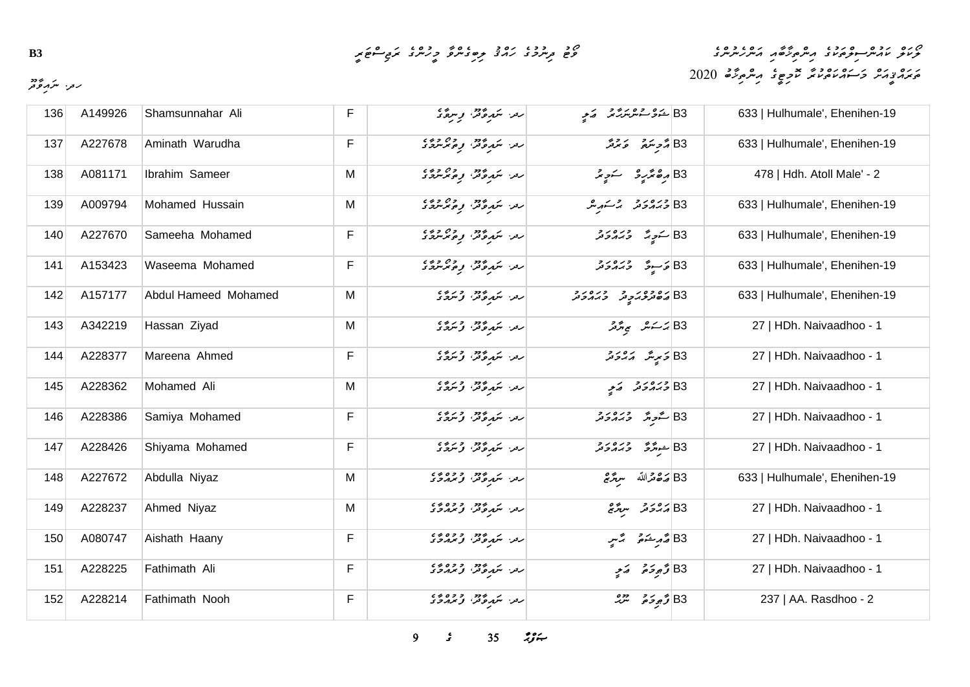*sCw7q7s5w7m< o<n9nOoAw7o< sCq;mAwBoEw7q<m; wBm;vB* م من المرة المرة المرة المرجع المرجع في المركبة 2020<br>مجم*د المريض المربوط المربع المرجع في المراجع المركبة* 

| 136 | A149926 | Shamsunnahar Ali     | F           | رىن سَمَدِةٌ تَمْرُ وِسِرَةٌ وَ | B3  المذكرات محمد محمد محمد المريحية المحمد                                                                    | 633   Hulhumale', Ehenihen-19 |
|-----|---------|----------------------|-------------|---------------------------------|----------------------------------------------------------------------------------------------------------------|-------------------------------|
| 137 | A227678 | Aminath Warudha      | F           | رد. سرم وده وه وده و            | B3 مَّ <i>جِسَعَةَ وَمَ</i> حَمَّدَ                                                                            | 633   Hulhumale', Ehenihen-19 |
| 138 | A081171 | Ibrahim Sameer       | M           | رىر. سَرەڭ ئۆمەسىرىدى           | B3 م <i>وڭ ئۇرۇ سىم</i> وتمە                                                                                   | 478   Hdh. Atoll Male' - 2    |
| 139 | A009794 | Mohamed Hussain      | M           | رىر. سەر قورى قارەت ئ           | B3 32023 كريمه مر                                                                                              | 633   Hulhumale', Ehenihen-19 |
| 140 | A227670 | Sameeha Mohamed      | F           | رو. سمد وده وه وده و            | B3 س <i>َوِيدٌ وَيَ</i> مُحَمَّدُ                                                                              | 633   Hulhumale', Ehenihen-19 |
| 141 | A153423 | Waseema Mohamed      | $\mathsf F$ | رد. سرم وده وه وده و            | B3 كۈسەن ئەممى ئەرىر ئىس                                                                                       | 633   Hulhumale', Ehenihen-19 |
| 142 | A157177 | Abdul Hameed Mohamed | M           | رىر. سَمَدِعْ تَمْرُ وَسُرَوَى  | B3 ג' ביציב בי די בידי בי בי הרבי הרי בי הרי בי הרי בי הרי בי הרי בי הרי בי הרי בי הרי בי הרי בי הרי בי הרי בי | 633   Hulhumale', Ehenihen-19 |
| 143 | A342219 | Hassan Ziyad         | M           | رى شمەنگەن ۋىرە ئ               | B3  پرستہ مشر ہے پر تقر                                                                                        | 27   HDh. Naivaadhoo - 1      |
| 144 | A228377 | Mareena Ahmed        | F           | رىر. سمدۇنر، ورە ،              | B3 كەمپەنگە كەبر <i>ۇ ق</i> ر                                                                                  | 27   HDh. Naivaadhoo - 1      |
| 145 | A228362 | Mohamed Ali          | M           | رىر. سَمَدِ وَتَمَرُّ وَسَرَوَى | B3  <i>وټرونو ټو</i>                                                                                           | 27   HDh. Naivaadhoo - 1      |
| 146 | A228386 | Samiya Mohamed       | F           | رىر. شەرقىق، ۋىترونى            | B3 جَمعِ جَمَدَ وَمَدَ مِنْ                                                                                    | 27   HDh. Naivaadhoo - 1      |
| 147 | A228426 | Shiyama Mohamed      | F           | رىر. سَمَدِعَ ڤَرْ) كۆسۈرگ      | B3 شوپر 25 د مرد تر                                                                                            | 27   HDh. Naivaadhoo - 1      |
| 148 | A227672 | Abdulla Niyaz        | M           | رى شرق دەەپ                     | B3 مَەھتراللە س <i>ىترى</i> ج                                                                                  | 633   Hulhumale', Ehenihen-19 |
| 149 | A228237 | Ahmed Niyaz          | M           | رى شمەرگەن ۋىرەر 23             | B3   كەندى كەندىكى ئىس كەندىكى ئ                                                                               | 27   HDh. Naivaadhoo - 1      |
| 150 | A080747 | Aishath Haany        | $\mathsf F$ | رى شمەھ ئۇ دەھ بى               | B3 <i>۾ُ مِ</i> ڪَمُو گيرِ                                                                                     | 27   HDh. Naivaadhoo - 1      |
| 151 | A228225 | Fathimath Ali        | $\mathsf F$ | رو. سَمَدٍ وَلَا وَ وَ وَ وَ وَ | B3 وَج <i>وحَمْ مَ</i> حٍ                                                                                      | 27   HDh. Naivaadhoo - 1      |
| 152 | A228214 | Fathimath Nooh       | F           | رى شرەقىق دەەبە                 | B3 <i>وَّجِوحَةَ</i> مَ <i>بْنُ</i>                                                                            | 237   AA. Rasdhoo - 2         |

*9 s* 35 *i*<sub>S</sub>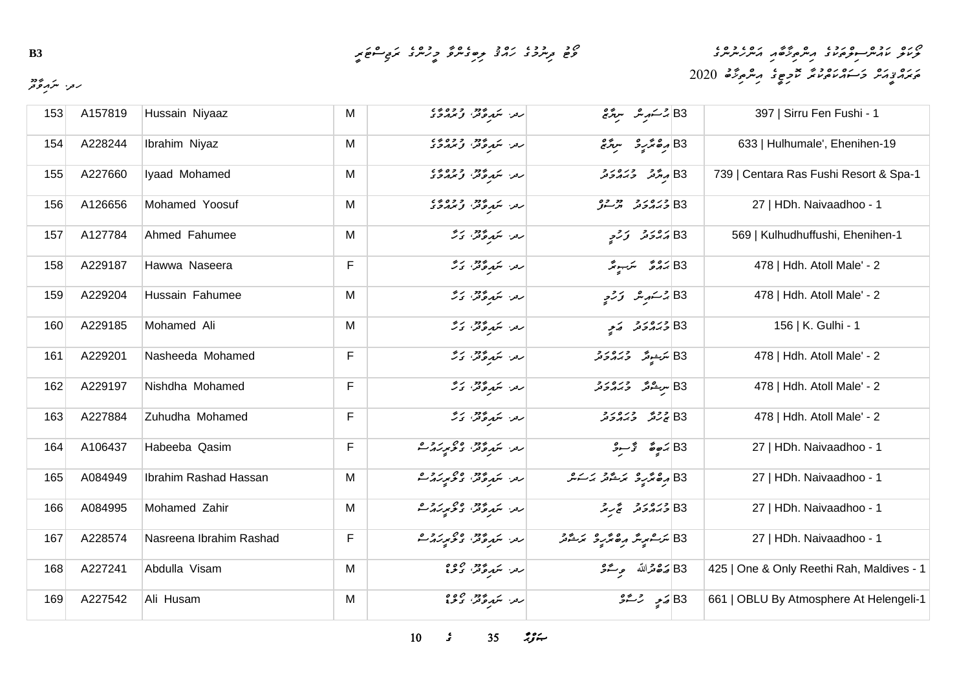*sCw7q7s5w7m< o<n9nOoAw7o< sCq;mAwBoEw7q<m; wBm;vB* م من المرة المرة المرة المرجع المرجع في المركبة 2020<br>مجم*د المريض المربوط المربع المرجع في المراجع المركبة* 

| 224<br>رىر سرموىر |  |
|-------------------|--|
|-------------------|--|

| 153 | A157819 | Hussain Niyaaz          | M           | رى سەرگەدە دەھەر                                                                                     | B3 كەسىر مىش سىرتىقى                                                                                                | 397   Sirru Fen Fushi - 1                 |
|-----|---------|-------------------------|-------------|------------------------------------------------------------------------------------------------------|---------------------------------------------------------------------------------------------------------------------|-------------------------------------------|
| 154 | A228244 | Ibrahim Niyaz           | M           | رى شرق دىن                                                                                           | B3 م <i>ِ هُ مُّرْرِ \$ سِرْدُ</i> ج                                                                                | 633   Hulhumale', Ehenihen-19             |
| 155 | A227660 | Iyaad Mohamed           | M           | رو. سَمَدِ وَلَوْرٌ وَمُحَمَّدٌ وَ وَلَا لَهُ وَلَا لَهُ وَلَا لَهُ وَلَا لَهُ وَلَا لَهُ وَلَا لَهُ | B3 م <i>ې</i> ترند <i>دېم</i> مرد تر                                                                                | 739   Centara Ras Fushi Resort & Spa-1    |
| 156 | A126656 | Mohamed Yoosuf          | M           | رىر. سەرقىق، ۋەھەرە                                                                                  | B3 دېم دي ه ده وه                                                                                                   | 27   HDh. Naivaadhoo - 1                  |
| 157 | A127784 | Ahmed Fahumee           | M           | رىن سەرەتىر، ئەگ                                                                                     | B3   <i>دَ دُوَتْرِ</i> کَرْحِي                                                                                     | 569   Kulhudhuffushi, Ehenihen-1          |
| 158 | A229187 | Hawwa Naseera           | F           | رىن سەرەتىر، ئەگ                                                                                     | B3 <i>بَدْهُ مَّ</i> سَرَسِيمَّ                                                                                     | 478   Hdh. Atoll Male' - 2                |
| 159 | A229204 | Hussain Fahumee         | M           | رىن سەرگەنى ئەڭ                                                                                      | B3  پرستمبر تر تر <i>قی</i> ح                                                                                       | 478   Hdh. Atoll Male' - 2                |
| 160 | A229185 | Mohamed Ali             | M           | رى سەرقىق ئ                                                                                          | B3 ديرورو ك <i>ي</i> و                                                                                              | 156   K. Gulhi - 1                        |
| 161 | A229201 | Nasheeda Mohamed        | $\mathsf F$ | رىن سەرەتىر، ئەگ                                                                                     | B3 يَرْسُوِيَّرُ - 25,5% لِ                                                                                         | 478   Hdh. Atoll Male' - 2                |
| 162 | A229197 | Nishdha Mohamed         | $\mathsf F$ | رىن سمەرگەن كەت                                                                                      | B3 سرشوش كەندەر قىر                                                                                                 | 478   Hdh. Atoll Male' - 2                |
| 163 | A227884 | Zuhudha Mohamed         | $\mathsf F$ | رىن سەرقىقى ئەم                                                                                      | B3 ج ح محمد حديد حسن السير حسن السير<br>السير السير السير السير حسن السير حسن السير السير السير السير السير السير ا | 478   Hdh. Atoll Male' - 2                |
| 164 | A106437 | Habeeba Qasim           | F           | رىر. سەرگەش، ئەترىرىدىك                                                                              | B3 بَرَصٍ صَبَحَ ـَ سِرْحَرِ                                                                                        | 27   HDh. Naivaadhoo - 1                  |
| 165 | A084949 | Ibrahim Rashad Hassan   | M           | رىر. سەر ئۆز، ئىگە ئەر ئەر                                                                           | B3 مەھەرگەر ئەر ئەرگە ئەسەملەر                                                                                      | 27   HDh. Naivaadhoo - 1                  |
| 166 | A084995 | Mohamed Zahir           | M           | رىر شەرقىق دىم بەر ق                                                                                 | B3 دُيَرْدُدَ قَدْ جُرِيْرُ                                                                                         | 27   HDh. Naivaadhoo - 1                  |
| 167 | A228574 | Nasreena Ibrahim Rashad | F           | رىر. سىدۇنى، ئەمەر ئەرە                                                                              |                                                                                                                     | 27   HDh. Naivaadhoo - 1                  |
| 168 | A227241 | Abdulla Visam           | M           | رى سەر ھەر 200                                                                                       | B3 كەھەراللە م <i>وسۇ</i> ر                                                                                         | 425   One & Only Reethi Rah, Maldives - 1 |
| 169 | A227542 | Ali Husam               | M           | رى شمەھ تەرەپى                                                                                       | B3 <i>جَمْعٍ رَحْسُوْ</i>                                                                                           | 661   OBLU By Atmosphere At Helengeli-1   |

 $10$  *s* 35  $23$   $-$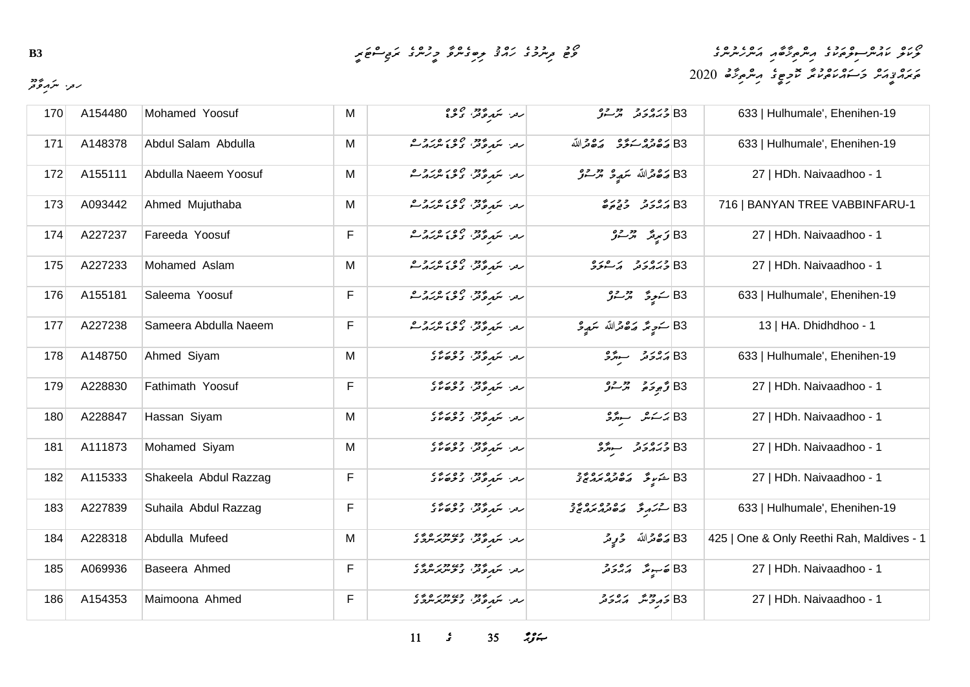*sCw7q7s5w7m< o<n9nOoAw7o< sCq;mAwBoEw7q<m; wBm;vB* م من المرة المرة المرة المرجع المرجع في المركبة 2020<br>مجم*د المريض المربوط المربع المرجع في المراجع المركبة* 

| 170 | A154480 | Mohamed Yoosuf        | M           | رى شمەرگەن ئەمەم                                        | B3 32222 مركزو                               | 633   Hulhumale', Ehenihen-19             |
|-----|---------|-----------------------|-------------|---------------------------------------------------------|----------------------------------------------|-------------------------------------------|
| 171 | A148378 | Abdul Salam Abdulla   | M           | رى شەھ ھەرەر دەھ                                        | B3 مەھ <i>ىرە مەغۋى مەھەت</i> راللە          | 633   Hulhumale', Ehenihen-19             |
| 172 | A155111 | Abdulla Naeem Yoosuf  | M           | رى شەرقىق 2010- 0.50                                    | B3 كەھەراللە سەر بىر بىر بىر                 | 27   HDh. Naivaadhoo - 1                  |
| 173 | A093442 | Ahmed Mujuthaba       | M           | رى شمەن 200 ، 200 ق                                     | 83 كەبروتر بولۇمۇ ئ                          | 716   BANYAN TREE VABBINFARU-1            |
| 174 | A227237 | Fareeda Yoosuf        | $\mathsf F$ | رى شمەن ئەھ بەرەرە ئە                                   | B3 كۆمىرىگە كەشىقۇ                           | 27   HDh. Naivaadhoo - 1                  |
| 175 | A227233 | Mohamed Aslam         | M           | رى شمەن ئەق 200،000 ق                                   | B3 ديره در پر مرده                           | 27   HDh. Naivaadhoo - 1                  |
| 176 | A155181 | Saleema Yoosuf        | F           | رى شەھەرە دەرەر دە                                      | B3 ڪوپر <i>ة پڙينو</i>                       | 633   Hulhumale', Ehenihen-19             |
| 177 | A227238 | Sameera Abdulla Naeem | $\mathsf F$ | رى شەھ ھەرەر دەھ                                        | B3 سَعرِ مَدَّ مَدَّة مَشَّالَهُ مَدَيْدِ \$ | 13   HA. Dhidhdhoo - 1                    |
| 178 | A148750 | Ahmed Siyam           | M           | رى سەر 32 دەردە                                         | B3 كەندى كىلەر يىلىمى كەندىكى بىر            | 633   Hulhumale', Ehenihen-19             |
| 179 | A228830 | Fathimath Yoosuf      | $\mathsf F$ | رد. سُر وَدُ وه دو،                                     | B3 رَّجِ <i>وَةُ بِرْ</i> سْرُ               | 27   HDh. Naivaadhoo - 1                  |
| 180 | A228847 | Hassan Siyam          | M           | رد. سُر وَدُ وه دو،                                     | B3 بَرَسَة مَشَرَّةً مِنْ سَنَدَةً           | 27   HDh. Naivaadhoo - 1                  |
| 181 | A111873 | Mohamed Siyam         | M           | رد. سُر وَدُ وه دو،                                     | $3.7323$ B3                                  | 27   HDh. Naivaadhoo - 1                  |
| 182 | A115333 | Shakeela Abdul Razzag | $\mathsf F$ | رد. سُر وَدُ وه دو،                                     | B3 شرىر ئەھەرە <i>مەدە</i>                   | 27   HDh. Naivaadhoo - 1                  |
| 183 | A227839 | Suhaila Abdul Razzag  | $\mathsf F$ | رى شرەقىقى دەرەرە                                       | B3 مەزرە بوھ مەدەبەيج                        | 633   Hulhumale', Ehenihen-19             |
| 184 | A228318 | Abdulla Mufeed        | M           | دور دره دور ده دره بود.<br>روز شهروتر، د وسرپرسرو د     | B3 كەھەراللە ق <i>وي</i> تر                  | 425   One & Only Reethi Rah, Maldives - 1 |
| 185 | A069936 | Baseera Ahmed         | $\mathsf F$ | رو. سرم وجود دي دوره وي                                 | B3 ھَ بِيعُدِ مَدْحَدَّر                     | 27   HDh. Naivaadhoo - 1                  |
| 186 | A154353 | Maimoona Ahmed        | F           | رو. شهروی و وی دور ه و ،<br>رو. شهروتر، ی بر سربر سرو ی | B3 <i>وَمِرْدَمْدَ مَدْدَ</i> مْر            | 27   HDh. Naivaadhoo - 1                  |

 $11$  *s* 35  $23$   $-$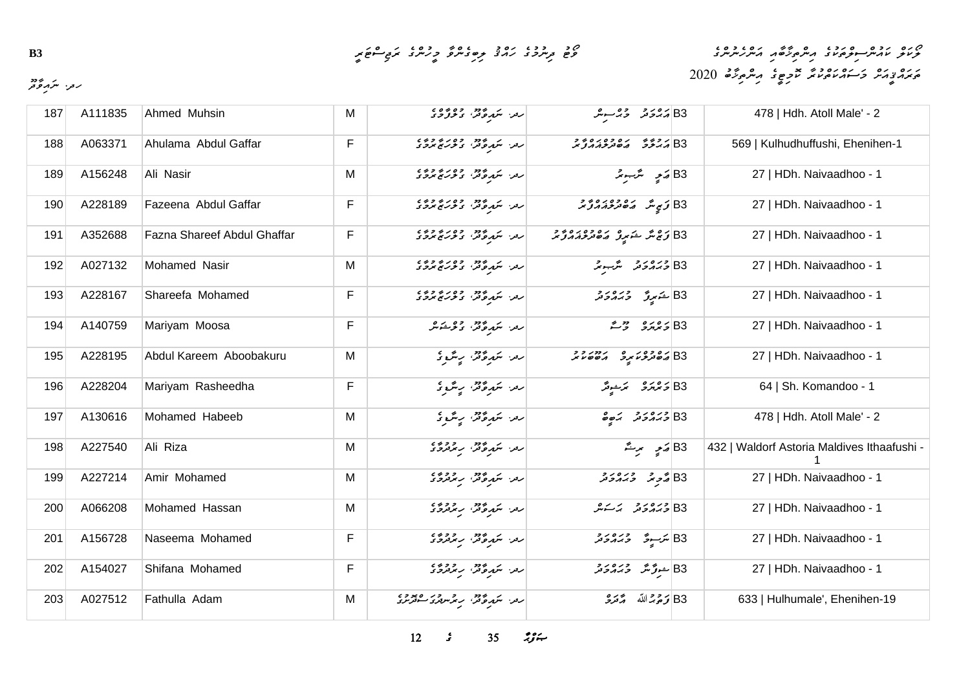*sCw7q7s5w7m< o<n9nOoAw7o< sCq;mAwBoEw7q<m; wBm;vB* م من المسجد المسجد المسجد المسجد المسجد العام 2020<br>مسجد المسجد المسجد المسجد المسجد المسجد المسجد المسجد المسجد ال

| 187 | A111835 | Ahmed Muhsin                | M            | رى شرەقىق دەپەە ،                                                                                                                                                                                                               | B3 <i>كەنگە كەنگە ئالىرى</i> گە | 478   Hdh. Atoll Male' - 2                  |
|-----|---------|-----------------------------|--------------|---------------------------------------------------------------------------------------------------------------------------------------------------------------------------------------------------------------------------------|---------------------------------|---------------------------------------------|
| 188 | A063371 | Ahulama Abdul Gaffar        | F            | رود شهرود وه د و و د و                                                                                                                                                                                                          | B3 روم ده وه ره د و د           | 569   Kulhudhuffushi, Ehenihen-1            |
| 189 | A156248 | Ali Nasir                   | M            | رو. سرمروس وه د و د و د                                                                                                                                                                                                         | B3   <i>ماج</i> سگرسومگر        | 27   HDh. Naivaadhoo - 1                    |
| 190 | A228189 | Fazeena Abdul Gaffar        | F            | رو، شهرونو، ووری دور                                                                                                                                                                                                            | B3 ئوي مگر ھەمرە بورە دىر       | 27   HDh. Naivaadhoo - 1                    |
| 191 | A352688 | Fazna Shareef Abdul Ghaffar | F            | رو. سمدۇن دەرە دەر                                                                                                                                                                                                              | B3 زەپر خىرى رەمەدە دەرە        | 27   HDh. Naivaadhoo - 1                    |
| 192 | A027132 | Mohamed Nasir               | M            | رود شهروی وه دوده و                                                                                                                                                                                                             | B3 <i>دېمم</i> ونو گرېنو        | 27   HDh. Naivaadhoo - 1                    |
| 193 | A228167 | Shareefa Mohamed            | $\mathsf F$  | رود شهروی وه در دود                                                                                                                                                                                                             | B3 ڪيپو <i>ڙ وين وي</i> و       | 27   HDh. Naivaadhoo - 1                    |
| 194 | A140759 | Mariyam Moosa               | $\mathsf{F}$ | رىر. سَمَدِعُ پَنْ وَقَوْمَتْ سُرْ                                                                                                                                                                                              | $23$ $22$ $52$ $B3$             | 27   HDh. Naivaadhoo - 1                    |
| 195 | A228195 | Abdul Kareem Aboobakuru     | M            | رىر. سَمَدِعْ قُتْرُ ، رِسَّنَةٍ لَهُ                                                                                                                                                                                           | B3 בספר פרי פרי פרי בר          | 27   HDh. Naivaadhoo - 1                    |
| 196 | A228204 | Mariyam Rasheedha           | $\mathsf{F}$ | رىر. سَمَدِةٌ قُتْلُ رِسَّرِينَ                                                                                                                                                                                                 | B3 كەنگەنگە كەن ئىرىسى قە       | 64   Sh. Komandoo - 1                       |
| 197 | A130616 | Mohamed Habeeb              | M            | رىر. سَمَدِعْ قُتْرُ ، رِسَّنَةٍ لَهُ                                                                                                                                                                                           | $602 < 3222$ B3                 | 478   Hdh. Atoll Male' - 2                  |
| 198 | A227540 | Ali Riza                    | M            | رو. سَمْدِعُمْنَ رِبْرُورَى                                                                                                                                                                                                     | B3 کہ یہ مرت                    | 432   Waldorf Astoria Maldives Ithaafushi - |
| 199 | A227214 | Amir Mohamed                | M            | رو. سَمَدِ وَقَوْ، رِ بِرُورْدَ وَ                                                                                                                                                                                              | B3 مَجْمَدِ حَمَدَ مَدَوْمَرُ   | 27   HDh. Naivaadhoo - 1                    |
| 200 | A066208 | Mohamed Hassan              | M            | رو. سَمَدِ وَقَوْ، رِ وَوَ وَ وَ                                                                                                                                                                                                | B3 دېم دير ديگ پر               | 27   HDh. Naivaadhoo - 1                    |
| 201 | A156728 | Naseema Mohamed             | $\mathsf F$  | رو. سَمْرِوَّتْرٌ، رِیْرُوْرُدُ                                                                                                                                                                                                 | B3 يترسون - ويروديو             | 27   HDh. Naivaadhoo - 1                    |
| 202 | A154027 | Shifana Mohamed             | $\mathsf{F}$ | رو. سَمَدِوٌ وَرَبِّ وَدِي                                                                                                                                                                                                      | B3 جو <i>ڙنگ وين ويو</i>        | 27   HDh. Naivaadhoo - 1                    |
| 203 | A027512 | Fathulla Adam               | M            | رود شمیره دو به در صورت در در در این در در این در این در این در این در این در این در این در این در این در این<br>مرد در این در این در این در این در این در این در این در این در این در این در این در این در این در این در این د | B3 وَحْدَاللَّهُ مُرْمَرْدُ     | 633   Hulhumale', Ehenihen-19               |

 $12$  *s* 35  $23$   $-$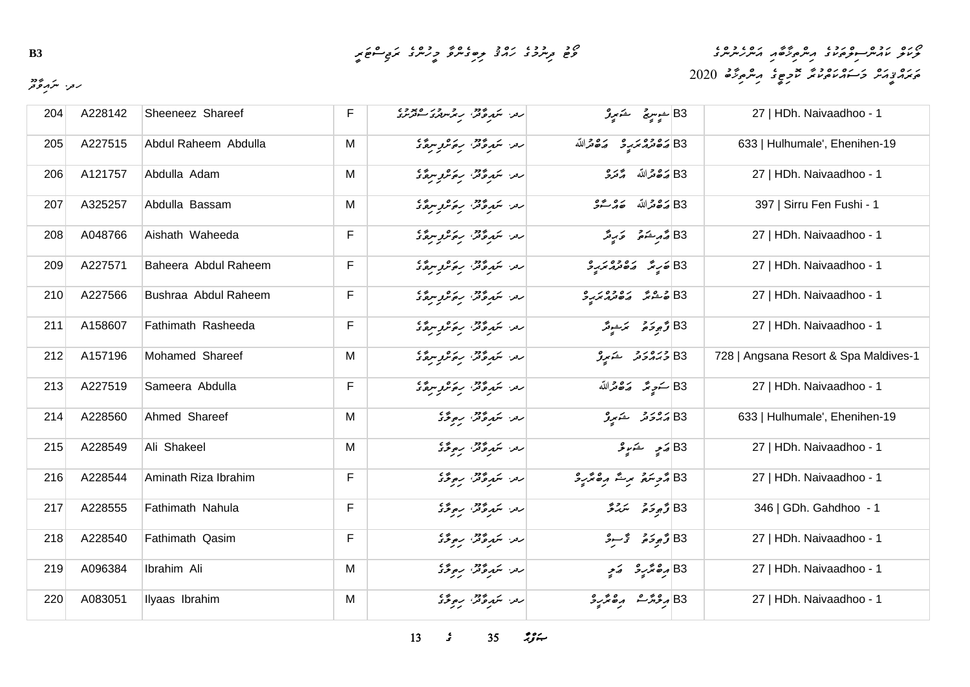*sCw7q7s5w7m< o<n9nOoAw7o< sCq;mAwBoEw7q<m; wBm;vB* م من المرة المرة المرة المرجع المرجع في المركبة 2020<br>مجم*د المريض المربوط المربع المرجع في المراجع المركبة* 

| 204 | A228142 | Sheeneez Shareef     | F           | رو. سمد گروه. ریز سرفری سوفرس            | B3 ڪوسريٽن ڪمبرگر                          | 27   HDh. Naivaadhoo - 1              |
|-----|---------|----------------------|-------------|------------------------------------------|--------------------------------------------|---------------------------------------|
| 205 | A227515 | Abdul Raheem Abdulla | M           | رىر سەرەتىق رەكرىي سەرە                  | B3 <i>مَەھىرمىكى</i> ر <i>مەھىر</i> اللە   | 633   Hulhumale', Ehenihen-19         |
| 206 | A121757 | Abdulla Adam         | M           | رىر. سَمَدِ دَّدْ. رِيَرَ رُوسِرَةَ رَ   | B3 يَرْجُونِرْاللّه مُرْمَرْدِ             | 27   HDh. Naivaadhoo - 1              |
| 207 | A325257 | Abdulla Bassam       | M           | رىر شەرقىق بەق بورىيە                    | B3 مَهْمَّرَاللَّهُ ـ صَهْرَ مَّوْ         | 397   Sirru Fen Fushi - 1             |
| 208 | A048766 | Aishath Waheeda      | $\mathsf F$ | رىر. سَمَدِ دَّدْ. رِيَرَ رُوسِرَةَ رَ   | B3 م <i>ەمبىشى ق ب</i> وت <i>گ</i>         | 27   HDh. Naivaadhoo - 1              |
| 209 | A227571 | Baheera Abdul Raheem | $\mathsf F$ | رىر شەرقىق بەق بورىسىگە                  | B3 <i>جَرِيمٌ مَ</i> ص <i>وم يَرْبِ</i> وْ | 27   HDh. Naivaadhoo - 1              |
| 210 | A227566 | Bushraa Abdul Raheem | F           | رىر. سَمَدِ دَّدْ. رِيَّ تَرْوِ سِرْدَ د | B3 ھُشمَّرَ مُصْرِمْ مَرْكَبِرِ            | 27   HDh. Naivaadhoo - 1              |
| 211 | A158607 | Fathimath Rasheeda   | $\mathsf F$ | رىر شەرقىق بەق بورىيە                    | B3 وَ <i>جِ حَمْ</i> - مَرَسْوِمَّرُ       | 27   HDh. Naivaadhoo - 1              |
| 212 | A157196 | Mohamed Shareef      | M           | رىر. سَمَدِ دَّدْ. رِيَ تَرْوِ سِرْدَ دَ | B3  3 <i>222 مىتونى</i>                    | 728   Angsana Resort & Spa Maldives-1 |
| 213 | A227519 | Sameera Abdulla      | $\mathsf F$ | رىن سەرگەش رەكروسرەتى                    | B3 كوپ <i>رك مُذْهَقر</i> الله             | 27   HDh. Naivaadhoo - 1              |
| 214 | A228560 | Ahmed Shareef        | M           | رىر. سَمْدِعْ تْشْ رِجْوَى               | B3 <i>م برو بی متمبرو</i>                  | 633   Hulhumale', Ehenihen-19         |
| 215 | A228549 | Ali Shakeel          | M           | رىر. سَمَدِعَنْ قُرْ، رەپزى              | B3 <i>جَرِ جَمَرِ وَ</i>                   | 27   HDh. Naivaadhoo - 1              |
| 216 | A228544 | Aminath Riza Ibrahim | $\mathsf F$ | رىر. سَمَدِعَنْ لِمَ مِعْ دَ             | B3 مُرْحِسَمْ مِنْ مِنْ مِنْ مِنْ مِنْ     | 27   HDh. Naivaadhoo - 1              |
| 217 | A228555 | Fathimath Nahula     | F           | رىن سەرەتتى رەپرى                        | B3 <i>وَّجِ دَمَّ</i> سَ <i>ندُ</i> مَّ    | 346   GDh. Gahdhoo - 1                |
| 218 | A228540 | Fathimath Qasim      | $\mathsf F$ | رىن سەرگەش رەپرى                         | B3 رَّجِ وَحَمَّ تَحْ سِوْحَ               | 27   HDh. Naivaadhoo - 1              |
| 219 | A096384 | Ibrahim Ali          | M           | رىر. سَمْدِعْ تْشْ رِجْوَى               | B3 پ <i>رهنگړی ټ</i> و                     | 27   HDh. Naivaadhoo - 1              |
| 220 | A083051 | Ilyaas Ibrahim       | M           | رىر. سَمْرِوَنْژْ، سِيَوْرَى             | B3  موءثر مصر مصر مصر مصر ح                | 27   HDh. Naivaadhoo - 1              |

 $13$  *s* 35  $23$   $-$ 

ر<sub>قر</sub>. مر<sub>کم</sub>ود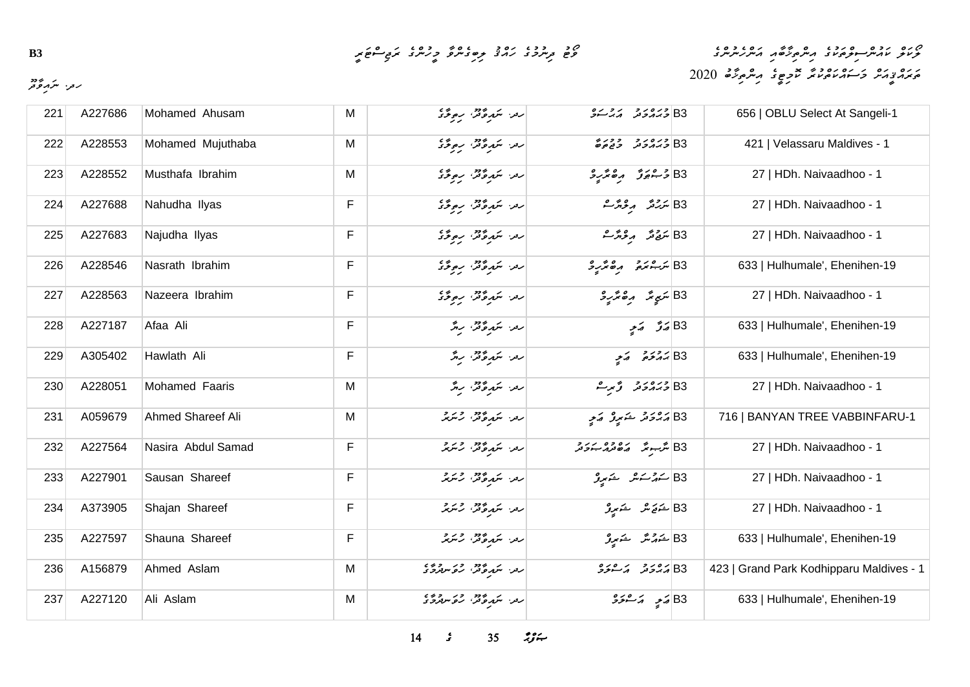*sCw7q7s5w7m< o<n9nOoAw7o< sCq;mAwBoEw7q<m; wBm;vB* م من المرة المرة المرة المرجع المرجع في المركبة 2020<br>مجم*د المريض المربوط المربع المرجع في المراجع المركبة* 

| 221 | A227686 | Mohamed Ahusam     | M           | رىن سەرەتتى رەپىتى           | $3 - 22 - 22$                                 | 656   OBLU Select At Sangeli-1           |
|-----|---------|--------------------|-------------|------------------------------|-----------------------------------------------|------------------------------------------|
| 222 | A228553 | Mohamed Mujuthaba  | M           | رىن سەرەتىق رەپىتى           |                                               | 421   Velassaru Maldives - 1             |
| 223 | A228552 | Musthafa Ibrahim   | M           | رىر. سَمَدِعَنْ مِنْ رِجْعَ  | B3 ۇب مۇر مەھرىرى                             | 27   HDh. Naivaadhoo - 1                 |
| 224 | A227688 | Nahudha Ilyas      | $\mathsf F$ | رىر. سَمَدِعَنْ مِنْ رِجْءَ  | B3 يَرْبَعُ مِعْتُمْ مِ                       | 27   HDh. Naivaadhoo - 1                 |
| 225 | A227683 | Najudha Ilyas      | F           | رىر. سَمَدِعَنْ رَەپْرَى     | B3 سَمِيعَ مَر مِگْرَ مُشَرِ                  | 27   HDh. Naivaadhoo - 1                 |
| 226 | A228546 | Nasrath Ibrahim    | F           | رىن سەرەتىق رەپىتى           | B3  سَرَ-مِهْرَمْ" مِرْحَدَّدِيْرَ            | 633   Hulhumale', Ehenihen-19            |
| 227 | A228563 | Nazeera Ibrahim    | F           | رىر. سَمَدِعَنْ مِنْ رِجْعَ  | B3 سَمِي سَمَّہ م <i>ِ ھُنَّرِ دُ</i>         | 27   HDh. Naivaadhoo - 1                 |
| 228 | A227187 | Afaa Ali           | $\mathsf F$ | رو. سَمَدِہُوْرٌ، رِبُرٌ     | B3 ړيځ پ <sub>ی ت</sub> و                     | 633   Hulhumale', Ehenihen-19            |
| 229 | A305402 | Hawlath Ali        | F           | رىن سَمَدِ قَرْبُ رِ بَرَّ   | B3 بَرْبُرْ حَوْ مَرْمِرِ .                   | 633   Hulhumale', Ehenihen-19            |
| 230 | A228051 | Mohamed Faaris     | M           | رىن سەرگەن رىژ               | B3 <i>وُيَهُ وَيَنْ</i> وَ <sub>مَ</sub> مِتْ | 27   HDh. Naivaadhoo - 1                 |
| 231 | A059679 | Ahmed Shareef Ali  | M           | رى شەرگەن رىكى               | B3 <i>גُ.2 دُوَ تَرْ سَمْ بِرِوْ کَ جِ</i>    | 716   BANYAN TREE VABBINFARU-1           |
| 232 | A227564 | Nasira Abdul Samad | F           | رى شمەنگەن رىكىر             | B3 سُرجو مُرە دە بەر د                        | 27   HDh. Naivaadhoo - 1                 |
| 233 | A227901 | Sausan Shareef     | F           | رىن شمەنگەن رىترىن           | B3 سەرجەسىر ھەمب <i>و</i> ر                   | 27   HDh. Naivaadhoo - 1                 |
| 234 | A373905 | Shajan Shareef     | $\mathsf F$ | رىن شەرەتىق رىزىر            | B3 ڪو <i>نئ ھي ڪوپو</i> گر                    | 27   HDh. Naivaadhoo - 1                 |
| 235 | A227597 | Shauna Shareef     | F           | رىر. سَمَدِعَنْ ئَرْسَرَيْرُ | B3 شەپرىش شە <i>يرى</i> ۋ                     | 633   Hulhumale', Ehenihen-19            |
| 236 | A156879 | Ahmed Aslam        | M           | رو. سمرگوش ژکرسهروی          | B3 كەبروتىر كەسىر <i>ە</i> رە                 | 423   Grand Park Kodhipparu Maldives - 1 |
| 237 | A227120 | Ali Aslam          | M           | رىر. سەرگەش. 22 سىرىرى       | B3   كەمچە    كەش <b>ك</b> ى ئا               | 633   Hulhumale', Ehenihen-19            |

*14 s* 35 *if*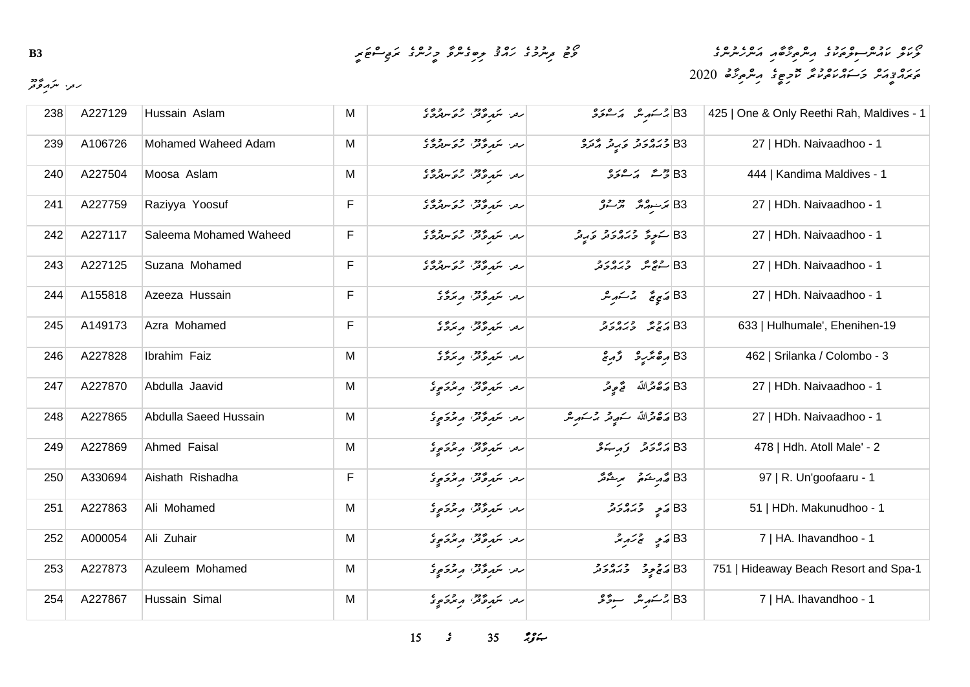*sCw7q7s5w7m< o<n9nOoAw7o< sCq;mAwBoEw7q<m; wBm;vB 2020*<br>*په پوهر وسوډيرونو لومو د موجو د مرمونه* 2020

| 238 | A227129 | Hussain Aslam          | M           | رىر. سَرْمُ دَمْرٌ مِنْ رَحْمَ سِهْرِ دَمَ | B3 يُرْسَهِ مِيْتَ مَرْسُوَةِ \$                      | 425   One & Only Reethi Rah, Maldives - 1 |
|-----|---------|------------------------|-------------|--------------------------------------------|-------------------------------------------------------|-------------------------------------------|
| 239 | A106726 | Mohamed Waheed Adam    | M           | رى شمەن بود. دەس دە                        | B3 <i>בג'הכנק פֿ</i> יגַע הינכ                        | 27   HDh. Naivaadhoo - 1                  |
| 240 | A227504 | Moosa Aslam            | M           | رىر. سَرْمَ وَتْرَ، رَحَ سَرْمَرْوَ وَ     | B3 مُسْتَرَوْ                                         | 444   Kandima Maldives - 1                |
| 241 | A227759 | Raziyya Yoosuf         | $\mathsf F$ | رىر شەر ئەدە بەر دە ئ                      | B3 بَرْسُورْدَّرْ وَرْسُوْرْ                          | 27   HDh. Naivaadhoo - 1                  |
| 242 | A227117 | Saleema Mohamed Waheed | F           | رو. سمد وو. د د د د د                      | B3 سَجِرَةَ كَ <sup>ر</sup> َدْ مَرْكَزَ كَرَبِيْرَ   | 27   HDh. Naivaadhoo - 1                  |
| 243 | A227125 | Suzana Mohamed         | $\mathsf F$ | رو. سمدونو، ژوستروی                        | B3 سُبِّي په ويرونو                                   | 27   HDh. Naivaadhoo - 1                  |
| 244 | A155818 | Azeeza Hussain         | $\mathsf F$ | رى شمەئۇش مەيزە ئ                          | B3 <i>ھَي جُه جُسَمب</i> ھ                            | 27   HDh. Naivaadhoo - 1                  |
| 245 | A149173 | Azra Mohamed           | $\mathsf F$ | رى شمەنگەر بەردە                           | B3 كەيمى ئەرەر ئە                                     | 633   Hulhumale', Ehenihen-19             |
| 246 | A227828 | Ibrahim Faiz           | M           | رى شمەئۇش مەيزى                            | B3 م <i>ەھتىپ</i> ى ئ <i>وم</i> ى                     | 462   Srilanka / Colombo - 3              |
| 247 | A227870 | Abdulla Jaavid         | M           | رى سەرگەن مەركىمى                          | B3 رَصْحَرْاللّه   قُومِتْر                           | 27   HDh. Naivaadhoo - 1                  |
| 248 | A227865 | Abdulla Saeed Hussain  | M           | رى سەرگەن مەركىمى                          | B3 يَرْھُ مَّرْاللَّهُ سَمَّدٍ مِّرْ بَرْسَمَّدِيْثَر | 27   HDh. Naivaadhoo - 1                  |
| 249 | A227869 | Ahmed Faisal           | M           | رىر. سەرگەش، مەنزۈم ئ                      | B3   كەندى كەرىكى ئىس كەنتى ئى                        | 478   Hdh. Atoll Male' - 2                |
| 250 | A330694 | Aishath Rishadha       | $\mathsf F$ | رىر. سَمَدِقَرَنَ مِرْتَرَمِي              | B3 مُرْمِسْتَمْ مِنْتَمَرَّ                           | 97   R. Un'goofaaru - 1                   |
| 251 | A227863 | Ali Mohamed            | M           | رىر. سَمْدِقَنْ بِمَرْتَهِي                | B3   مَرِ حَ <i>مَدْ دَوْ</i> رَ                      | 51   HDh. Makunudhoo - 1                  |
| 252 | A000054 | Ali Zuhair             | M           | رىر. سَرەڭگْرْ، مەيزۈمچە                   | B3 <i>ھَجِ پِحْرَم</i> ِيْر                           | 7   HA. Ihavandhoo - 1                    |
| 253 | A227873 | Azuleem Mohamed        | M           | رى سەرگەن مەركىمى                          | B3 בُيمُ مِنْ حَمْدُونَدْ                             | 751   Hideaway Beach Resort and Spa-1     |
| 254 | A227867 | Hussain Simal          | M           | رىر. سَمْرِةٌ تَنْ مِرْتَرَمٍ وَ           | B3  پرستمبر میٹر سونچی تحفہ                           | 7   HA. Ihavandhoo - 1                    |

 $15$  *s*  $35$   $234$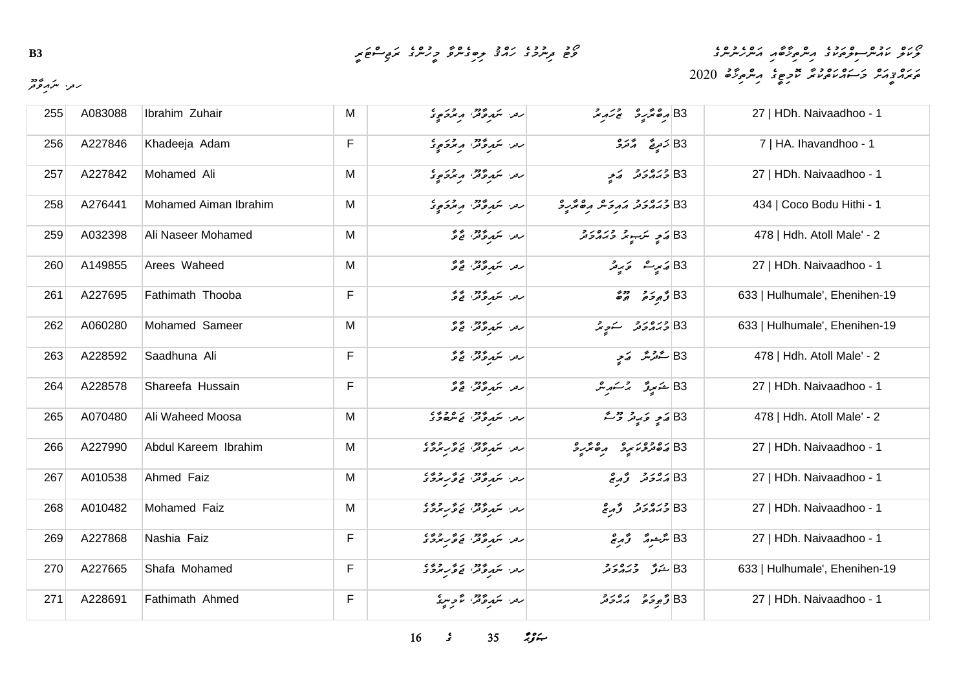*sCw7q7s5w7m< o<n9nOoAw7o< sCq;mAwBoEw7q<m; wBm;vB* م من المسجد المسجد المسجد المسجد المسجد العام 2020<br>مسجد المسجد المسجد المسجد المسجد المسجد المسجد المسجد المسجد ال

| 255 | A083088 | Ibrahim Zuhair        | M            | رىر. سَرەڭگْرْ، مەيزۈمچەت             | B3 مەھە <i>تگەي</i> ھەرىمىتى كەر            | 27   HDh. Naivaadhoo - 1      |
|-----|---------|-----------------------|--------------|---------------------------------------|---------------------------------------------|-------------------------------|
| 256 | A227846 | Khadeeja Adam         | F            | رىر. سَمَدِ دَ پَيْرَ دِ پِرْ دَ پِيْ |                                             | 7   HA. Ihavandhoo - 1        |
| 257 | A227842 | Mohamed Ali           | M            | رىر. سَمْدِعٌ تَشْ، دېڭرومو ئ         | B3 ديرورو ك <i>ي</i> و                      | 27   HDh. Naivaadhoo - 1      |
| 258 | A276441 | Mohamed Aiman Ibrahim | M            | رى سەرگەش مەركىمى                     | B3 כממכת ההכית השתיקב                       | 434   Coco Bodu Hithi - 1     |
| 259 | A032398 | Ali Naseer Mohamed    | M            | رىر سَمَدِ قَرْبٌ تَحَ حَ             | B3   كامي الكرسي من مركز من دار دار مركز مر | 478   Hdh. Atoll Male' - 2    |
| 260 | A149855 | Arees Waheed          | M            | رىر. سَمَدِ قُرْرُ مَحَمَّ            | B3 <i>ھَ مِي</i> تْ وَمِيتْر                | 27   HDh. Naivaadhoo - 1      |
| 261 | A227695 | Fathimath Thooba      | F            | رىر. سَمَدِ قُرْرُ مَحَمَّ            | B3 وَج <i>ُوحَ</i> جَمَعَةَ                 | 633   Hulhumale', Ehenihen-19 |
| 262 | A060280 | Mohamed Sameer        | M            | رى: سَمَعٍ بِحَرْثَ تَحَ بَحْ         | B3  <i>وُبَہُ وَمَدْ</i> سَوِيْرَ           | 633   Hulhumale', Ehenihen-19 |
| 263 | A228592 | Saadhuna Ali          | F            | رىر. سَمَدِ قُرْرُ مَحَمَّ            | B3 ڪن <i>ٽرنگھ پرکم</i> چ                   | 478   Hdh. Atoll Male' - 2    |
| 264 | A228578 | Shareefa Hussain      | F            | رىر. سَمَدِ قُرْرُ مَحَمَّ            | B3 ڪيپر <i>گ بڻڪمينگ</i> ر                  | 27   HDh. Naivaadhoo - 1      |
| 265 | A070480 | Ali Waheed Moosa      | $\mathsf{M}$ | رى شرەپىقى ئەرەپ                      | B3 كەي كەيەتر تۆت                           | 478   Hdh. Atoll Male' - 2    |
| 266 | A227990 | Abdul Kareem Ibrahim  | M            | رو. سَمَدِ وَقَرْ، فَيَحَرِ بِرَوْى   | B3 <i>مەھەرى موھ مەھەر ب</i> و              | 27   HDh. Naivaadhoo - 1      |
| 267 | A010538 | Ahmed Faiz            | M            | رو. سَمَدِ وَقَرْ، فَيَحَرِ بِرَوْى   | B3 كەشكەتقە ئۇرى <i>تى</i>                  | 27   HDh. Naivaadhoo - 1      |
| 268 | A010482 | Mohamed Faiz          | M            | رو. سَمَدِ وَقَرْ، فَيَحْرِ بِرَوْى   | B3 <i>جەمەدى ئەر</i> ى                      | 27   HDh. Naivaadhoo - 1      |
| 269 | A227868 | Nashia Faiz           | F            | رو. سَمَدِ وَقَرْ، فَيَحْرِ بِرَوْى   | B3 سَّرْجْمَدَّ تَرَّمْرِيْحَ               | 27   HDh. Naivaadhoo - 1      |
| 270 | A227665 | Shafa Mohamed         | F            | رو. سَمَدِ وَقَرْ، فَيَحَرِ بِرَوْى   | B3 خىرى ئە <i>مەدى قى</i> ر                 | 633   Hulhumale', Ehenihen-19 |
| 271 | A228691 | Fathimath Ahmed       | F            | رىن سەرەتىر، ئاي سىرى                 | B3 ز <i>ُّېودَه م</i> مردند                 | 27   HDh. Naivaadhoo - 1      |

 $16$  *s* 35  $29$   $\div$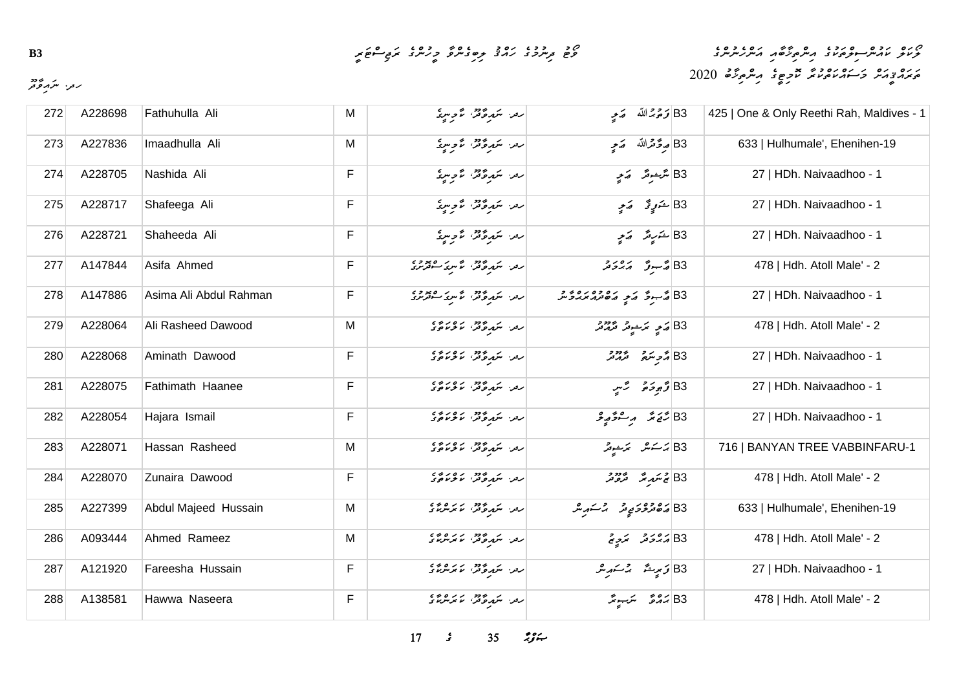*sCw7q7s5w7m< o<n9nOoAw7o< sCq;mAwBoEw7q<m; wBm;vB* م من المرة المرة المرة المرجع المرجع في المركبة 2020<br>مجم*د المريض المربوط المربع المرجع في المراجع المركبة* 

| 224<br>بردر سرمودر |  |
|--------------------|--|
|--------------------|--|

| 272 | A228698 | Fathuhulla Ali         | M            | رىر. سَرەڭ ئۇچ سىم                          | B3 وَتَحْرَكَ اللّهِ     وَسِمِ      | 425   One & Only Reethi Rah, Maldives - 1 |
|-----|---------|------------------------|--------------|---------------------------------------------|--------------------------------------|-------------------------------------------|
| 273 | A227836 | Imaadhulla Ali         | M            | رىر. سەرقەتر، ئارىپرىگ                      | B3 مِوَّقْرالله صَعٍ                 | 633   Hulhumale', Ehenihen-19             |
| 274 | A228705 | Nashida Ali            | $\mathsf F$  | رىر. سَمَدِ قَرْرُ، سَمَّ حِ سِرْءُ         | B3 سَرْجوش كَ مِي                    | 27   HDh. Naivaadhoo - 1                  |
| 275 | A228717 | Shafeega Ali           | F            | رىر. سَمَدِةٌ تَمْرُ سُمْرِ سِرْءُ          | B3 ڪَمرِ گُھُ جَرمِي                 | 27   HDh. Naivaadhoo - 1                  |
| 276 | A228721 | Shaheeda Ali           | $\mathsf{F}$ | رىر. سَمَدِقَرْنَ " مَا وَ سِرْءٌ           | B3 ڪرپ <i>نگ مک</i> م                | 27   HDh. Naivaadhoo - 1                  |
| 277 | A147844 | Asifa Ahmed            | $\mathsf F$  | رو، سکر واژه از عمل کرده ده د               | B3 مەسىرى مەمەدىر                    | 478   Hdh. Atoll Male' - 2                |
| 278 | A147886 | Asima Ali Abdul Rahman | F            | رو. سَمَدِ وَتَوْ، الأَسِرَى مُسْتَوَرِّرَى | B3 בُسِيرَ בَمَعٍ בَסْמְגֹינוּת ב    | 27   HDh. Naivaadhoo - 1                  |
| 279 | A228064 | Ali Rasheed Dawood     | M            | رى شمەن ئەس ئەس ئە                          | B3 كەيچ كۈشۈش ق <i>رەر قە</i>        | 478   Hdh. Atoll Male' - 2                |
| 280 | A228068 | Aminath Dawood         | $\mathsf{F}$ | رى سەرگەش ئەۋرەپ                            | B3 أَدَّجِ سَمَّةً مَسْرَ اللهِ مَنْ | 27   HDh. Naivaadhoo - 1                  |
| 281 | A228075 | Fathimath Haanee       | $\mathsf{F}$ | رى شەھ ئەس ئەھ ئەھ ئ                        | B3 <i>وَّجِوحَةُ</i> حَسِّرٍ         | 27   HDh. Naivaadhoo - 1                  |
| 282 | A228054 | Hajara Ismail          | $\mathsf{F}$ | رى شەھ بەر دەر                              | B3 جۇيمۇ ب <i>وسۇم</i> ۇ             | 27   HDh. Naivaadhoo - 1                  |
| 283 | A228071 | Hassan Rasheed         | M            | رى شمەن ئەس ئەس ئە                          | B3  كەسكەنلەر    كەرىئوقر            | 716   BANYAN TREE VABBINFARU-1            |
| 284 | A228070 | Zunaira Dawood         | $\mathsf{F}$ | رى شمەن ئەس ئەس ئە                          | B3 يُحتمد بمُر شَرْحَة مُرْ          | 478   Hdh. Atoll Male' - 2                |
| 285 | A227399 | Abdul Majeed Hussain   | M            | رى شمەنگەن ئەس دەپ                          | B3 <i>مەھەرى دىجەشىر بەستىر بىر</i>  | 633   Hulhumale', Ehenihen-19             |
| 286 | A093444 | Ahmed Rameez           | M            | رى شمەنگەن ئىرسىدە                          | B3   كەندى كىمى ئىكرىيە تىرىپاتى     | 478   Hdh. Atoll Male' - 2                |
| 287 | A121920 | Fareesha Hussain       | $\mathsf{F}$ | رى شمەنگەن ئىرسىدى                          | B3 تۇمرىش - ج. شەر بىر               | 27   HDh. Naivaadhoo - 1                  |
| 288 | A138581 | Hawwa Naseera          | $\mathsf F$  | رو. سمدۇنر، ئايمەس د                        | B3 <i>بَدْهُمُّ</i> سَرَسِوِسُّ      | 478   Hdh. Atoll Male' - 2                |

 $17$  *s* 35  $23$   $-$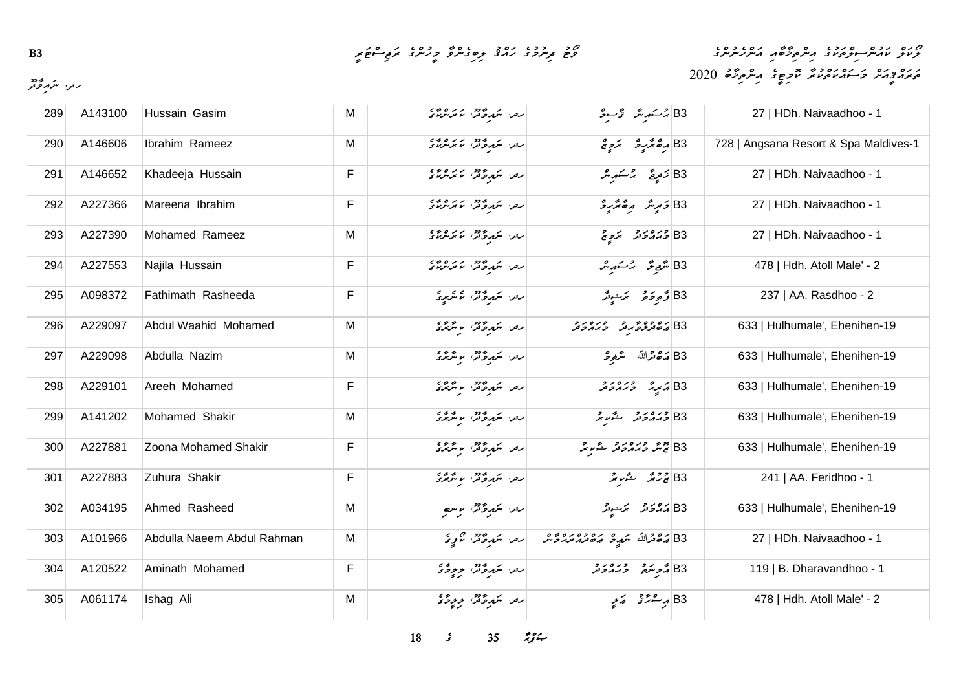*sCw7q7s5w7m< o<n9nOoAw7o< sCq;mAwBoEw7q<m; wBm;vB* م من المسجد المسجد المسجد المسجد المسجد العام 2020<br>مجم*د المسجد المسجد المستجد المسجد المسجد المسجد المسجد المسجد المسجد المسجد المسجد المسجد المسجد المسجد المسجد* 

| 289 | A143100 | Hussain Gasim              | M           | رى شھرەتى، ئاتەرەپ                       | B3 ج <i>ُسَم بِنْرِ بِيَّ</i> سِي <i>وْ</i>                                          | 27   HDh. Naivaadhoo - 1              |
|-----|---------|----------------------------|-------------|------------------------------------------|--------------------------------------------------------------------------------------|---------------------------------------|
| 290 | A146606 | Ibrahim Rameez             | M           | رو. سمدۇنر، ئايمەسر                      | B3 م <i>ِ هُ مُّرْرِ مُّ مَرْدٍ مُّ</i>                                              | 728   Angsana Resort & Spa Maldives-1 |
| 291 | A146652 | Khadeeja Hussain           | F           | رو، سمدۇنر، رىرەپ،<br>رو، سمدۇنر، رىر دى | B3 كَتَعِيقٌ مَحْكَسَمَ مِسْرٌ                                                       | 27   HDh. Naivaadhoo - 1              |
| 292 | A227366 | Mareena Ibrahim            | F           | رى سەر ئەدەر ئەرەپ                       | B3 ك <sup>ې</sup> رىنگ م <i>ەھتگى</i> دۇ                                             | 27   HDh. Naivaadhoo - 1              |
| 293 | A227390 | Mohamed Rameez             | M           | رو. سمدۇنى، ئايرىرە دە                   | B3 دېم دې مرد تم                                                                     | 27   HDh. Naivaadhoo - 1              |
| 294 | A227553 | Najila Hussain             | F           | رىر. سىدە ئىر، ئەنزىيرىدى                | B3 سَمْعِ عَرَّ مَ سَمَ <i>دِ</i> سُر                                                | 478   Hdh. Atoll Male' - 2            |
| 295 | A098372 | Fathimath Rasheeda         | F           | رو. سمدونو. ، ، میرد                     | B3 تَ <i>حْمِ وَحَمْدِ مَرْسُ</i> بِيْرَ                                             | 237   AA. Rasdhoo - 2                 |
| 296 | A229097 | Abdul Waahid Mohamed       | M           | رو، سَمَدِ عَرَّقْ الإسْرَبَّرُو         | B3 رەمەدە مەدەرە<br>B3 رەھىرى ھەدەمە                                                 | 633   Hulhumale', Ehenihen-19         |
| 297 | A229098 | Abdulla Nazim              | M           | رىن سەرگەش بەشكەر                        | B3 كەھەراللە شىمبى                                                                   | 633   Hulhumale', Ehenihen-19         |
| 298 | A229101 | Areeh Mohamed              | F           | رو. سَمَدِ وَمَحْرٌ، بِهِ سَرْبَرُى      | B3  كەيرى ئەكەرگە ئىكەنى ئىكەن ئا                                                    | 633   Hulhumale', Ehenihen-19         |
| 299 | A141202 | Mohamed Shakir             | M           | رىدا سمدۇنى باشكرى                       | B3 دېم دېمر شور شور ک                                                                | 633   Hulhumale', Ehenihen-19         |
| 300 | A227881 | Zoona Mohamed Shakir       | F           | رىن شمەنگەن بەشكە                        | B3 يې شر 3 پره د ته مسگر بر ته                                                       | 633   Hulhumale', Ehenihen-19         |
| 301 | A227883 | Zuhura Shakir              | $\mathsf F$ | رىر. سَمَدِعٌ تَشْ) ، سَرْبَرْدَ         | B3 يحريمٌ مُقَسِمٌ                                                                   | 241   AA. Feridhoo - 1                |
| 302 | A034195 | Ahmed Rasheed              | M           | הבני ייתה פצי עייתם                      | B3   كەركە كىم كىم كىشىمىتى كىشىمىتى كىل                                             | 633   Hulhumale', Ehenihen-19         |
| 303 | A101966 | Abdulla Naeem Abdul Rahman | M           |                                          | B3 كەھەرللە شھەر مەمەم مەمەر سىر شەھەر مەم<br>B3 كەھەرللە شھەر مەھەر <i>مەمەدى</i> س | 27   HDh. Naivaadhoo - 1              |
| 304 | A120522 | Aminath Mohamed            | F           | رىدا سمەرگە ئەم موجەدى                   | B3 جُعِ سَمَّعَ حَمَدَ جَعَدَ                                                        | 119   B. Dharavandhoo - 1             |
| 305 | A061174 | Ishag Ali                  | M           | رىر سەرەتىق جەجزەتى                      | B3 <sub>م</sub> ر مشتق كەمچ                                                          | 478   Hdh. Atoll Male' - 2            |

**18** *s* **35** *n***<sub>y</sub> <b>***n*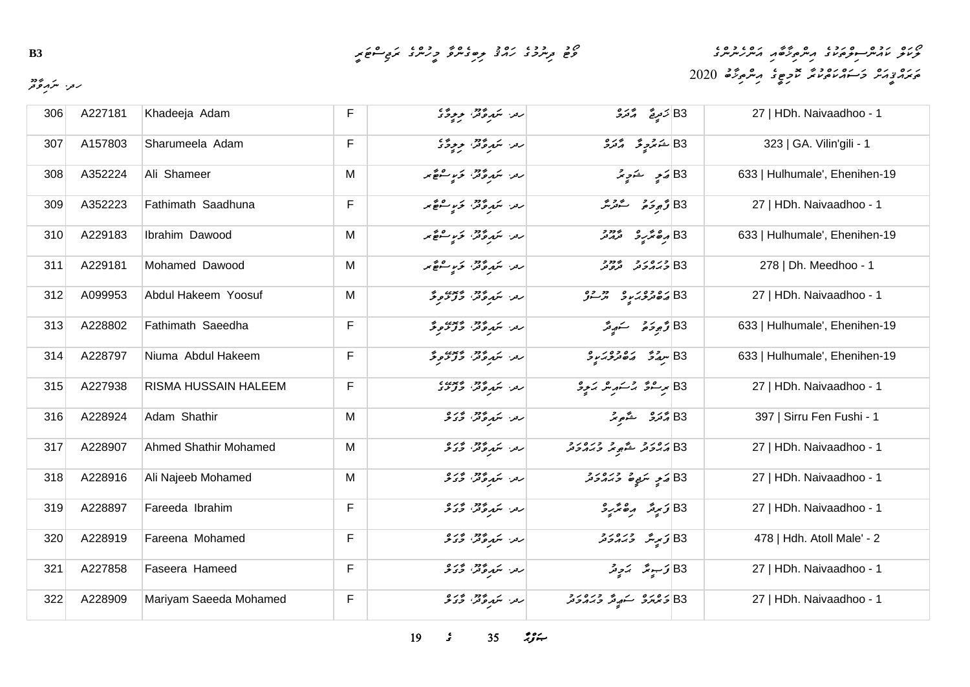*sCw7q7s5w7m< o<n9nOoAw7o< sCq;mAwBoEw7q<m; wBm;vB* م من المرة المرة المرة المرجع المرجع في المركبة 2020<br>مجم*د المريض المربوط المربع المرجع في المراجع المركبة* 

| 306 | A227181 | Khadeeja Adam                | $\mathsf F$ | رىر. سَمَدِةٌ تَشْ، مِرْمِرَةٌ وَ        | B3 كَتَامِيعٌ - مُرَّمَّرًا مُنْ          | 27   HDh. Naivaadhoo - 1      |
|-----|---------|------------------------------|-------------|------------------------------------------|-------------------------------------------|-------------------------------|
| 307 | A157803 | Sharumeela Adam              | F           | رىر. سَمَدِةً فَمَرْ، مِرْمِرَةً وَ      | B3 ڪر <i>ي چي</i> و گھري                  | 323   GA. Vilin'gili - 1      |
| 308 | A352224 | Ali Shameer                  | M           | رىن سىرەتىر، ئەرب ھەر                    | B3 <i>جَرِيَّة حَمَّدٍ مُ</i> حَ          | 633   Hulhumale', Ehenihen-19 |
| 309 | A352223 | Fathimath Saadhuna           | F           | رى سەرەتر، ئەربەغىر                      | B3 ۇ <sub>جو</sub> رَمْ سۇرىتر            | 27   HDh. Naivaadhoo - 1      |
| 310 | A229183 | Ibrahim Dawood               | M           | رىن سەر ئەدەر ئەيدىسى ئىس                | B3 پ <i>رهنگردی فرم</i> تر                | 633   Hulhumale', Ehenihen-19 |
| 311 | A229181 | Mohamed Dawood               | M           | رىن سەر ئەدەر ئەيدىسى ئىس                | B3 <i>ڈیزہ دو</i> گروہ د                  | 278   Dh. Meedhoo - 1         |
| 312 | A099953 | Abdul Hakeem Yoosuf          | M           | رىر. سَرەقتۇ، قەمزىمى ق                  | B3 كەھ <i>قرىۋېرىي ھەم جۇ</i>             | 27   HDh. Naivaadhoo - 1      |
| 313 | A228802 | Fathimath Saeedha            | $\mathsf F$ | رىر. سَمْدِةَ مِنْ تَرْتَزُّهِ تَرْ      | B3 وَّجِوَدَةُ صَمِيقٌ                    | 633   Hulhumale', Ehenihen-19 |
| 314 | A228797 | Niuma Abdul Hakeem           | F           | رىر. سَرەڭ ئۇترىمۇ                       | B3 سرچ ئەھەر <i>جەدىرى</i> ي              | 633   Hulhumale', Ehenihen-19 |
| 315 | A227938 | <b>RISMA HUSSAIN HALEEM</b>  | $\mathsf F$ | رىر. سَرەڭ ئەرەر دەرە<br>رىر. سَرەڭلا، ئ | B3 برے پچ پر <i>شہر بڑ پر پ</i> وٹ        | 27   HDh. Naivaadhoo - 1      |
| 316 | A228924 | Adam Shathir                 | M           | رد. سَمَدِوَّتْرُ، وَرَحْ                | B3 مُقرَّحَ شُمُّعَ مُّ                   | 397   Sirru Fen Fushi - 1     |
| 317 | A228907 | <b>Ahmed Shathir Mohamed</b> | M           | رىن شمەرگەن ئەرە                         | B3 رور و شهر و دره رو                     | 27   HDh. Naivaadhoo - 1      |
| 318 | A228916 | Ali Najeeb Mohamed           | M           | رى شەرەت دىرە                            | B3 كەي س <i>رو</i> ھ كەبەرگەر             | 27   HDh. Naivaadhoo - 1      |
| 319 | A228897 | Fareeda Ibrahim              | $\mathsf F$ | رى شەرەتى، ئەرە                          | B3 كۆپىتى مەھەر ئى                        | 27   HDh. Naivaadhoo - 1      |
| 320 | A228919 | Fareena Mohamed              | $\mathsf F$ | رى شەرەتى، ئەرە                          | B3 كۆيىتى ئەممىر ئەرەپىر                  | 478   Hdh. Atoll Male' - 2    |
| 321 | A227858 | Faseera Hameed               | $\mathsf F$ | رىن شمەرگەش ئەرە                         | B3 ت <i>ۆسىنگە</i> ئەم <sub>چ</sub> ىتر   | 27   HDh. Naivaadhoo - 1      |
| 322 | A228909 | Mariyam Saeeda Mohamed       | $\mathsf F$ | رىن شەرقىق ئەرە                          | B3 كوجر دور مرد در در در در در در در در د | 27   HDh. Naivaadhoo - 1      |

*19 s* 35 *i*<sub>S</sub> $\approx$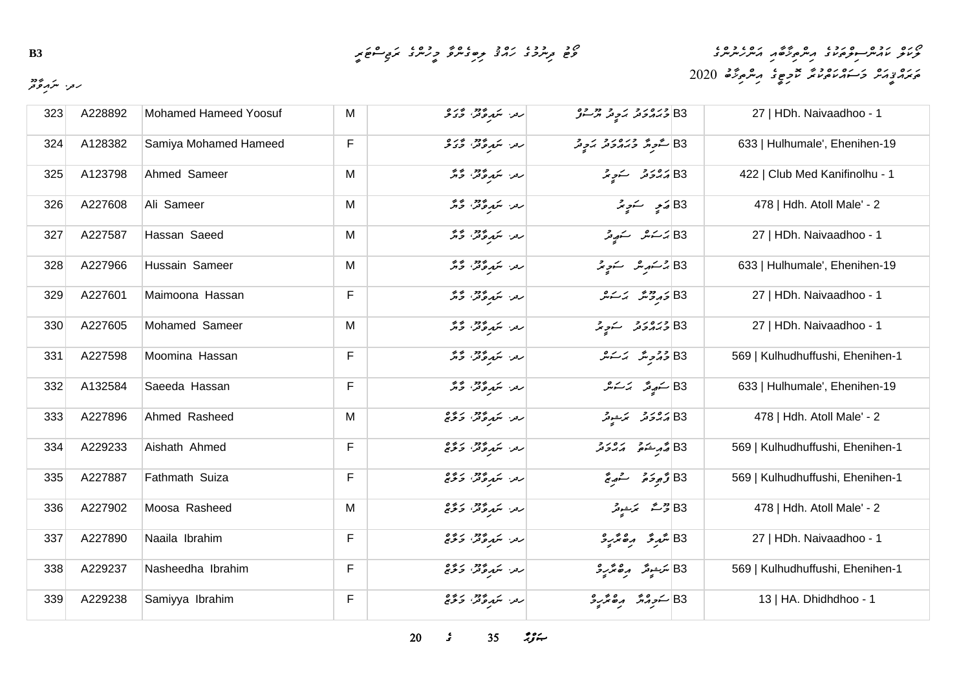*sCw7q7s5w7m< o<n9nOoAw7o< sCq;mAwBoEw7q<m; wBm;vB* م من المسجد المسجد المسجد المسجد المسجد العام 2020<br>مجم*د المسجد المسجد المستجد المسجد المسجد المسجد المسجد المسجد المسجد المسجد المسجد المسجد المسجد المسجد المسجد* 

| 323 | A228892 | Mohamed Hameed Yoosuf | M            | رى شەرەپ دەرە                   | B3 ويرەپرى برېرى مەدەرە               | 27   HDh. Naivaadhoo - 1         |
|-----|---------|-----------------------|--------------|---------------------------------|---------------------------------------|----------------------------------|
| 324 | A128382 | Samiya Mohamed Hameed | F            | رو. سمدونو. وره                 | B3 سُمْجِيمٌ وَيَرْمُدُونَرْ يَرْجِدُ | 633   Hulhumale', Ehenihen-19    |
| 325 | A123798 | Ahmed Sameer          | M            | رىن سَمەھ <sup>ەر</sup> ئەگر    | B3 <i>مەندى ئىم بەن</i>               | 422   Club Med Kanifinolhu - 1   |
| 326 | A227608 | Ali Sameer            | M            | رىن شەرەتىن بەيج                | B3  پَه مو سَمَ <i>وٍ پ</i> ر         | 478   Hdh. Atoll Male' - 2       |
| 327 | A227587 | Hassan Saeed          | M            | رىن سىرەتىر، ئەش                | B3   پرسته ش <i>ه</i> ومتر            | 27   HDh. Naivaadhoo - 1         |
| 328 | A227966 | Hussain Sameer        | M            | رىر. سَمَدِ قَرْبُہ الْحَامَّرُ | B3   جريئر مسكو مريد                  | 633   Hulhumale', Ehenihen-19    |
| 329 | A227601 | Maimoona Hassan       | F            | رىن سَمَدِ ئەتتى ئەتر           | B3 <i>وَمِرَةَ مَّدْ يَ</i> رْسَمْرُ  | 27   HDh. Naivaadhoo - 1         |
| 330 | A227605 | Mohamed Sameer        | $\mathsf{M}$ | رىر. سَمَدِ قَرْبُہ الْحَامَّرُ | B3 دُبَرْدُدَنْدَ سَوِيْرَ            | 27   HDh. Naivaadhoo - 1         |
| 331 | A227598 | Moomina Hassan        | F            | رىن سەر ئەترىكى ئەتر            | B3  <i>5، جُمْعِيمٌ بِرَسَيْرٌ</i>    | 569   Kulhudhuffushi, Ehenihen-1 |
| 332 | A132584 | Saeeda Hassan         | F            | رىن سەر ئەدەر ئەنج              | B3 س <i>تمونڈ بزسک</i> ش              | 633   Hulhumale', Ehenihen-19    |
| 333 | A227896 | Ahmed Rasheed         | M            | رىر. سَمَدِوَّسْ، وَتَوَجَّ     | B3 <i>مُہُدُوَمُ مُرَجِ</i> مُ        | 478   Hdh. Atoll Male' - 2       |
| 334 | A229233 | Aishath Ahmed         | F            | رىن شەرەتىق ئەنۋى               | B3 مُصِيحَم مَ <sup>رو</sup> د        | 569   Kulhudhuffushi, Ehenihen-1 |
| 335 | A227887 | Fathmath Suiza        | F            | رىر. شەرقىق، ئەنجى              | B3 تُرجوحَ حَمْدِيمٌ                  | 569   Kulhudhuffushi, Ehenihen-1 |
| 336 | A227902 | Moosa Rasheed         | M            | رىن شەرەتىق ئەنۋىج              | B3 حَمَدٌ مَمَسُومَرٌ                 | 478   Hdh. Atoll Male' - 2       |
| 337 | A227890 | Naaila Ibrahim        | F            | رىر. سَمَدِوَّتْرُ، وَتَوَجَّ   |                                       | 27   HDh. Naivaadhoo - 1         |
| 338 | A229237 | Nasheedha Ibrahim     | F            | رىد شمەرگەش ئەمۇي               | B3 سَرَسُومَّر مِرْھ مَّرْرِ \$       | 569   Kulhudhuffushi, Ehenihen-1 |
| 339 | A229238 | Samiyya Ibrahim       | F            | رد. سَمَدِوَّتْرُ، وَتَوَجَّ    | B3  سَوِرْ مَنْ مِرْهُ مَّرْبِهْ      | 13   HA. Dhidhdhoo - 1           |

 $20$  *s* 35  $29$   $\div$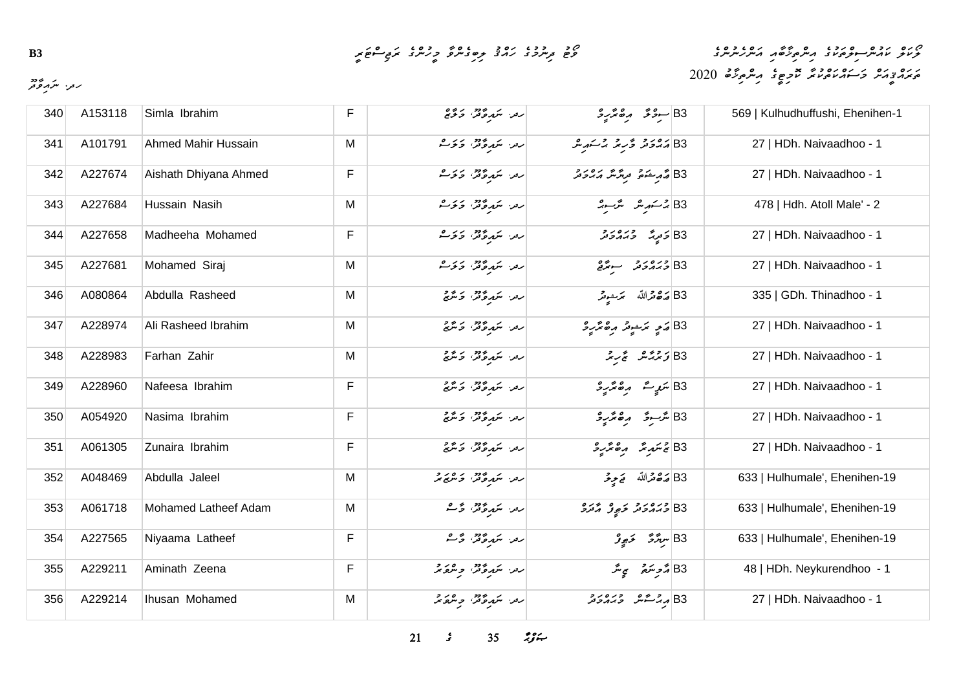*sCw7q7s5w7m< o<n9nOoAw7o< sCq;mAwBoEw7q<m; wBm;vB* م من المرة المرة المرة المرجع المرجع في المركبة 2020<br>مجم*د المريض المربوط المربع المرجع في المراجع المركبة* 

| 340 | A153118 | Simla Ibrahim              | $\mathsf F$ | رىر. سَمَدِ وَتَرْ، وَتَوْسَ      | B3 بەر ئۇ مەھم <i>گرى</i> ئى                                   | 569   Kulhudhuffushi, Ehenihen-1 |
|-----|---------|----------------------------|-------------|-----------------------------------|----------------------------------------------------------------|----------------------------------|
| 341 | A101791 | <b>Ahmed Mahir Hussain</b> | M           | رىر. سَمَدِ وَتَرْ، وَتَوَتَّ     | B3 <i>גُمْدُوَنْدْ وَّرِيْرْ بْرْسَهُ بِ</i> مُ                | 27   HDh. Naivaadhoo - 1         |
| 342 | A227674 | Aishath Dhiyana Ahmed      | $\mathsf F$ | رىد شرەقرى ئەترىق                 | B3 مُصِحَمٍ مِنْ مُصَرِّحَةٍ مُصَرَّحَةٍ مِنْ الْمَرْحَةِ مِنْ | 27   HDh. Naivaadhoo - 1         |
| 343 | A227684 | Hussain Nasih              | M           | رىر. سَمَدِةَ تَمَرُّ تَرَكَّرُ - | B3   يُرسَمبر مُّرَ سُرَسِيْرُ                                 | 478   Hdh. Atoll Male' - 2       |
| 344 | A227658 | Madheeha Mohamed           | $\mathsf F$ | رىر. سَمَدِةَ تَمَرُّ تَرَكَّرُ - | B3 دَمِيدٌ   دَيَرُودَرٌ.                                      | 27   HDh. Naivaadhoo - 1         |
| 345 | A227681 | Mohamed Siraj              | M           | رىن شمەرگەن كەنگە                 | B3 <i>وُبَرُوْدُوْ</i> سِعْرُمْ                                | 27   HDh. Naivaadhoo - 1         |
| 346 | A080864 | Abdulla Rasheed            | M           | رى شمەرگەن كەسى                   | B3 كَەھْتْراللە كَرَسْوِتْرْ                                   | 335   GDh. Thinadhoo - 1         |
| 347 | A228974 | Ali Rasheed Ibrahim        | M           | رو. سَمَدِ وَمَنْ وَسَمَّعَ       | B3 كەي كەھبەتر م <i>ەڭرى</i> رۇ                                | 27   HDh. Naivaadhoo - 1         |
| 348 | A228983 | Farhan Zahir               | M           | رى شەرقىق ئەشج                    | B3 كۈچرىمى ئىچ بىر                                             | 27   HDh. Naivaadhoo - 1         |
| 349 | A228960 | Nafeesa Ibrahim            | $\mathsf F$ | رى شەرەپىي ئەمەد                  | B3 سَمِيتَ مِنْ صَحَّرِ فِي                                    | 27   HDh. Naivaadhoo - 1         |
| 350 | A054920 | Nasima Ibrahim             | $\mathsf F$ | رىر. سَمَدِ وَتَرْ، وَسَرَج       | B3 مُرْسِودٌ مِنْ مُرْرِدْ                                     | 27   HDh. Naivaadhoo - 1         |
| 351 | A061305 | Zunaira Ibrahim            | F           | رى شەرەتى، ئەشھ                   | B3 ىن <i>مكرىگە مەھەتگە</i> ر 3                                | 27   HDh. Naivaadhoo - 1         |
| 352 | A048469 | Abdulla Jaleel             | M           | رىر. سَمَدِ قُرَّا، كَرَسِيَ مَرْ | B3 مَەھىرَاللە   قى مِرْقر                                     | 633   Hulhumale', Ehenihen-19    |
| 353 | A061718 | Mohamed Latheef Adam       | M           | رىر. سَمَدِ وَتَرْ، وَّاتْ        | B3 دُيَرُمُ دَمَ دَجِ وَ مُحَمَّدَ                             | 633   Hulhumale', Ehenihen-19    |
| 354 | A227565 | Niyaama Latheef            | F           | رىن شمەھ تىر، ئۇسى                | B3 سِرْدَةَ حَقِيقَ                                            | 633   Hulhumale', Ehenihen-19    |
| 355 | A229211 | Aminath Zeena              | $\mathsf F$ | رىر. سَمَدِةٌ تَشْ، وِسْرَةٌ مَرْ | B3 مُرْحِسَمُ مِيسَّر                                          | 48   HDh. Neykurendhoo - 1       |
| 356 | A229214 | Ihusan Mohamed             | M           | رىر. سَرەڭگە، جەھەتمە             | B3 مەشقىقر بەيرەتىر                                            | 27   HDh. Naivaadhoo - 1         |

 $21$  *s* 35  $294$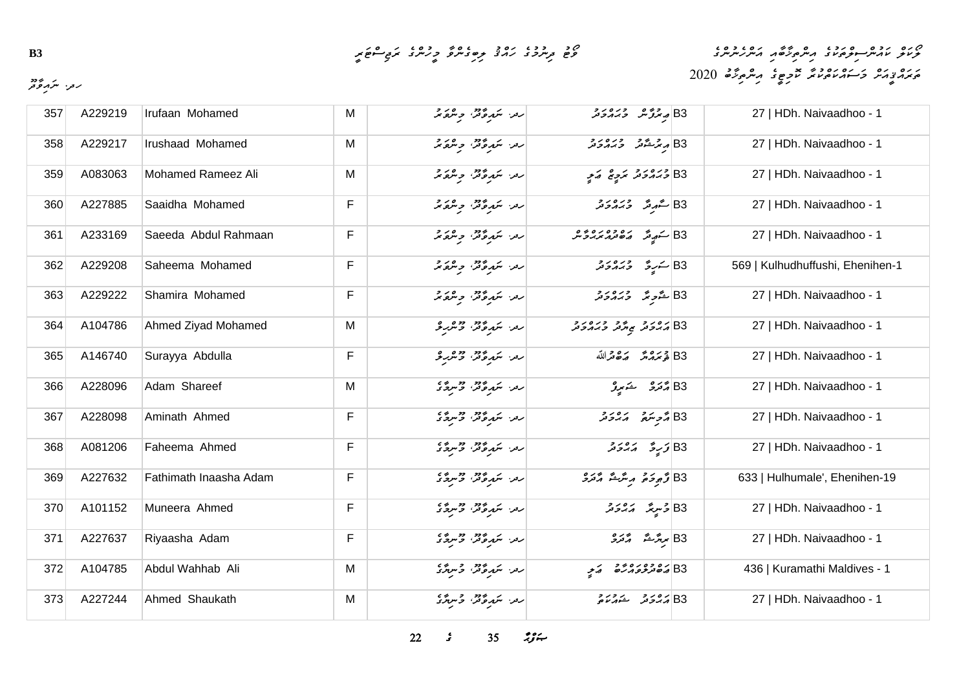*sCw7q7s5w7m< o<n9nOoAw7o< sCq;mAwBoEw7q<m; wBm;vB* م من المسجد المسجد المسجد المسجد المسجد العام 2020<br>مجم*د المسجد المسجد المستجد المسجد المسجد المسجد المسجد المسجد المسجد المسجد المسجد المسجد المسجد المسجد المسجد* 

| 357 | A229219 | Irufaan Mohamed        | M           | رىر. سَرْرِةَ فَشْ وِسْرَةَ ثَرَ  | B3 م <i>يترونگر با جاير ب</i> ر د                  | 27   HDh. Naivaadhoo - 1         |
|-----|---------|------------------------|-------------|-----------------------------------|----------------------------------------------------|----------------------------------|
| 358 | A229217 | Irushaad Mohamed       | M           | رى سەرگەش جەمھەتمە                | B3 مر شور وبرورو                                   | 27   HDh. Naivaadhoo - 1         |
| 359 | A083063 | Mohamed Rameez Ali     | M           | رىن سەرگەش جەمھەتمە               | B3 <i>ڈبزوجو پرچ</i> کے پر                         | 27   HDh. Naivaadhoo - 1         |
| 360 | A227885 | Saaidha Mohamed        | F           | رىر. سَرْرِ قُرْرُ، وَسَرْوَ بْرَ | B3 سَمْهِ مَدَّ 2012 و                             | 27   HDh. Naivaadhoo - 1         |
| 361 | A233169 | Saeeda Abdul Rahmaan   | F           | رى شرەڭ دىسىم                     | B3 كويتر مەھەرە بولىرى كىلىرى ئىس                  | 27   HDh. Naivaadhoo - 1         |
| 362 | A229208 | Saheema Mohamed        | F           | رىر. سەرگەش، جەسھەتمە             | B3 سَرِءٌ وَيَهْدَمُرُ                             | 569   Kulhudhuffushi, Ehenihen-1 |
| 363 | A229222 | Shamira Mohamed        | F           | رى سەرگەش جەمھەتمە                | B3 شَوِيرٌ وَيَهْدُونَرُ                           | 27   HDh. Naivaadhoo - 1         |
| 364 | A104786 | Ahmed Ziyad Mohamed    | M           | رىن شرەقتى، ۋىرىدۇ.               | B3 ג'כבית האיניק כדומכת                            | 27   HDh. Naivaadhoo - 1         |
| 365 | A146740 | Surayya Abdulla        | F           | رىر. سەرگەن كەسرىكى               | B3 فَوْتَتْرَمْتَرْ مَهْ قَدْاللَّهُ               | 27   HDh. Naivaadhoo - 1         |
| 366 | A228096 | Adam Shareef           | м           | رىر. سَرەڭ ئى سرڭ ئ               | B3   ا <i>مگر برگ</i> شکامپرا <i>گ</i> ی           | 27   HDh. Naivaadhoo - 1         |
| 367 | A228098 | Aminath Ahmed          | $\mathsf F$ | رىر. سەرگەن دىسرگەن               | B3 مُجِسَمَة مَدَّدَتَر                            | 27   HDh. Naivaadhoo - 1         |
| 368 | A081206 | Faheema Ahmed          | F           | رىر. شرەڭ ئەرگەنج                 | B3 تَرَرٍى مَدْوَمْرُ .                            | 27   HDh. Naivaadhoo - 1         |
| 369 | A227632 | Fathimath Inaasha Adam | F           | رىر. سَرەڭ ئەسرگەنج               | B3 <i>وَّجِودَة مِ</i> مَرْحَدَ م <i>ُ</i> مَرَدَّ | 633   Hulhumale', Ehenihen-19    |
| 370 | A101152 | Muneera Ahmed          | F           | رىر. سَرِروَّتْرْ، وَ" سِرْدَى    | B3 دُسٍتُہ كەبەد قر                                | 27   HDh. Naivaadhoo - 1         |
| 371 | A227637 | Riyaasha Adam          | F           | رىر. سَرەڭ ئى سِردى               | B3 برتر مگر ترکرد کرد                              | 27   HDh. Naivaadhoo - 1         |
| 372 | A104785 | Abdul Wahhab Ali       | M           | رى سەرگەنى كەس كە                 |                                                    | 436   Kuramathi Maldives - 1     |
| 373 | A227244 | Ahmed Shaukath         | M           | رىر. سَمَدِ قَرْرٌ، وَسِرْدَى     | B3 كەبروتر شە <i>مەم</i>                           | 27   HDh. Naivaadhoo - 1         |

 $22$  *s* 35  $294$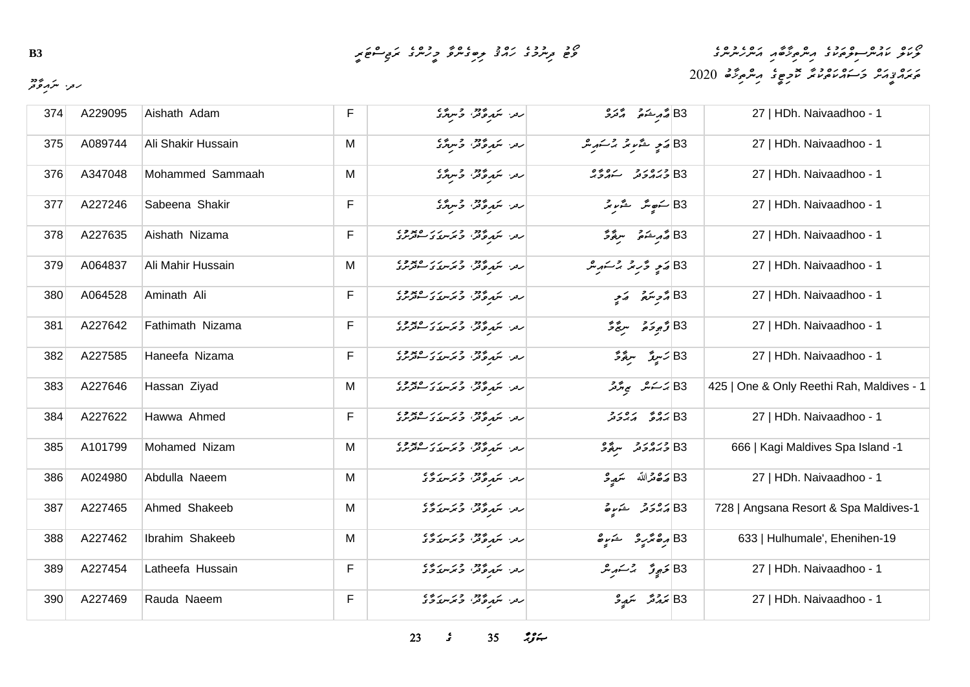*sCw7q7s5w7m< o<n9nOoAw7o< sCq;mAwBoEw7q<m; wBm;vB* م من المسجد المسجد المسجد المسجد المسجد العام 2020<br>مجم*د المسجد المسجد المستجد المسجد المسجد المسجد المسجد المسجد المسجد المسجد المسجد المسجد المسجد المسجد المسجد* 

| 374 | A229095 | Aishath Adam       | F           | رىر. سَرِرۇشْ ئەسرگەنگە                        | B3  مُ <i>هِ بِحَمْۃِ مُ</i> مَرَّدُ         | 27   HDh. Naivaadhoo - 1                  |
|-----|---------|--------------------|-------------|------------------------------------------------|----------------------------------------------|-------------------------------------------|
| 375 | A089744 | Ali Shakir Hussain | M           | رىر. سَمَدِ قَرْرُ، وَسِرْدُوْ                 | B3 كەي ھەم بولى بار سەر بىر                  | 27   HDh. Naivaadhoo - 1                  |
| 376 | A347048 | Mohammed Sammaah   | M           | رىر. سَمَدِ قَرْرُ، وَسِرْدُوْ                 | $2222$ $-2222$ $-222$                        | 27   HDh. Naivaadhoo - 1                  |
| 377 | A227246 | Sabeena Shakir     | $\mathsf F$ | رى شرەقتى ئەسلى                                | B3 س <i>تمھین</i> مشرمتر                     | 27   HDh. Naivaadhoo - 1                  |
| 378 | A227635 | Aishath Nizama     | F           | رو. سمدگاه و برسر در ۲۶۵۰ و                    | B3 مەم ئىقمى سىقى ئى                         | 27   HDh. Naivaadhoo - 1                  |
| 379 | A064837 | Ali Mahir Hussain  | M           | رو. سکدگاه و هرسری ساور و ه                    | B3 كەي دۇرىر برىتىرىر                        | 27   HDh. Naivaadhoo - 1                  |
| 380 | A064528 | Aminath Ali        | F           | رو. سمدگاه و برسر در ۲۶۵۰ و                    | B3 مُجِسَعَۃ مَعٍ                            | 27   HDh. Naivaadhoo - 1                  |
| 381 | A227642 | Fathimath Nizama   | F           | رو. سمدگاهی و برسری سودروه                     | B3 تَ <i>مُجوحَمَّة</i> سِيَّةَ مَّ          | 27   HDh. Naivaadhoo - 1                  |
| 382 | A227585 | Haneefa Nizama     | F           | رتد شمیره بود.<br>رتد شمیره تن و برسری کامپوری | B3 كەسپۇ س <i>بۇ</i> گ                       | 27   HDh. Naivaadhoo - 1                  |
| 383 | A227646 | Hassan Ziyad       | M           | رى سەۋە دىرىرى جەمدىن                          | B3  پرستہ میں ہوتھ                           | 425   One & Only Reethi Rah, Maldives - 1 |
| 384 | A227622 | Hawwa Ahmed        | F           | رى سەۋە دىرىرى جەمدىن                          | B3 يَرْوَحُ - يَرْوَمُرْ                     | 27   HDh. Naivaadhoo - 1                  |
| 385 | A101799 | Mohamed Nizam      | M           | راد. سکدگاه و هر سر در ۲۵ و د                  | B3  <i>وبەم</i> 32 س <i>بۇ</i> 3             | 666   Kagi Maldives Spa Island -1         |
| 386 | A024980 | Abdulla Naeem      | M           | رى شەرەپىي دىمەردە ،                           | B3 مَەھتراللە سَمەِ 3                        | 27   HDh. Naivaadhoo - 1                  |
| 387 | A227465 | Ahmed Shakeeb      | M           | رى شەھ بۇ ئەسلام ئ                             | B3 <i>مَدْدَوْرْ</i> سْمَوِرْة               | 728   Angsana Resort & Spa Maldives-1     |
| 388 | A227462 | Ibrahim Shakeeb    | M           | رى شرەڭ ئەسلامى                                | B3 م <i>ەھترى</i> ئىس ھەم                    | 633   Hulhumale', Ehenihen-19             |
| 389 | A227454 | Latheefa Hussain   | F           | رى شەھ بۇ ئەسلام ئ                             | B3 تخ <i>موٍوٌ بُمُسَمرِيْنَ</i>             | 27   HDh. Naivaadhoo - 1                  |
| 390 | A227469 | Rauda Naeem        | F           | رىر. سَرِروَّتْرُ، دَيَرَسْدَدُدُ              | B3 <i>بَدَمْ مَّدَّ سَمِي</i> <sup>و</sup> َ | 27   HDh. Naivaadhoo - 1                  |

 $23$  *s*  $35$  *n***<sub>y</sub>** *n***<sub>y</sub>**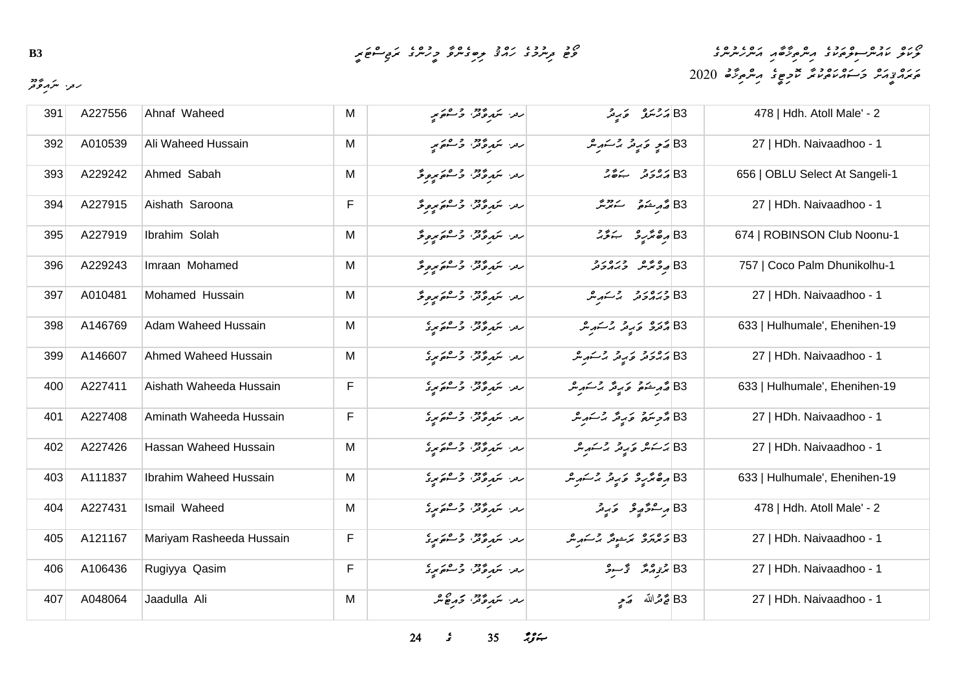*sCw7q7s5w7m< o<n9nOoAw7o< sCq;mAwBoEw7q<m; wBm;vB* م من المرة المرة المرة المرجع المرجع في المركبة 2020<br>مجم*د المريض المربوط المربع المرجع في المراجع المركبة* 

| 391 | A227556 | Ahnaf Waheed             | M           | رىر. سَرْرِ وَ فَلَ وَ صَرْمِرِ           | B3  كارترنتركي - قاريركمبر                   | 478   Hdh. Atoll Male' - 2     |
|-----|---------|--------------------------|-------------|-------------------------------------------|----------------------------------------------|--------------------------------|
| 392 | A010539 | Ali Waheed Hussain       | M           | رىر. سَرْرِ وَ فَلَ وَ صَرْمِرِ           | B3 كەيچە كەرپەتر برگەر بىر                   | 27   HDh. Naivaadhoo - 1       |
| 393 | A229242 | Ahmed Sabah              | M           | رىر شەرقىق ۋە ئەر بورگ                    | $222 - 222$ B3                               | 656   OBLU Select At Sangeli-1 |
| 394 | A227915 | Aishath Saroona          | $\mathsf F$ | رىر شەرقىق ۋە ئەرەپتى                     | B3 مەمرىسى <i>مۇ</i> سى <i>مىتى</i> تىر      | 27   HDh. Naivaadhoo - 1       |
| 395 | A227919 | Ibrahim Solah            | M           | رىر. سَمَدِ وَقَرْ، وَسَنَمْ مِرْهِ وَّ   | B3 مەھم <i>گىي</i> ئىسكىمىتىكى بىر           | 674   ROBINSON Club Noonu-1    |
| 396 | A229243 | Imraan Mohamed           | M           | رىر. سَمَدِ وَلَا وَ قَسْمَةٍ مِرْهِ وَ ۖ | B3 مەۋىگەر ق <i>ەتمەدى</i> ر                 | 757   Coco Palm Dhunikolhu-1   |
| 397 | A010481 | Mohamed Hussain          | M           | رىر. سَمَدِ وَلَا وَ قَسْمَةٍ مِرْهِ وَ ۖ | B3 <i>32023 جي شهر بن</i>                    | 27   HDh. Naivaadhoo - 1       |
| 398 | A146769 | Adam Waheed Hussain      | M           | رى سەر ئەدە ئەسىرى                        | B3 جٌترَدُ   حَرِيرٌ   بَرْسَهِ بْرٌ         | 633   Hulhumale', Ehenihen-19  |
| 399 | A146607 | Ahmed Waheed Hussain     | M           | رىر. سرم قرق ئى مى مى كى                  | B3 <i>בک</i> وکر تر پر پر شهر مگر            | 27   HDh. Naivaadhoo - 1       |
| 400 | A227411 | Aishath Waheeda Hussain  | $\mathsf F$ | رىر. سَرْمُ وَنْ وَ سُنْمُ مِرْدَ         | B3 مەم ئىكتەم ئەر <i>مەر بار ئىكتە</i> ر بىر | 633   Hulhumale', Ehenihen-19  |
| 401 | A227408 | Aminath Waheeda Hussain  | F           | رىر. سَرِمَ وَ وَ صَحْبِ وَ حَسَنَ مِرَى  | B3  مَّرْمِسَمْ كَرَبِيَّرْ بِرْسَهِيمْ      | 27   HDh. Naivaadhoo - 1       |
| 402 | A227426 | Hassan Waheed Hussain    | M           | رىر. سَرِمَ وَ وَ صَحْبِ وَ حَسَنَ مِرَى  | B3  يَرْسَسْ وَرِيْرٌ بِرْسَبِرِسْ           | 27   HDh. Naivaadhoo - 1       |
| 403 | A111837 | Ibrahim Waheed Hussain   | M           | رى شەر ئەدە بەر ئ                         | B3 مەھەر ئەر ئەسىر ئەسەمبەش                  | 633   Hulhumale', Ehenihen-19  |
| 404 | A227431 | Ismail Waheed            | M           | رىر. سەرگەن كەسىمى برى                    | B3 م <i>رے ڈمی</i> بھی محمد تر               | 478   Hdh. Atoll Male' - 2     |
| 405 | A121167 | Mariyam Rasheeda Hussain | F           | رىر. سَرَمْ وَنْشْ وْسْتَمْوَمْرِدْ       | B3 <i>و برمرو برَحومرَ برُسَورِ ش</i>        | 27   HDh. Naivaadhoo - 1       |
| 406 | A106436 | Rugiyya Qasim            | F           | رىر. سَرَمٍ وَكُرْ، وَكُنْ مَرْبِرِي      | B3 برت <sub>و</sub> پر پر تؤس <i>ر</i> ی     | 27   HDh. Naivaadhoo - 1       |
| 407 | A048064 | Jaadulla Ali             | M           | رىر. سَرەڭ قەرھىگ                         | B3 قَدَّقْرَاللَّهُ     قَدَمٍّـ             | 27   HDh. Naivaadhoo - 1       |

 $24$  *s* 35  $294$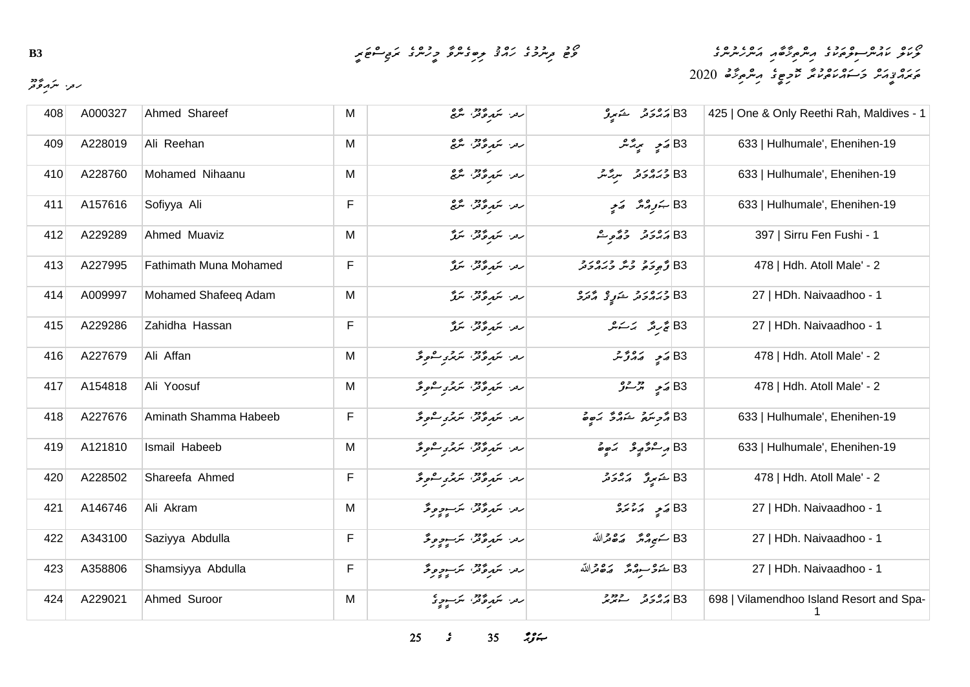*sCw7q7s5w7m< o<n9nOoAw7o< sCq;mAwBoEw7q<m; wBm;vB* م من المرة المرة المرة المرجع المرجع في المركبة 2020<br>مجم*د المريض المربوط المربع المرجع في المراجع المركبة* 

| 408 | A000327 | Ahmed Shareef          | M           | رىن سەرەقىر، شىج                              | B3   پر برگ در سکامبرلر                           | 425   One & Only Reethi Rah, Maldives - 1 |
|-----|---------|------------------------|-------------|-----------------------------------------------|---------------------------------------------------|-------------------------------------------|
| 409 | A228019 | Ali Reehan             | M           | رىر. سَمَدِ وَفَرْ، سَرَج                     | B3  رَمِ بِرِيَّ مَرْ                             | 633   Hulhumale', Ehenihen-19             |
| 410 | A228760 | Mohamed Nihaanu        | M           | رىر. سَمَدِ قَرْرُ، سَرَج                     | B3  <i>3223 كمبرند مبرند</i>                      | 633   Hulhumale', Ehenihen-19             |
| 411 | A157616 | Sofiyya Ali            | $\mathsf F$ | رىن سىرەتىر، شى                               | B3 ب <i>ەزەڭ مەي</i>                              | 633   Hulhumale', Ehenihen-19             |
| 412 | A229289 | Ahmed Muaviz           | M           | رىن سَمَدِ قَرْآ سَمَدٌ                       | B3 كەبرى قىر ئەھمەت بىر                           | 397   Sirru Fen Fushi - 1                 |
| 413 | A227995 | Fathimath Muna Mohamed | $\mathsf F$ | رىر. سَمَدِ قَرْشُ، سَمَدٌ                    | B3 تُجوحه وسُرَ وبرورو                            | 478   Hdh. Atoll Male' - 2                |
| 414 | A009997 | Mohamed Shafeeq Adam   | M           | رىر. سَمَدِ قَرْآءُ سَمَدٌ                    | B3 <i>وُبُهُ وَبُرُ</i> مُسَوِّرٍ مُحَمَّدٍ       | 27   HDh. Naivaadhoo - 1                  |
| 415 | A229286 | Zahidha Hassan         | F           | رىر. سَمَدِ وَفَرْ، سَمَدٌ                    | B3 بج بریٹر کے شکس                                | 27   HDh. Naivaadhoo - 1                  |
| 416 | A227679 | Ali Affan              | M           | رىر. سَمَدِ دَّدْيْ. سَرْبَرْي سُمُوتَرْ      | B3 <i>مَيْ مَهْ دُوَّ</i> تَر                     | 478   Hdh. Atoll Male' - 2                |
| 417 | A154818 | Ali Yoosuf             | M           | رىر. سَمَدِ دَّدْرُ، سَرَيْرَ بِ-حَمَدِ مَثَّ | B3 <i>جَرْحِي پُرْٽُرُ</i>                        | 478   Hdh. Atoll Male' - 2                |
| 418 | A227676 | Aminath Shamma Habeeb  | $\mathsf F$ | رىر. سەرگەش، سەيرى سەرگە                      | B3 أَمُّ <i>جِسَعْهُ</i> شَ <i>مْرةٌ</i> كَمُوْهُ | 633   Hulhumale', Ehenihen-19             |
| 419 | A121810 | Ismail Habeeb          | M           | رىر. سَمَدِ دَّدْيْ. سَرْبَرْي سُمُوتَرْ      | B3 مِـــْمَوَّمِهِ مِّـَ مَصِرَّةٍ مِ             | 633   Hulhumale', Ehenihen-19             |
| 420 | A228502 | Shareefa Ahmed         | F           | رىر. سَمَدِ وَكَرْ، سَرَ پُرْ بِ سُورِ گَرْ   | B3 ڪمپر <i>ڙ پرچ</i> ونر                          | 478   Hdh. Atoll Male' - 2                |
| 421 | A146746 | Ali Akram              | M           | رىر سەرگەش سەسىرە ئ                           | B3 <i>مَعِ مَنْعَ</i> رَ                          | 27   HDh. Naivaadhoo - 1                  |
| 422 | A343100 | Saziyya Abdulla        | F           | رىر. سەرەتىر، سەسىرە بەش                      | B3 كو <i>مبوهر<del>گر</del> كەڭ قى</i> راللە      | 27   HDh. Naivaadhoo - 1                  |
| 423 | A358806 | Shamsiyya Abdulla      | $\mathsf F$ | رىر. سَرەڭگە، سَرَسوە بەڭ                     | B3 خة <i>ق-م<sup>م</sup>م قم محمد</i> الله        | 27   HDh. Naivaadhoo - 1                  |
| 424 | A229021 | Ahmed Suroor           | M           | رىر. سَرەڭگە، سَرَسورِ ئ                      | B3 كەبرو بىر يەر يەر يەر                          | 698   Vilamendhoo Island Resort and Spa-  |

 $25$  *s*  $35$  *n***<sub>3</sub>** *n*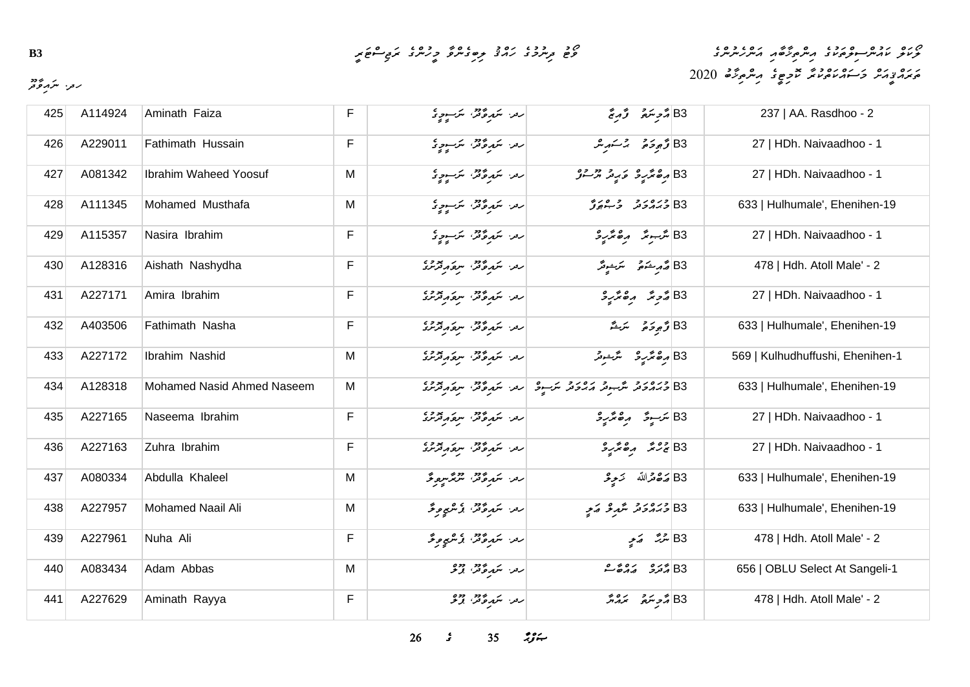*sCw7q7s5w7m< o<n9nOoAw7o< sCq;mAwBoEw7q<m; wBm;vB* م من المسجد المسجد المسجد المسجد المسجد العام 2020<br>مجم*د المسجد المسجد المستجد المسجد المسجد المسجد المسجد المسجد المسجد المسجد المسجد المسجد المسجد المسجد المسجد* 

| 425 | A114924 | Aminath Faiza                | F            | رىر. سەرگەش، سەسپەرگ                    | B3 أَمَّ حِسَمَةٌ فَرَمْ مَحَ                          | 237   AA. Rasdhoo - 2            |
|-----|---------|------------------------------|--------------|-----------------------------------------|--------------------------------------------------------|----------------------------------|
| 426 | A229011 | Fathimath Hussain            | F            | رىر. سَمْدِعْ تْشْ سَرَسِيْرِ ئْ        | B3 رَّجِوحَةُ بِمُ سَهْرِ مَ <i>رْ</i>                 | 27   HDh. Naivaadhoo - 1         |
| 427 | A081342 | <b>Ibrahim Waheed Yoosuf</b> | M            | رىن سەرگەش، سەسىرى                      | B3 مەھەرگە ئەر ئەسىر مەسىر                             | 27   HDh. Naivaadhoo - 1         |
| 428 | A111345 | Mohamed Musthafa             | M            | رىر. سَمْدِعْ تْشْ سَرْسِيْرِ ئْ        | B3 ديره د د د ورو                                      | 633   Hulhumale', Ehenihen-19    |
| 429 | A115357 | Nasira Ibrahim               | $\mathsf F$  | رى سەرگەش سەسىرى                        | B3 سَّرْسِوسَّر مِرْھ مَّرْرِ 3                        | 27   HDh. Naivaadhoo - 1         |
| 430 | A128316 | Aishath Nashydha             | $\mathsf F$  | رىر. سَرْمَ وَفَرْ، سِرْحَ مِرْمَرْدَ   | B3 م <i>ەڭ بە</i> شكە ھەرسىيەتگە                       | 478   Hdh. Atoll Male' - 2       |
| 431 | A227171 | Amira Ibrahim                | $\mathsf{F}$ | رو. سرمرگانش سرکار بود ،                | B3 مَرْحِبَّرَ مِنْ مَرْرِدْ                           | 27   HDh. Naivaadhoo - 1         |
| 432 | A403506 | Fathimath Nasha              | $\mathsf{F}$ | رىر. سَرْمَ وَفَرْ، سِرْمَ مِرْمَرْد    | B3 <i>وَّجِ دَمَّ</i> سَرَحَّہُ                        | 633   Hulhumale', Ehenihen-19    |
| 433 | A227172 | Ibrahim Nashid               | M            | رى سەرگەن سقەبەر                        | B3 م <i>وھ مگرد</i> و گرشونز                           | 569   Kulhudhuffushi, Ehenihen-1 |
| 434 | A128318 | Mohamed Nasid Ahmed Naseem   | M            |                                         | B3 ورەرو گرىبوتر 42 كرىم كرىبوق رىل شەھ ئىر سرىم بىروپ | 633   Hulhumale', Ehenihen-19    |
| 435 | A227165 | Naseema Ibrahim              | $\mathsf F$  | رىر. سَرْمَ وَفَرْ، سِرْحَ مِرْمَرْدَ   | B3 ىترىپو <i>گە مەھترى</i> رى                          | 27   HDh. Naivaadhoo - 1         |
| 436 | A227163 | Zuhra Ibrahim                | $\mathsf F$  | رىر شرەقتى سقەمەرى                      | B3 ىن ئىر ئىر م <i>ەنگەر ۋ</i>                         | 27   HDh. Naivaadhoo - 1         |
| 437 | A080334 | Abdulla Khaleel              | M            | رىر. سَرەقق شەر سور ئى                  | B3 رَصْحَرْاللّه  تَرْمِوْ كَمْ                        | 633   Hulhumale', Ehenihen-19    |
| 438 | A227957 | <b>Mohamed Naail Ali</b>     | M            | رىر. سَرەڭ ئۇسمەھ ئە                    | B3 وُيَرَەرْ تَرَ مَرَ وَ يَرْمِ                       | 633   Hulhumale', Ehenihen-19    |
| 439 | A227961 | Nuha Ali                     | $\mathsf F$  | رىر. سَمَدِةَ تَمْرُ، بْزَسْرِي وِ تَرَ | B3 يُرتَدُّ هَ مِ                                      | 478   Hdh. Atoll Male' - 2       |
| 440 | A083434 | Adam Abbas                   | M            | رىر. سَمَدِةَ تَمْرُ بِيْرْشْ           | $2522$ $275$ $B3$                                      | 656   OBLU Select At Sangeli-1   |
| 441 | A227629 | Aminath Rayya                | F            | رىر. سَمَدِ ھُرُوْ. بِيْ بِيْ           | B3 أَمُّ حِرْمَةٌ مَمَّدَ مَنْ                         | 478   Hdh. Atoll Male' - 2       |

 $26$  *s* 35  $294$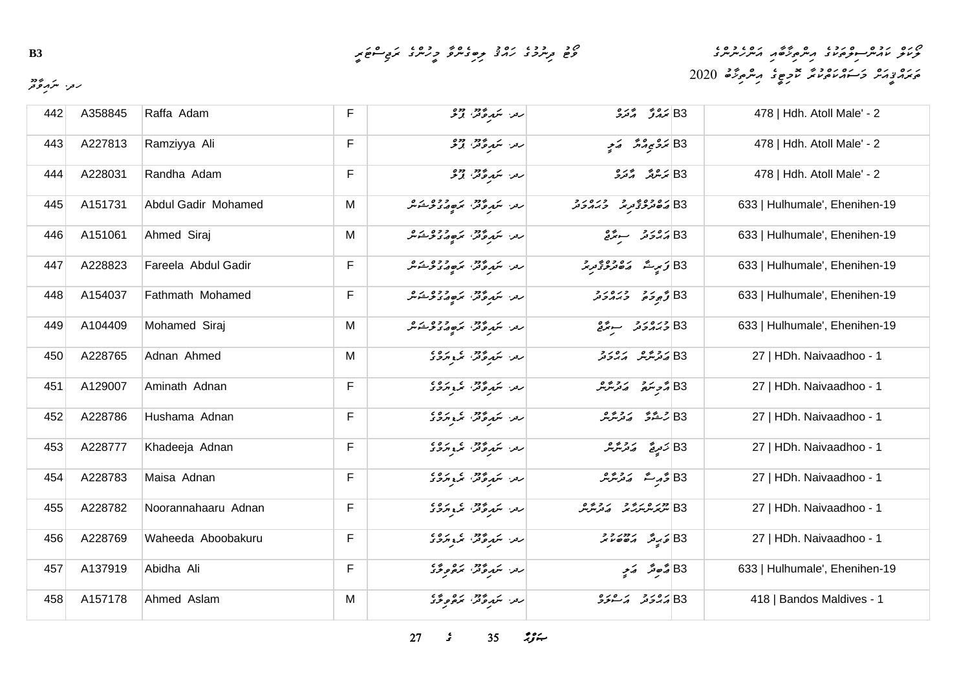*sCw7q7s5w7m< o<n9nOoAw7o< sCq;mAwBoEw7q<m; wBm;vB* م من المرة المرة المرة المرجع المرجع في المركبة 2020<br>مجم*د المريض المربوط المربع المرجع في المراجع المركبة* 

| 442 | A358845 | Raffa Adam          | F | رىر. سَمَدِ ھُ <sup>ود</sup> ُ مَجْرَ حَمَدُ الْمَسَمَّدُ الْمَسَمَّدُ الْمَسَمَّدُ الْمَسَمَّدُ الْمَسَمَّدُ ا | B3 يَرْ <i>مَرُوَّ مُ</i> تَرَ <i>دُّ</i>            | 478   Hdh. Atoll Male' - 2    |
|-----|---------|---------------------|---|-----------------------------------------------------------------------------------------------------------------|------------------------------------------------------|-------------------------------|
| 443 | A227813 | Ramziyya Ali        | F | رىن سَمَدِ ھَتَرُ کَرُمْتَ                                                                                      | B3 <i>بَرْدُّي مُ</i> هُرَّ مَهْرٍ                   | 478   Hdh. Atoll Male' - 2    |
| 444 | A228031 | Randha Adam         | F | رىر سەرھەر بوھ                                                                                                  | B3 يَرْسْرَشَ مَرَّمَرْدُ                            | 478   Hdh. Atoll Male' - 2    |
| 445 | A151731 | Abdul Gadir Mohamed | M | رىر شمەن بۇ ئەھەر ئەھمىسى                                                                                       | B3 رە دەپرىر بەر دىرە دە                             | 633   Hulhumale', Ehenihen-19 |
| 446 | A151061 | Ahmed Siraj         | M | رىر شمەن بول دوەم ئىش                                                                                           | B3 <i>مَدْوَمْ</i> سِعَّةٍ                           | 633   Hulhumale', Ehenihen-19 |
| 447 | A228823 | Fareela Abdul Gadir | F | رىر شمەن بۇ ئەھ ئەم ئوستەش                                                                                      | B3 كۆموت ھەھەر ئۇ توپر                               | 633   Hulhumale', Ehenihen-19 |
| 448 | A154037 | Fathmath Mohamed    | F | رىر شمەن بۇ ئەھەر ئوشكىر                                                                                        | B3 وُجِعَة حَمَدَ مَعَ                               | 633   Hulhumale', Ehenihen-19 |
| 449 | A104409 | Mohamed Siraj       | M | رىر شمەن بۇ مەم 1979 كىشەش                                                                                      | B3  <i>وبروبرو</i> سو <i>بڑھ</i>                     | 633   Hulhumale', Ehenihen-19 |
| 450 | A228765 | Adnan Ahmed         | M | رى رەپ ئېر                                                                                                      | B3 كەنترىترىش كەنزىقر                                | 27   HDh. Naivaadhoo - 1      |
| 451 | A129007 | Aminath Adnan       | F | رى رەپ كەن بارە                                                                                                 | B3 مُتَّحِسَمَةُ مَسْتَرْسَّرْسَ                     | 27   HDh. Naivaadhoo - 1      |
| 452 | A228786 | Hushama Adnan       | F | رى ئەرگەنى ئەدە ئ                                                                                               | B3 رَّحْدَّوَ <sub>م</sub> َعْرَمْر <sub>َ</sub> مْر | 27   HDh. Naivaadhoo - 1      |
| 453 | A228777 | Khadeeja Adnan      | F | رى رەپ كەن                                                                                                      | B3 كَرْسِيَّةً مَسْ مُرْشَرْسْر                      | 27   HDh. Naivaadhoo - 1      |
| 454 | A228783 | Maisa Adnan         | F | رى ئەرگەنى ئەدە ئ                                                                                               | B3 دَّەب <sup>س</sup> ە كەنترىترىر                   | 27   HDh. Naivaadhoo - 1      |
| 455 | A228782 | Noorannahaaru Adnan | F | رى رەپ ئەرەكتى كىم دەپ                                                                                          | B3 <i>میں مرمین کر میں میں میں می</i>                | 27   HDh. Naivaadhoo - 1      |
| 456 | A228769 | Waheeda Aboobakuru  | F | رو، شھروگھر، شہر مرو و                                                                                          | B3 كۆپەتمە مەھەمدىمە                                 | 27   HDh. Naivaadhoo - 1      |
| 457 | A137919 | Abidha Ali          | F | رىر. سَمَدِ دَّتْرُ، سَمَّ دِ دَ دَ د                                                                           | B3 مُپەنگە كەم <u>و</u>                              | 633   Hulhumale', Ehenihen-19 |
| 458 | A157178 | Ahmed Aslam         | M | رىر. سَرِمْ دَرْ مَرْجُومِ تَرَكَّى                                                                             | B3 كەبرى كەن كەنگە ئىشلار 3                          | 418   Bandos Maldives - 1     |

*27 sC 35 nNw?mS*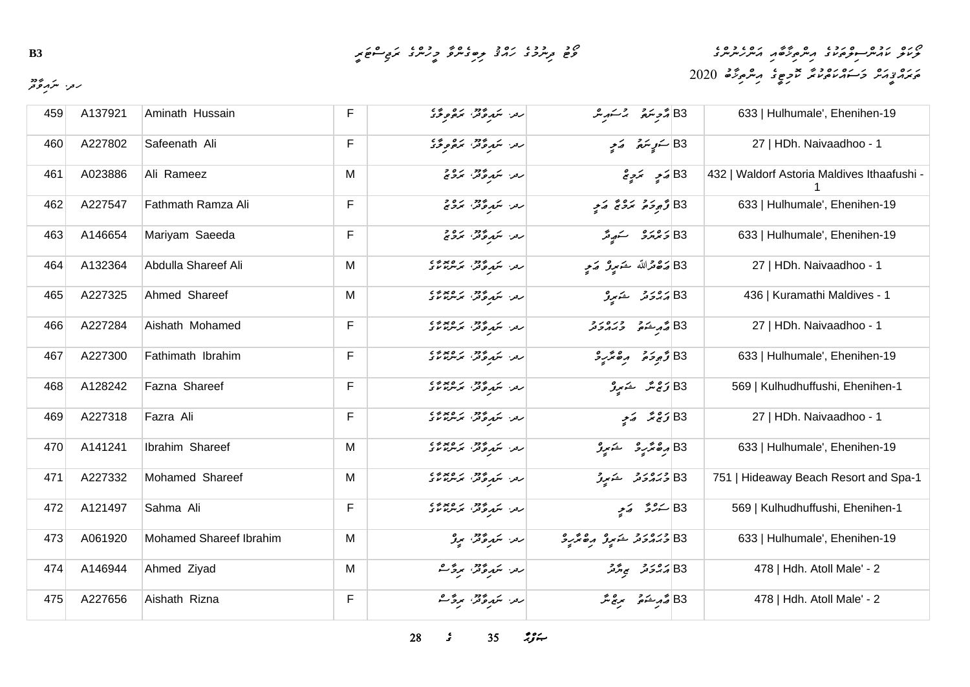*sCw7q7s5w7m< o<n9nOoAw7o< sCq;mAwBoEw7q<m; wBm;vB* م من المرة المرة المرة المرجع المرجع في المركبة 2020<br>مجم*د المريض المربوط المربع المرجع في المراجع المركبة* 

| 224<br>بردر سرمزودر |  |
|---------------------|--|
|---------------------|--|

| 459 | A137921 | Aminath Hussain         | $\mathsf F$ | رىر. سَرەڭ ئۇھ ئەممى         | B3 مَّ حِسَمَةٌ حَمْ سَنَ سَرِ مَثَّر   | 633   Hulhumale', Ehenihen-19               |
|-----|---------|-------------------------|-------------|------------------------------|-----------------------------------------|---------------------------------------------|
| 460 | A227802 | Safeenath Ali           | F           | رىر. سَرەڭ ئۇر ئەھمەتچە      | B3 س <i>َوِيتَهُ مَ</i> حِ              | 27   HDh. Naivaadhoo - 1                    |
| 461 | A023886 | Ali Rameez              | M           | رى شرەقرى بەدە               | B3 <i>ھَيِ بَرَجِ</i> ۾                 | 432   Waldorf Astoria Maldives Ithaafushi - |
| 462 | A227547 | Fathmath Ramza Ali      | F           | رى شەرقىق برە د              | B3 <i>وَّجِوَدَةُ بَرَدْجُ مَ</i> َرِ   | 633   Hulhumale', Ehenihen-19               |
| 463 | A146654 | Mariyam Saeeda          | $\mathsf F$ | رى شەرقىق برە د              | B3 ى <i>ز بردۇ سەپەن</i> گە             | 633   Hulhumale', Ehenihen-19               |
| 464 | A132364 | Abdulla Shareef Ali     | M           | رى سەر ئەدەر بەھ بەھ ئ       | B3 كەھەتراللە خىمپو <i>گە كە</i> مچ     | 27   HDh. Naivaadhoo - 1                    |
| 465 | A227325 | Ahmed Shareef           | M           | رى شھرەتى، شەھرە             | B3 <i>مَہُدُوَنَہ</i> سَ <i>مَبِروْ</i> | 436   Kuramathi Maldives - 1                |
| 466 | A227284 | Aishath Mohamed         | F           | رى سەر دەر رەپرە ،           | B3 مەم ئىق ئەم ئەر ئىس                  | 27   HDh. Naivaadhoo - 1                    |
| 467 | A227300 | Fathimath Ibrahim       | F           | رى سەر دەر رەپرە ،           | B3 رَّجِ دَمَّ مِنْ مَحْرِ دِ           | 633   Hulhumale', Ehenihen-19               |
| 468 | A128242 | Fazna Shareef           | F           | رى شمەن 25°، ئەسمەدە ئ       | B3 تَرَيْح مَّتْ سَمَ مِرْثَرِ          | 569   Kulhudhuffushi, Ehenihen-1            |
| 469 | A227318 | Fazra Ali               | F           | رو. سهروگر، برس              | B3 تۇيج ئە ھەم يە                       | 27   HDh. Naivaadhoo - 1                    |
| 470 | A141241 | Ibrahim Shareef         | M           | رى سەر دەر رەپرە ،           | B3 ب <i>رھ مُرْرِدْ</i> ڪمبرڙ           | 633   Hulhumale', Ehenihen-19               |
| 471 | A227332 | Mohamed Shareef         | M           | رو. سمدۇن برەيدە ،           | B3 <i>وُبَرُوْدُوْ</i> سُنَمِيْرُ       | 751   Hideaway Beach Resort and Spa-1       |
| 472 | A121497 | Sahma Ali               | F           | رى سەر دەس بەھلەر            | B3  سَرُنَّۃ کی یو                      | 569   Kulhudhuffushi, Ehenihen-1            |
| 473 | A061920 | Mohamed Shareef Ibrahim | M           | رىن سەرەتىر، بور             | B3 <i>وبرودو خبرو م</i> ەھرىرو          | 633   Hulhumale', Ehenihen-19               |
| 474 | A146944 | Ahmed Ziyad             | M           | رىر. سَمَدِعَ تَسْ سِرتَرْ ک | B3 <i>ג 25 يو پر پو</i> تر              | 478   Hdh. Atoll Male' - 2                  |
| 475 | A227656 | Aishath Rizna           | F           | رىر. سَرەڭ برۇگ              | B3 م <i>ۇم شۇم بىر چى</i> گر            | 478   Hdh. Atoll Male' - 2                  |

**28** *s* **35** *n***<sub>s</sub> <b>***n*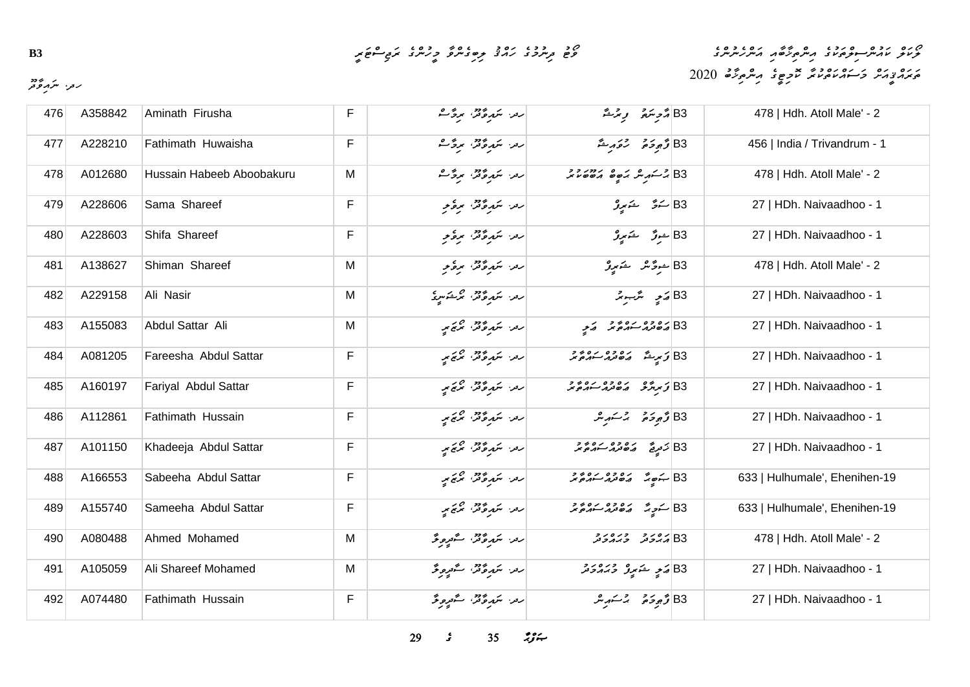*sCw7q7s5w7m< o<n9nOoAw7o< sCq;mAwBoEw7q<m; wBm;vB* م من المرة المرة المرة المرجع المرجع في المركبة 2020<br>مجم*د المريض المربوط المربع المرجع في المراجع المركبة* 

| 476 | A358842 | Aminath Firusha           | $\mathsf F$ | رىر. سَمَدِ عَرَّقْ، سِرْحَاتْ   | B3 مُرْحِسَمَ وِيُرْتُمْ                 | 478   Hdh. Atoll Male' - 2    |
|-----|---------|---------------------------|-------------|----------------------------------|------------------------------------------|-------------------------------|
| 477 | A228210 | Fathimath Huwaisha        | F           | رىر. سَمْدِعْ مِنْ سِرْحَاتْ     | B3 تَ <i>وْجِعَةْ</i> حَقَدِيقَّةُ       | 456   India / Trivandrum - 1  |
| 478 | A012680 | Hussain Habeeb Aboobakuru | M           | رىر. سَمَدِعْ تَشْ سِرْحَاتْ     |                                          | 478   Hdh. Atoll Male' - 2    |
| 479 | A228606 | Sama Shareef              | $\mathsf F$ | رىن شەرەتىق بوغ يە               | B3 كەنتى سىمب <i>ىرى</i>                 | 27   HDh. Naivaadhoo - 1      |
| 480 | A228603 | Shifa Shareef             | F           | رىن سەرەتىق بوغ يې               | B3  خبرگر کشمیرگر                        | 27   HDh. Naivaadhoo - 1      |
| 481 | A138627 | Shiman Shareef            | M           | رىن سەرەتىق بوغ يې               | B3 جوگر ش <i>مپو</i> گر                  | 478   Hdh. Atoll Male' - 2    |
| 482 | A229158 | Ali Nasir                 | M           | رىر. سَمْدِعَ تْمْنْ سْرَحْسِيدْ | B3  رَمِ سَرَجَر                         | 27   HDh. Naivaadhoo - 1      |
| 483 | A155083 | Abdul Sattar Ali          | M           | رىر. سَمَدِ وَتَرْ، سَمِيَ سِمْ  | B3 كەھەر مەمەدە كەم                      | 27   HDh. Naivaadhoo - 1      |
| 484 | A081205 | Fareesha Abdul Sattar     | F           | رى شمەۋىش سىم بر                 | B3 زېږ شه په <i>۱۵۶۵ کو</i> د د          | 27   HDh. Naivaadhoo - 1      |
| 485 | A160197 | Fariyal Abdul Sattar      | F           | رى سەرگەن بىرى                   | B3 زېږمبر مقصد مصدره بره پو              | 27   HDh. Naivaadhoo - 1      |
| 486 | A112861 | Fathimath Hussain         | $\mathsf F$ | رىن شمەرگەدە نىمى بىر            | B3 <i>وَّجِوَدَةْ</i> بِرْسَهِرِيْتَرَ   | 27   HDh. Naivaadhoo - 1      |
| 487 | A101150 | Khadeeja Abdul Sattar     | F           | رىر. سَمَدِ وَتَرْ، سَمِيَ سِمْ  | B3 ئەرقى ھەقىرە سەمبىر مە                | 27   HDh. Naivaadhoo - 1      |
| 488 | A166553 | Sabeeha Abdul Sattar      | F           | رىر. سَمَدِ وَتَرْ، سَمِيَ سِمْ  |                                          | 633   Hulhumale', Ehenihen-19 |
| 489 | A155740 | Sameeha Abdul Sattar      | $\mathsf F$ | رىن سەرگەن بىرىمىيە              | B3 كوپر مەھىرە مەدەپر                    | 633   Hulhumale', Ehenihen-19 |
| 490 | A080488 | Ahmed Mohamed             | M           | رىر. سَرەڭ ئىش سەھرەڭ            | B3 ג'ליג בג'ליביק                        | 478   Hdh. Atoll Male' - 2    |
| 491 | A105059 | Ali Shareef Mohamed       | M           | رىر. سَرەڭ ئىش سەھرەڭ            | B3   كامي الحكم بالمركز و كامر دار در 13 | 27   HDh. Naivaadhoo - 1      |
| 492 | A074480 | Fathimath Hussain         | F           | رىر. سَرەڭ ئىش ھەرەڭ             | B3 تۇپوخۇ گەسىمبەش                       | 27   HDh. Naivaadhoo - 1      |

*r@n=o<m7 .@5*

**29** *s* 35  $29$  *s*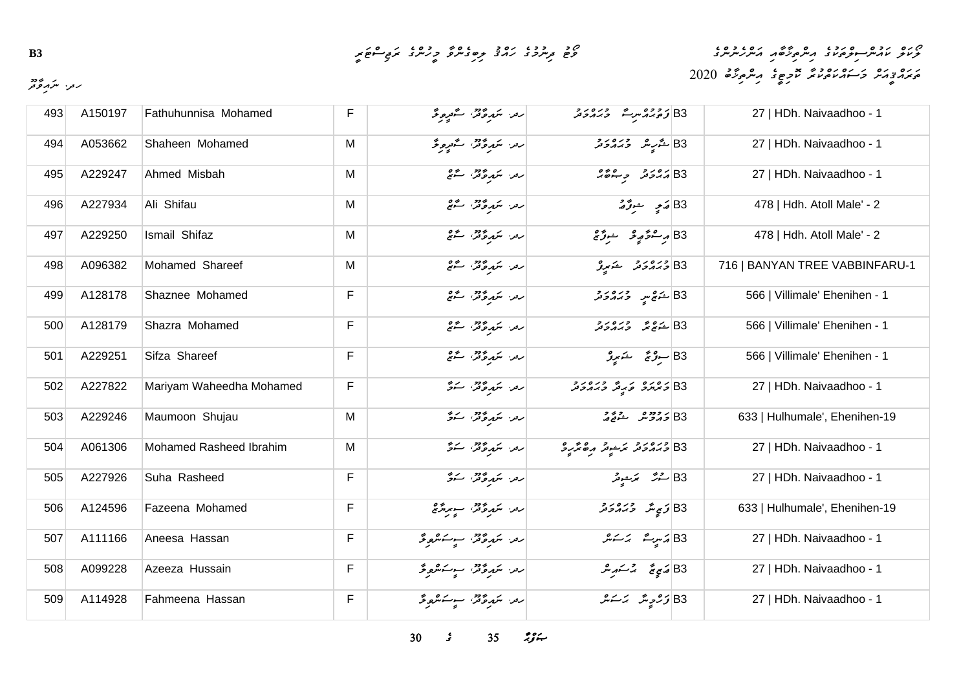*sCw7q7s5w7m< o<n9nOoAw7o< sCq;mAwBoEw7q<m; wBm;vB 2020*<br>*په پوهر وسوډيرونو لومو د موجو د مرمونه* 2020

| 493 | A150197 | Fathuhunnisa Mohamed     | F           | رىر. سَرەڭ ئىس ئەرەڭ       | B3 زەدەس ئەرەرد                                 | 27   HDh. Naivaadhoo - 1       |
|-----|---------|--------------------------|-------------|----------------------------|-------------------------------------------------|--------------------------------|
| 494 | A053662 | Shaheen Mohamed          | M           | رىر. سَرەڭ ئىس سەھرەڭ      | B3 ڪرپ <i>ھي ويو وي</i> و                       | 27   HDh. Naivaadhoo - 1       |
| 495 | A229247 | Ahmed Misbah             | M           | رىر. سَرەڭ ئەستىج          | $222 - 222$                                     | 27   HDh. Naivaadhoo - 1       |
| 496 | A227934 | Ali Shifau               | M           | رىر. سَمَدِ ھُرُ، سُمَّتَى | B3 <i>مَعٍ</i> حَوَ <i>دٌ</i>                   | 478   Hdh. Atoll Male' - 2     |
| 497 | A229250 | Ismail Shifaz            | M           | رىر. سَمَدِ ھُرُ، سُمَّتَى | B3  <sub>مر</sub> شو <i>ڈ <sub>مو</sub>ڈ</i> یم | 478   Hdh. Atoll Male' - 2     |
| 498 | A096382 | Mohamed Shareef          | M           | رىر. سَمَدِ ھُرُ، سُمَّتَى | B3  <i>وُبَہُ وَبَرْ</i> شَمِيرٌ                | 716   BANYAN TREE VABBINFARU-1 |
| 499 | A128178 | Shaznee Mohamed          | $\mathsf F$ | رىر. سَمَدِ ھُرُ، سُمَّتَى | B3  خەنج س ئ <i>ۇنى مەدىر</i>                   | 566   Villimale' Ehenihen - 1  |
| 500 | A128179 | Shazra Mohamed           | F           | رىر. سَمَدِ ھُرُ، سُمَّتَى | B3 خەم يەرەر دىر                                | 566   Villimale' Ehenihen - 1  |
| 501 | A229251 | Sifza Shareef            | F           | رىر. سَمَدِ ھُيْ، سُنَج    | B3 سورمج خوبور                                  | 566   Villimale' Ehenihen - 1  |
| 502 | A227822 | Mariyam Waheedha Mohamed | F           | رىر. سَمَدِ قَرْبُ سَنَرَّ | B3 <i>ويمهر و مربر وب</i> روبر                  | 27   HDh. Naivaadhoo - 1       |
| 503 | A229246 | Maumoon Shujau           | M           | رىر. سَمَدِ بَرْسٌ سَنَرٌ  | B3 كەنز ھەر سىندە ئەن                           | 633   Hulhumale', Ehenihen-19  |
| 504 | A061306 | Mohamed Rasheed Ibrahim  | M           | رى شەرەتى سەئ              | B3 <i>وبرو دو برخونگر م</i> ی <i>مرب</i> و      | 27   HDh. Naivaadhoo - 1       |
| 505 | A227926 | Suha Rasheed             | $\mathsf F$ | رىن سەرەتىن سىرگە          | B3 كەنز - ئىزىش <sub>و</sub> ش                  | 27   HDh. Naivaadhoo - 1       |
| 506 | A124596 | Fazeena Mohamed          | $\mathsf F$ | رىر. سَرىر ئۆتۈر سومرىژى   | B3 توىپ ئىر ئ <i>ەندە</i> تر                    | 633   Hulhumale', Ehenihen-19  |
| 507 | A111166 | Aneesa Hassan            | F           | رىر. سەرگەنگە، سوسكىلرى ئى | B3 كەسرىسى كەسكەنلى                             | 27   HDh. Naivaadhoo - 1       |
| 508 | A099228 | Azeeza Hussain           | F           | رىر. سەرەتىق، سوسەسىرە ئ   | B3 <i>ھَي جُه بُرُسَمب</i> ِسُ                  | 27   HDh. Naivaadhoo - 1       |
| 509 | A114928 | Fahmeena Hassan          | F           | رىر. سەرەتى، سوسەسىرە ئ    | B3 ت <i>وجو بنگ برسک</i> ر                      | 27   HDh. Naivaadhoo - 1       |

**30** *s* 35 *if***<sub>s</sub>** 

ر<sub>قر</sub>. مر<sub>کم</sub>ود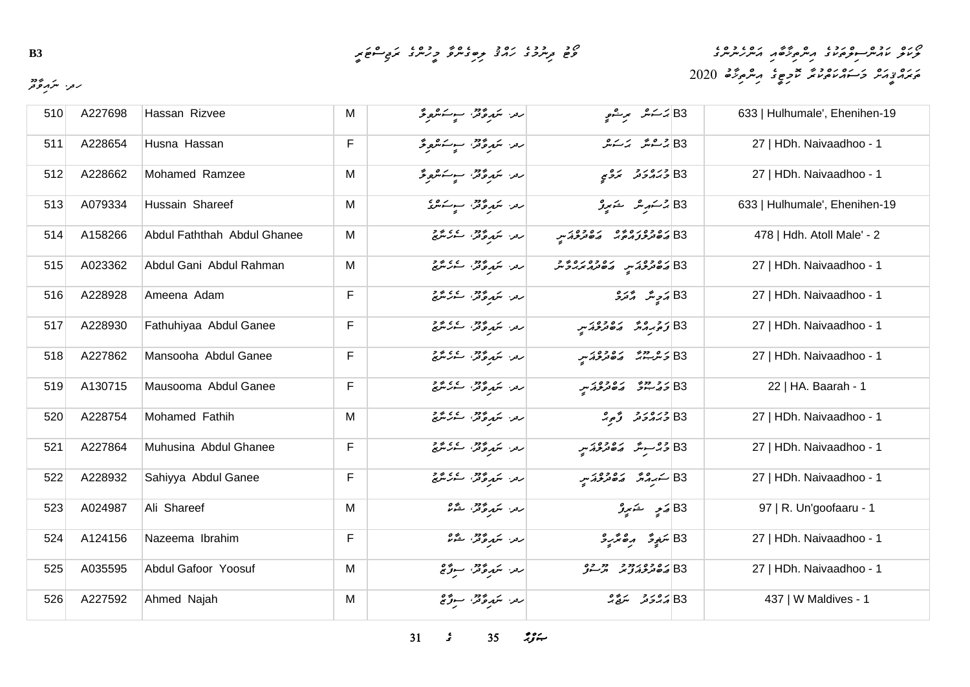*sCw7q7s5w7m< o<n9nOoAw7o< sCq;mAwBoEw7q<m; wBm;vB* م من المسجد المسجد المسجد المسجد المسجد العام 2020<br>مجم*د المسجد المسجد المستجد المسجد المسجد المسجد المسجد المسجد المسجد المسجد المسجد المسجد المسجد المسجد المسجد* 

| 510 | A227698 | Hassan Rizvee               | M            | رىر. سَرەڭ ئەسىسسىسى ئە               | B3  برستىقى بىرىشى <i>م</i> ىيە                                                       | 633   Hulhumale', Ehenihen-19 |
|-----|---------|-----------------------------|--------------|---------------------------------------|---------------------------------------------------------------------------------------|-------------------------------|
| 511 | A228654 | Husna Hassan                | F            | رىر. سەرگەنى، سوسەسھونۇ               | B3 إيرائيس برسكان بين                                                                 | 27   HDh. Naivaadhoo - 1      |
| 512 | A228662 | Mohamed Ramzee              | M            | رىر. سەرەتىر، سوسەسمىرىگە             | B3 <i>دېممر دې</i> تروپي                                                              | 27   HDh. Naivaadhoo - 1      |
| 513 | A079334 | Hussain Shareef             | M            | رو. سرم قرق، سوسكس                    | B3 يُرْسَمْ مِيْتَ مِيْتَ مِيْتَرِ مِنْ الْمَسْتَمْتِيْتِرْ مِنْ مِيْتَ مِيْتِرْ مِنْ | 633   Hulhumale', Ehenihen-19 |
| 514 | A158266 | Abdul Faththah Abdul Ghanee | M            | رىد. سەرگەش سەرسى                     | B3 ره ده ده ده ده ده در سر                                                            | 478   Hdh. Atoll Male' - 2    |
| 515 | A023362 | Abdul Gani Abdul Rahman     | M            | رىد. سَمْدِعْ قْرْ، سَنْدَسْرَ بِيْرَ | 83 גם כפג ת הספר הספר                                                                 | 27   HDh. Naivaadhoo - 1      |
| 516 | A228928 | Ameena Adam                 | $\mathsf F$  | رو. سَمْدِعْ قُرْ، سَنَ سَرْسَ        | B3 <i>مَحِسَّر مُ</i> تَرَدُّ                                                         | 27   HDh. Naivaadhoo - 1      |
| 517 | A228930 | Fathuhiyaa Abdul Ganee      | $\mathsf F$  | رو. سَمْدِعْ قُرْ، سَنَ سَرْسَ        | B3 <i>ۆۋبەد ئە مەھەر ۋە بىر</i>                                                       | 27   HDh. Naivaadhoo - 1      |
| 518 | A227862 | Mansooha Abdul Ganee        | $\mathsf F$  | رى شرەڭ ئىر شەھ د                     | B3 كەشرىيە ئەرەپرىتىرىس                                                               | 27   HDh. Naivaadhoo - 1      |
| 519 | A130715 | Mausooma Abdul Ganee        | $\mathsf F$  | رىر. سەرگەش سەرگىرى                   | B3 كەرمىسى مەھەر كەر بىر                                                              | 22   HA. Baarah - 1           |
| 520 | A228754 | Mohamed Fathih              | M            | رى سەرگەش سەرئىسى                     | B3 <i>جەيمۇ جىر ئۇم</i> ب                                                             | 27   HDh. Naivaadhoo - 1      |
| 521 | A227864 | Muhusina Abdul Ghanee       | $\mathsf{F}$ | رو. سَمْدِعْ قُرْ، سَنَ سَرْسَ        | B3 دُيْرَ بِيهُ مَصْرُوْرُ سِ                                                         | 27   HDh. Naivaadhoo - 1      |
| 522 | A228932 | Sahiyya Abdul Ganee         | $\mathsf F$  | رو. سَمْدِعْ فَرْ) سُرْسَرَجْ         | B3 س <i>تېروگر مەھىرى قىرى</i> تىر                                                    | 27   HDh. Naivaadhoo - 1      |
| 523 | A024987 | Ali Shareef                 | M            | رو. سَمَرِ وَفَرْ، شَہْرُ             | B3 <i>مَرْمٍ</i> ڪَ <i>مِرِڙ</i> ُ                                                    | 97   R. Un'goofaaru - 1       |
| 524 | A124156 | Nazeema Ibrahim             | F            | رىن سَمَدِ ھُ <sup>ور</sup> شَدَّى    | B3 سَمِودٌ مِـ صَمَّرِ دُ                                                             | 27   HDh. Naivaadhoo - 1      |
| 525 | A035595 | Abdul Gafoor Yoosuf         | M            | رو. سَمَدِوَّتْرُ، سِبْرٌجْ           | B3 په ۱۳۶۶ وروو ده وه                                                                 | 27   HDh. Naivaadhoo - 1      |
| 526 | A227592 | Ahmed Najah                 | M            | رىر. سَمَدِ عَرَبْهُ مَسَوَرٌ جَ      | B3  <i>مَرْدُوَ</i> مَرْحَمَدُ مَرَبَّقَ بُرُ                                         | 437   W Maldives - 1          |

 $31$  *s*  $35$  *n***<sub>y</sub><sub>** $\rightarrow$ **</sub>**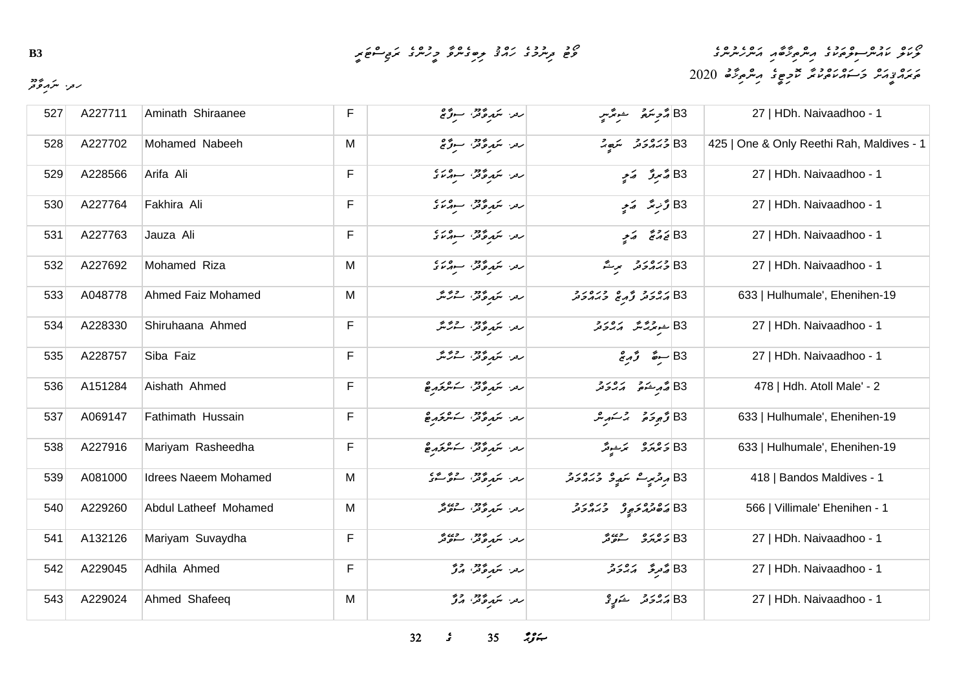*sCw7q7s5w7m< o<n9nOoAw7o< sCq;mAwBoEw7q<m; wBm;vB* م من المرة المرة المرة المرجع المرجع في المركبة 2020<br>مجم*د المريض المربوط المربع المرجع في المراجع المركبة* 

| 224<br>بردر سرمرو در |  |
|----------------------|--|
|----------------------|--|

| 527 | A227711 | Aminath Shiraanee           | $\mathsf F$ | رىر. سَمَدِهْ مَشْ، سورٌ ج                      | B3 مُرْحِ سَرَمُ مَنْ سُوسُرِيرِ             | 27   HDh. Naivaadhoo - 1                  |
|-----|---------|-----------------------------|-------------|-------------------------------------------------|----------------------------------------------|-------------------------------------------|
| 528 | A227702 | Mohamed Nabeeh              | M           | رىر. سَمَدِ قُرْرُ، سِيَوْمَحْ                  | B3  <i>وتەۋەقى سَەپ</i>                      | 425   One & Only Reethi Rah, Maldives - 1 |
| 529 | A228566 | Arifa Ali                   | $\mathsf F$ | رى سەرگەش سەدىن                                 | B3 صَّمِرَةٌ صَمِّحٍ                         | 27   HDh. Naivaadhoo - 1                  |
| 530 | A227764 | Fakhira Ali                 | $\mathsf F$ | رو. سکروگر استران                               | B3 وَّزِيمٌ - صَعٍ                           | 27   HDh. Naivaadhoo - 1                  |
| 531 | A227763 | Jauza Ali                   | F           | رى شەھ تە قارى                                  | B3 <i>في 3 م</i> َم محم                      | 27   HDh. Naivaadhoo - 1                  |
| 532 | A227692 | Mohamed Riza                | M           | رو. سمدۇنر، سەر ،                               | B3 <i>ويروونو</i> برتگ                       | 27   HDh. Naivaadhoo - 1                  |
| 533 | A048778 | <b>Ahmed Faiz Mohamed</b>   | M           | رىر. سَمَدِعْ قُرْ، سَنَرْسَرُ                  | B3 , جرى و محمد محمد مرد و در د              | 633   Hulhumale', Ehenihen-19             |
| 534 | A228330 | Shiruhaana Ahmed            | F           | رىر. سَمَدِ قَرْشْ، سىرتىش                      | B3 ج <i>وبرنگر مردو</i> نر                   | 27   HDh. Naivaadhoo - 1                  |
| 535 | A228757 | Siba Faiz                   | $\mathsf F$ | رىر. سَمَدِ قَرْبُہ سَنَرْسَ                    | $\mathcal{E}$ $\sim$ $\mathcal{E}$ $\sim$ B3 | 27   HDh. Naivaadhoo - 1                  |
| 536 | A151284 | Aishath Ahmed               | $\mathsf F$ | رىر سر ئودو سى ئورى                             | B3 مەمبەتتە ئەرەر يەر                        | 478   Hdh. Atoll Male' - 2                |
| 537 | A069147 | Fathimath Hussain           | $\mathsf F$ | رىر سرم ئى ئىش ئىرىم                            | B3 <i>وَّجِوَدَةْ</i> بِمُسَمَ <i>دِينْ</i>  | 633   Hulhumale', Ehenihen-19             |
| 538 | A227916 | Mariyam Rasheedha           | $\mathsf F$ | رىر. سَرەققر، سَەسْرْدَە ھ                      | B3 ك <i>ر بمركز كم مك</i> رسون <i>گر</i>     | 633   Hulhumale', Ehenihen-19             |
| 539 | A081000 | <b>Idrees Naeem Mohamed</b> | M           | رو. سهروتو، روه وه                              | B3 <sub>م</sub> یٹر پرے شرک ویکروفر          | 418   Bandos Maldives - 1                 |
| 540 | A229260 | Abdul Latheef Mohamed       | M           | ری شم <sub>ه ح</sub> ود دره به د                | B3 مەھەر مەمدەر دىرەر د                      | 566   Villimale' Ehenihen - 1             |
| 541 | A132126 | Mariyam Suvaydha            | F           | رى سَمَدِ ھُ <sup>ود</sup> سوھ <sup>ى</sup> ئىر | B3 كەممەر 2 مىق ئىر                          | 27   HDh. Naivaadhoo - 1                  |
| 542 | A229045 | Adhila Ahmed                | $\mathsf F$ | رى سەرقىق دۇ                                    | B3 جەمبۇ <i>مەدە</i> تر                      | 27   HDh. Naivaadhoo - 1                  |
| 543 | A229024 | Ahmed Shafeeq               | M           | رىن سَمەرەتىر، مەتى                             | B3 <i>مَہُ جو آر جو ت</i> و                  | 27   HDh. Naivaadhoo - 1                  |

**32** *s* **35** *z***<sub>***f***</sub>**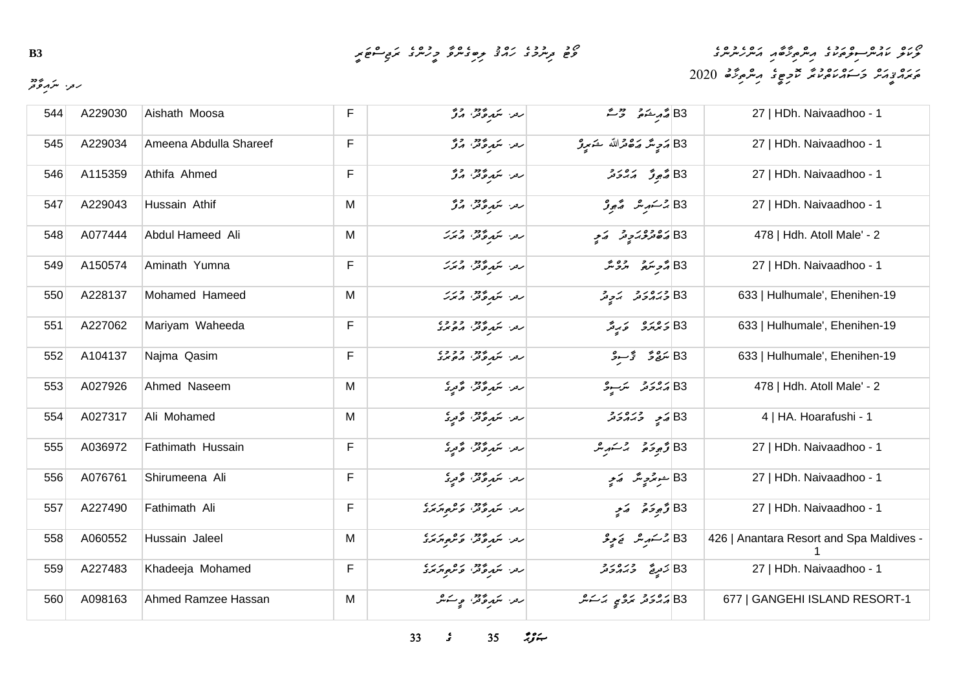*sCw7q7s5w7m< o<n9nOoAw7o< sCq;mAwBoEw7q<m; wBm;vB 2020*<br>*په ټومن د سوم پوره پورې پر سوم د سره پره و*لا

| 544 | A229030 | Aishath Moosa          | F | رىن سَمَدِ قَرْقَ أَمْرٌ         | B3 مُرِيشَمُ حَرَّثُمُ ال                                      | 27   HDh. Naivaadhoo - 1                 |
|-----|---------|------------------------|---|----------------------------------|----------------------------------------------------------------|------------------------------------------|
| 545 | A229034 | Ameena Abdulla Shareef | F | رىن سَمَدِ قَرْبُ مِرْتَى ۖ      | B3 مَرَحِ مَّرَ مَ <b>ـُ</b> هُ مِّدَاللَّهُ ۖ مُـُوَمِّرِيْرُ | 27   HDh. Naivaadhoo - 1                 |
| 546 | A115359 | Athifa Ahmed           | F | رو، سمدوقر، وو                   | B3 مَّ جورَّ مَ يُرْحَمَّ                                      | 27   HDh. Naivaadhoo - 1                 |
| 547 | A229043 | Hussain Athif          | M | رى سەرقىق دۇ                     | B3 پر <i>شہر شہور</i> ک                                        | 27   HDh. Naivaadhoo - 1                 |
| 548 | A077444 | Abdul Hameed Ali       | M | رى شەرەتى مەترىر                 | B3 كەھەر <i>ى بەرقەھى</i> ر بەر                                | 478   Hdh. Atoll Male' - 2               |
| 549 | A150574 | Aminath Yumna          | F | رى شەرقىق مەترىر                 |                                                                | 27   HDh. Naivaadhoo - 1                 |
| 550 | A228137 | Mohamed Hameed         | M | رىن شەرگەنى ئەترىز               | B3  <i>3223 كەچ</i> ىر                                         | 633   Hulhumale', Ehenihen-19            |
| 551 | A227062 | Mariyam Waheeda        | F | رىر. سَمَدِ قَرْرُ، مەھەرى       | B3 <i>وَ بُرْمَرْدْ وَ بِ</i> رِمَّ <i>ر</i>                   | 633   Hulhumale', Ehenihen-19            |
| 552 | A104137 | Najma Qasim            | F | رى شرەڭ مەھىر                    | B3 يَرْدُعُ جَمَّ تَحْ- يُرْ                                   | 633   Hulhumale', Ehenihen-19            |
| 553 | A027926 | Ahmed Naseem           | M | رىر. سَمَدِ وَتَرْ، کَرَّمَنِرَى | B3 <i>ړُرُوَنَ ترَبِ</i> وُ                                    | 478   Hdh. Atoll Male' - 2               |
| 554 | A027317 | Ali Mohamed            | M | رىر سَمَدِ وَتَرْ کَرَّمْدِ دَ   | B3 كەير بەردەر<br>183 كەير ب                                   | 4   HA. Hoarafushi - 1                   |
| 555 | A036972 | Fathimath Hussain      | F | رىر. سَمَدِ وَتَرْ، وَتَرِي      | B3 رَّجِوحَةُ بِمُسَمَّدِيْثَر                                 | 27   HDh. Naivaadhoo - 1                 |
| 556 | A076761 | Shirumeena Ali         | F | رى شەرەتىش ھەرى                  | B3 جومر <sub>گو</sub> مگر ک <sup>ی</sup> ج                     | 27   HDh. Naivaadhoo - 1                 |
| 557 | A227490 | Fathimath Ali          | F | رىر شمەنگەش كەنگەندىكى           | B3 وَّجِوحَةً صَعٍ                                             | 27   HDh. Naivaadhoo - 1                 |
| 558 | A060552 | Hussain Jaleel         | M | رى سرگە ئەدەر بەر ئە             | B3 يُرْسَمب <sup>و</sup> ھَجِوْ                                | 426   Anantara Resort and Spa Maldives - |
| 559 | A227483 | Khadeeja Mohamed       | F | رو. سرمرگان و شره برد ،          | B3  دَمِيعٌ         دُيَرُ دُوَمَرٌ                            | 27   HDh. Naivaadhoo - 1                 |
| 560 | A098163 | Ahmed Ramzee Hassan    | M | رىر. سَرەڭگْرْ، ھِيسكىل          | B3   پروژو برو <sub>ی</sub> برسه م                             | 677   GANGEHI ISLAND RESORT-1            |

**33** *s* **35** *n***<sub>y</sub> <b>***n*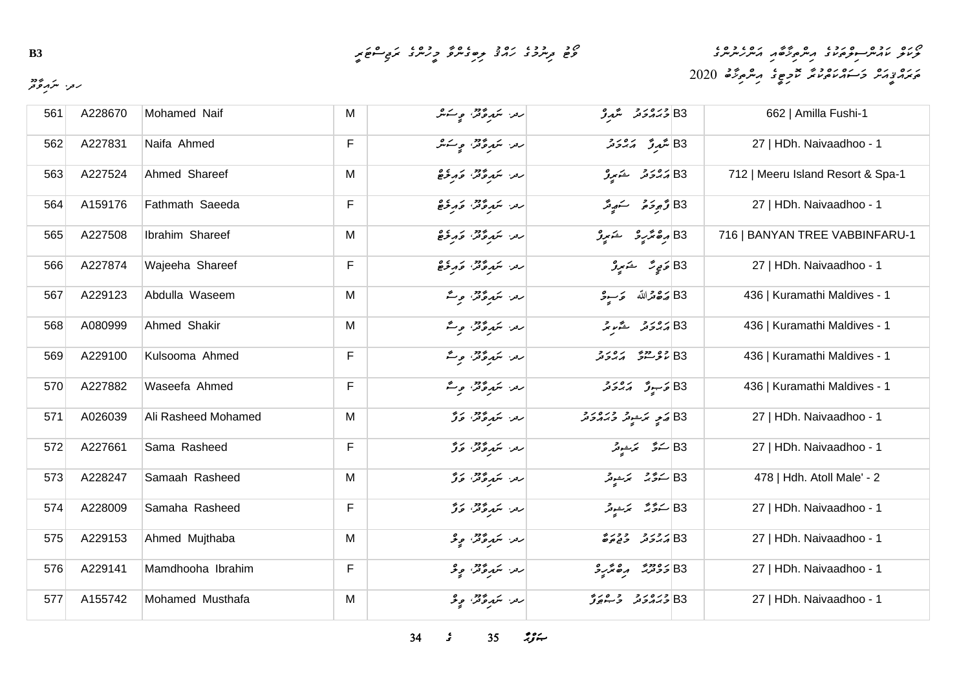*sCw7q7s5w7m< o<n9nOoAw7o< sCq;mAwBoEw7q<m; wBm;vB* م من المرة المرة المرة المرجع المرجع في المركبة 2020<br>مجم*د المريض المربوط المربع المرجع في المراجع المركبة* 

| 561 | A228670 | Mohamed Naif        | M           | رىر. سَرەڭ ئۇسىسى                      | B3  3223 مگرو                           | 662   Amilla Fushi-1              |
|-----|---------|---------------------|-------------|----------------------------------------|-----------------------------------------|-----------------------------------|
| 562 | A227831 | Naifa Ahmed         | F           | رىر. سَمَدِةٌ تَيْرُ، وِسَسَرْ         |                                         | 27   HDh. Naivaadhoo - 1          |
| 563 | A227524 | Ahmed Shareef       | M           | رىر. سَمَدِ قُرْرُ، قَامِرْ قَالَجْ عَ | B3 <i>مَہُدُوَمَن حَمَيونَ</i>          | 712   Meeru Island Resort & Spa-1 |
| 564 | A159176 | Fathmath Saeeda     | F           | رىر شمەرتىق قەدىخ                      | B3 <i>وَّجوحَ</i> هُ سَم <i>وٍنَّرُ</i> | 27   HDh. Naivaadhoo - 1          |
| 565 | A227508 | Ibrahim Shareef     | M           | رو. سَمَدِ وَدْ. وَ مِرْوَمٍ           | B3 م <i>ەھترى</i> دى ھەمرى              | 716   BANYAN TREE VABBINFARU-1    |
| 566 | A227874 | Wajeeha Shareef     | F           | رىر. سَمَدِ وََ" وَ"دِ وَ حَ           | B3 كۆمچە ئەسىمبەر 3.                    | 27   HDh. Naivaadhoo - 1          |
| 567 | A229123 | Abdulla Waseem      | M           | رىن سَمَدِ قَرْبُ ۔ حِبٌ               |                                         | 436   Kuramathi Maldives - 1      |
| 568 | A080999 | Ahmed Shakir        | M           | رىن سَمَدِ ھُ <sup>52</sup> ، ھِ سُمَّ | B3 كەبروتىر مەھمىيەتىر                  | 436   Kuramathi Maldives - 1      |
| 569 | A229100 | Kulsooma Ahmed      | $\mathsf F$ | رىن سَمَدِ قَرْآءِ وَ سُمَّ            | B3 يۇستۇ مەردىر                         | 436   Kuramathi Maldives - 1      |
| 570 | A227882 | Waseefa Ahmed       | F           | رىن سەرەتىر، مەت                       | B3 كۈسپ <i>ۇ مەدەت</i> ر                | 436   Kuramathi Maldives - 1      |
| 571 | A026039 | Ali Rasheed Mohamed | M           | رى شەرقىق قۇ                           | B3  مَرِ بِرَحْمِهِ دَبَرَ دَرَدٍ       | 27   HDh. Naivaadhoo - 1          |
| 572 | A227661 | Sama Rasheed        | F           | رىن سَمَدِ قَرْقَ وَوَّ                | B3 سَمَرٌ - مَرْسُوِمْرُ                | 27   HDh. Naivaadhoo - 1          |
| 573 | A228247 | Samaah Rasheed      | M           | رى شەرەتر، ئۇ                          | B3 س <i>ترمي - مترسوم</i> ر             | 478   Hdh. Atoll Male' - 2        |
| 574 | A228009 | Samaha Rasheed      | F           | رى شەرەتر، ئۇ                          | B3 س <i>تۇنجا - م</i> ەسىر              | 27   HDh. Naivaadhoo - 1          |
| 575 | A229153 | Ahmed Mujthaba      | M           |                                        | B3 ג׳גל לבודי                           | 27   HDh. Naivaadhoo - 1          |
| 576 | A229141 | Mamdhooha Ibrahim   | F           | رىن سَمَدِ وَقَرْ، جِ تَحْرُ           | B3 <i>وَوَمَرْبُہ مِرَّجَ بِ</i> وَ     | 27   HDh. Naivaadhoo - 1          |
| 577 | A155742 | Mohamed Musthafa    | M           | رىن سَمَرِ وَفَرْ،   و ِ وَ            | B3 دېرمونو وب                           | 27   HDh. Naivaadhoo - 1          |

**34** *s* 35 *z s*<del>c</del></del>